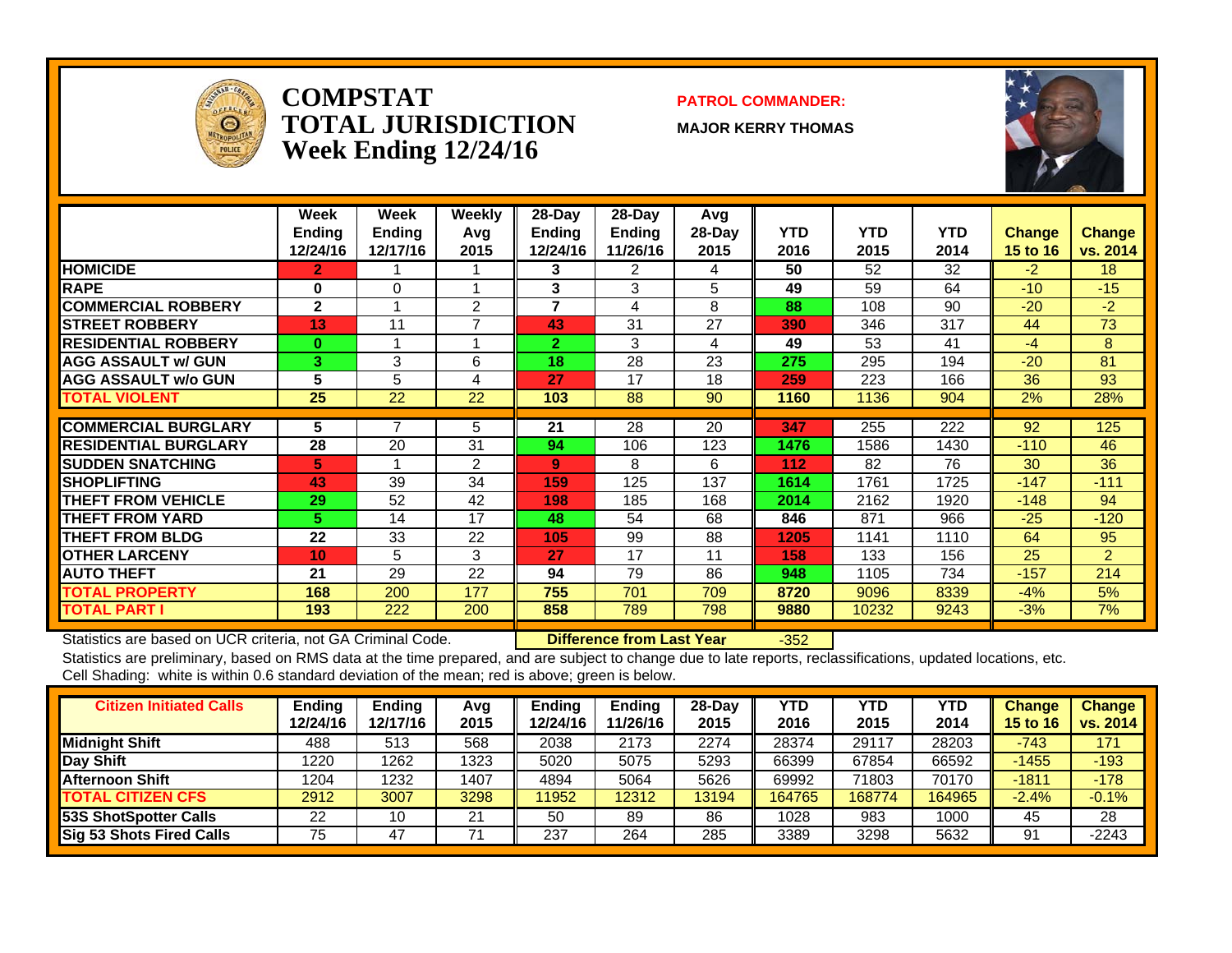

#### **COMPSTATTOTAL JURISDICTIONWeek Ending 12/24/16**

#### **PATROL COMMANDER:**

**MAJOR KERRY THOMAS**



|                             | <b>Week</b><br><b>Ending</b><br>12/24/16 | Week<br><b>Ending</b><br>12/17/16 | Weekly<br>Avq<br>2015 | $28-Dav$<br><b>Ending</b><br>12/24/16 | $28$ -Day<br><b>Ending</b><br>11/26/16 | Avg<br>$28-Day$<br>2015 | <b>YTD</b><br>2016 | <b>YTD</b><br>2015 | <b>YTD</b><br>2014 | <b>Change</b><br>15 to 16 | <b>Change</b><br>vs. 2014 |
|-----------------------------|------------------------------------------|-----------------------------------|-----------------------|---------------------------------------|----------------------------------------|-------------------------|--------------------|--------------------|--------------------|---------------------------|---------------------------|
| <b>HOMICIDE</b>             | 2.                                       |                                   |                       | 3                                     | 2                                      | 4                       | 50                 | 52                 | 32                 | $-2$                      | 18                        |
| <b>RAPE</b>                 | 0                                        | 0                                 |                       | 3                                     | 3                                      | 5                       | 49                 | 59                 | 64                 | $-10$                     | $-15$                     |
| <b>COMMERCIAL ROBBERY</b>   | $\mathbf{2}$                             | $\overline{\mathbf{A}}$           | 2                     | 7                                     | 4                                      | 8                       | 88                 | 108                | 90                 | $-20$                     | $-2$                      |
| <b>STREET ROBBERY</b>       | 13                                       | 11                                |                       | 43                                    | 31                                     | 27                      | 390                | 346                | 317                | 44                        | 73                        |
| <b>RESIDENTIAL ROBBERY</b>  | $\bf{0}$                                 |                                   |                       | $\mathbf{2}$                          | 3                                      | 4                       | 49                 | 53                 | 41                 | $-4$                      | 8                         |
| <b>AGG ASSAULT w/ GUN</b>   | 3                                        | 3                                 | 6                     | 18                                    | 28                                     | 23                      | 275                | 295                | 194                | $-20$                     | 81                        |
| <b>AGG ASSAULT w/o GUN</b>  | 5                                        | 5                                 | 4                     | 27                                    | 17                                     | 18                      | 259                | 223                | 166                | 36                        | 93                        |
| <b>TOTAL VIOLENT</b>        | 25                                       | 22                                | 22                    | 103                                   | 88                                     | 90                      | 1160               | 1136               | 904                | 2%                        | 28%                       |
|                             |                                          |                                   |                       |                                       |                                        |                         |                    |                    |                    |                           |                           |
| <b>COMMERCIAL BURGLARY</b>  | 5                                        | 7                                 | 5                     | 21                                    | 28                                     | 20                      | 347                | 255                | 222                | 92                        | 125                       |
| <b>RESIDENTIAL BURGLARY</b> | 28                                       | 20                                | 31                    | 94                                    | 106                                    | 123                     | 1476               | 1586               | 1430               | $-110$                    | 46                        |
| <b>SUDDEN SNATCHING</b>     | 5.                                       |                                   | 2                     | 9                                     | 8                                      | 6                       | 112                | 82                 | 76                 | 30                        | 36                        |
| <b>SHOPLIFTING</b>          | 43                                       | 39                                | 34                    | 159                                   | 125                                    | 137                     | 1614               | 1761               | 1725               | $-147$                    | $-111$                    |
| <b>THEFT FROM VEHICLE</b>   | 29                                       | 52                                | 42                    | 198                                   | 185                                    | 168                     | 2014               | 2162               | 1920               | $-148$                    | 94                        |
| <b>THEFT FROM YARD</b>      | 5.                                       | 14                                | 17                    | 48                                    | 54                                     | 68                      | 846                | 871                | 966                | $-25$                     | $-120$                    |
| <b>THEFT FROM BLDG</b>      | 22                                       | 33                                | 22                    | 105                                   | 99                                     | 88                      | 1205               | 1141               | 1110               | 64                        | 95                        |
| <b>OTHER LARCENY</b>        | 10                                       | 5                                 | 3                     | 27                                    | 17                                     | 11                      | 158                | 133                | 156                | 25                        | $\overline{2}$            |
| <b>AUTO THEFT</b>           | 21                                       | 29                                | 22                    | 94                                    | 79                                     | 86                      | 948                | 1105               | 734                | $-157$                    | 214                       |
| <b>TOTAL PROPERTY</b>       | 168                                      | 200                               | 177                   | 755                                   | 701                                    | 709                     | 8720               | 9096               | 8339               | $-4%$                     | 5%                        |
| <b>TOTAL PART I</b>         | 193                                      | 222                               | 200                   | 858                                   | 789                                    | 798                     | 9880               | 10232              | 9243               | $-3%$                     | 7%                        |

Statistics are based on UCR criteria, not GA Criminal Code. **Difference from Last Year** -352

| <b>Citizen Initiated Calls</b>  | Ending<br>12/24/16 | <b>Ending</b><br>12/17/16 | Avg<br>2015 | Ending<br>12/24/16 | <b>Ending</b><br>11/26/16 | $28-Day$<br>2015 | <b>YTD</b><br>2016 | <b>YTD</b><br>2015 | YTD<br>2014 | <b>Change</b><br><b>15 to 16</b> | <b>Change</b><br>vs. 2014 |
|---------------------------------|--------------------|---------------------------|-------------|--------------------|---------------------------|------------------|--------------------|--------------------|-------------|----------------------------------|---------------------------|
| <b>Midnight Shift</b>           | 488                | 513                       | 568         | 2038               | 2173                      | 2274             | 28374              | 29117              | 28203       | $-743$                           | 171                       |
| Day Shift                       | 1220               | 1262                      | 1323        | 5020               | 5075                      | 5293             | 66399              | 67854              | 66592       | $-1455$                          | $-193$                    |
| <b>Afternoon Shift</b>          | 1204               | 1232                      | 1407        | 4894               | 5064                      | 5626             | 69992              | 71803              | 70170       | $-1811$                          | $-178$                    |
| <b>TOTAL CITIZEN CFS</b>        | 2912               | 3007                      | 3298        | 11952              | 12312                     | 13194            | 164765             | 168774             | 164965      | $-2.4%$                          | $-0.1%$                   |
| 53S ShotSpotter Calls           | 22                 | 10                        | 21          | 50                 | 89                        | 86               | 1028               | 983                | 1000        | 45                               | 28                        |
| <b>Sig 53 Shots Fired Calls</b> | 75                 | 47                        |             | 237                | 264                       | 285              | 3389               | 3298               | 5632        | 91                               | $-2243$                   |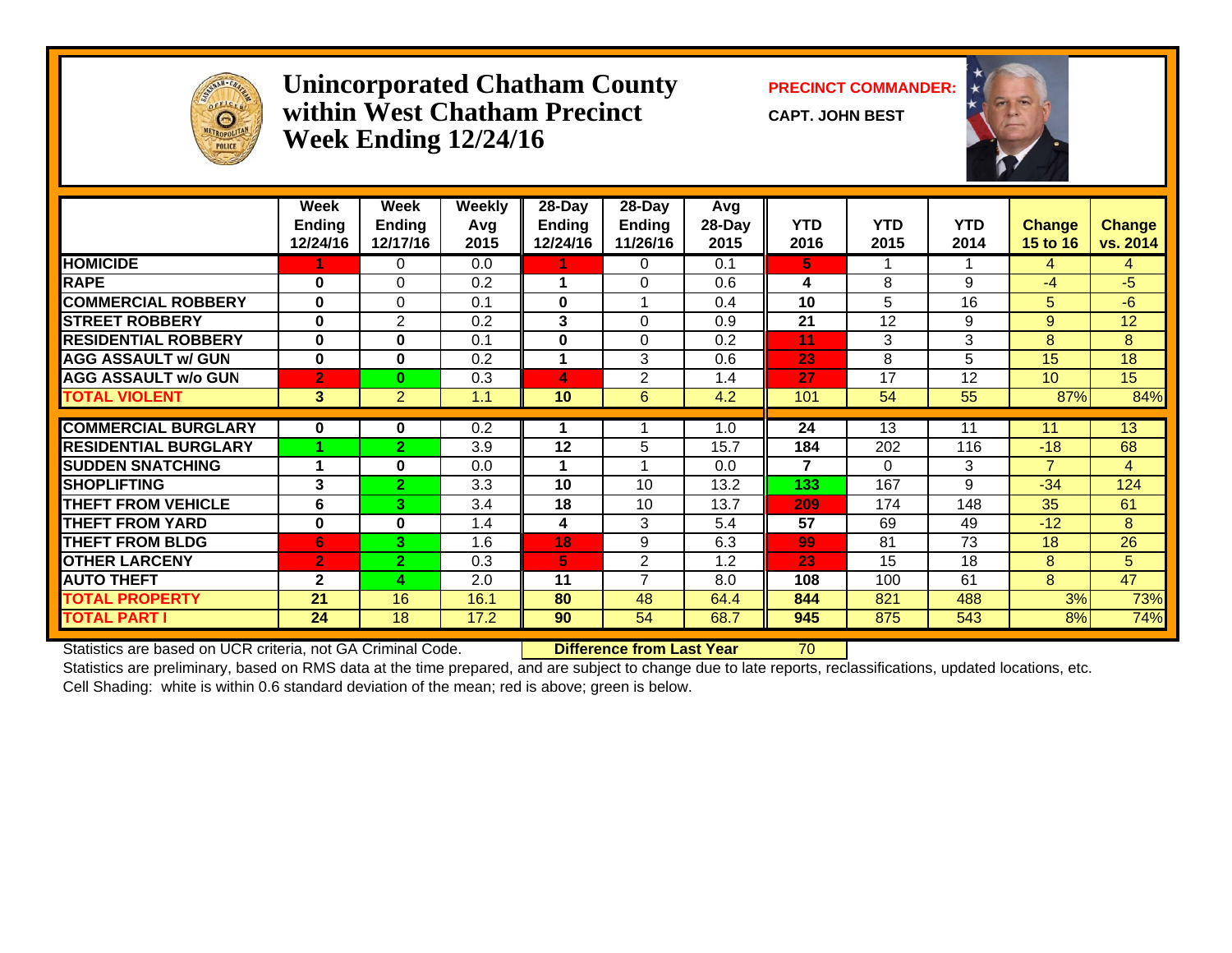

#### **Unincorporated Chatham County PRECINCT COMMANDER: within West Chatham PrecinctWeek Ending 12/24/16**

**CAPT. JOHN BEST**



|                             | Week<br><b>Ending</b><br>12/24/16 | Week<br><b>Ending</b><br>12/17/16 | <b>Weekly</b><br>Avg<br>2015 | $28 - Day$<br><b>Ending</b><br>12/24/16 | $28 - Day$<br><b>Ending</b><br>11/26/16 | <b>Avg</b><br>28-Day<br>2015 | <b>YTD</b><br>2016 | <b>YTD</b><br>2015 | <b>YTD</b><br>2014 | <b>Change</b><br><b>15 to 16</b> | <b>Change</b><br>vs. 2014 |
|-----------------------------|-----------------------------------|-----------------------------------|------------------------------|-----------------------------------------|-----------------------------------------|------------------------------|--------------------|--------------------|--------------------|----------------------------------|---------------------------|
| <b>HOMICIDE</b>             |                                   | 0                                 | 0.0                          |                                         | 0                                       | 0.1                          | 5.                 |                    |                    | 4                                | 4                         |
| <b>RAPE</b>                 | 0                                 | $\Omega$                          | 0.2                          | 1                                       | $\Omega$                                | 0.6                          | 4                  | 8                  | 9                  | $-4$                             | $-5$                      |
| <b>COMMERCIAL ROBBERY</b>   | $\bf{0}$                          | $\Omega$                          | 0.1                          | 0                                       |                                         | 0.4                          | 10                 | 5                  | 16                 | 5                                | $-6$                      |
| <b>STREET ROBBERY</b>       | $\bf{0}$                          | $\overline{2}$                    | 0.2                          | 3                                       | $\Omega$                                | 0.9                          | 21                 | 12                 | 9                  | 9                                | 12                        |
| <b>RESIDENTIAL ROBBERY</b>  | 0                                 | 0                                 | 0.1                          | 0                                       | $\Omega$                                | 0.2                          | 11                 | 3                  | 3                  | 8                                | 8                         |
| <b>AGG ASSAULT w/ GUN</b>   | $\bf{0}$                          | 0                                 | 0.2                          |                                         | 3                                       | 0.6                          | 23                 | 8                  | 5                  | 15                               | 18                        |
| <b>AGG ASSAULT w/o GUN</b>  | $\overline{2}$                    | 0                                 | 0.3                          | 4                                       | $\overline{2}$                          | 1.4                          | 27                 | 17                 | 12                 | 10                               | 15                        |
| <b>TOTAL VIOLENT</b>        | $\mathbf{3}$                      | $\overline{2}$                    | 1.1                          | 10                                      | 6                                       | 4.2                          | 101                | 54                 | 55                 | 87%                              | 84%                       |
| <b>COMMERCIAL BURGLARY</b>  | 0                                 | 0                                 | 0.2                          |                                         |                                         | 1.0                          | 24                 | 13                 | 11                 | 11                               | 13                        |
| <b>RESIDENTIAL BURGLARY</b> |                                   | 2                                 | 3.9                          | 12                                      | 5                                       | 15.7                         | 184                | 202                | 116                | $-18$                            | 68                        |
| <b>SUDDEN SNATCHING</b>     |                                   | 0                                 | 0.0                          |                                         |                                         | 0.0                          | 7                  | $\Omega$           | 3                  | $\overline{7}$                   | $\overline{4}$            |
| <b>SHOPLIFTING</b>          | 3                                 | $\overline{2}$                    | 3.3                          | 10                                      | 10                                      | 13.2                         | 133                | 167                | 9                  | $-34$                            | 124                       |
| <b>THEFT FROM VEHICLE</b>   | 6                                 | 3.                                | 3.4                          | 18                                      | 10                                      | 13.7                         | 209                | 174                | 148                | 35                               | 61                        |
| <b>THEFT FROM YARD</b>      | 0                                 | 0                                 | 1.4                          | 4                                       | 3                                       | 5.4                          | 57                 | 69                 | 49                 | $-12$                            | 8                         |
| <b>THEFT FROM BLDG</b>      | 6                                 | 3.                                | 1.6                          | 18                                      | 9                                       | 6.3                          | 99                 | 81                 | 73                 | 18                               | 26                        |
| <b>OTHER LARCENY</b>        | $\overline{2}$                    | $\overline{2}$                    | 0.3                          | 5.                                      | $\overline{c}$                          | 1.2                          | 23                 | 15                 | 18                 | 8                                | 5 <sup>5</sup>            |
| <b>AUTO THEFT</b>           | $\mathbf{2}$                      | 4                                 | 2.0                          | 11                                      | $\overline{7}$                          | 8.0                          | 108                | 100                | 61                 | 8                                | 47                        |
| <b>TOTAL PROPERTY</b>       | 21                                | 16                                | 16.1                         | 80                                      | 48                                      | 64.4                         | 844                | 821                | 488                | 3%                               | 73%                       |
| <b>TOTAL PART I</b>         | 24                                | 18                                | 17.2                         | 90                                      | 54                                      | 68.7                         | 945                | 875                | 543                | 8%                               | 74%                       |

Statistics are based on UCR criteria, not GA Criminal Code. **Difference from Last Year** 70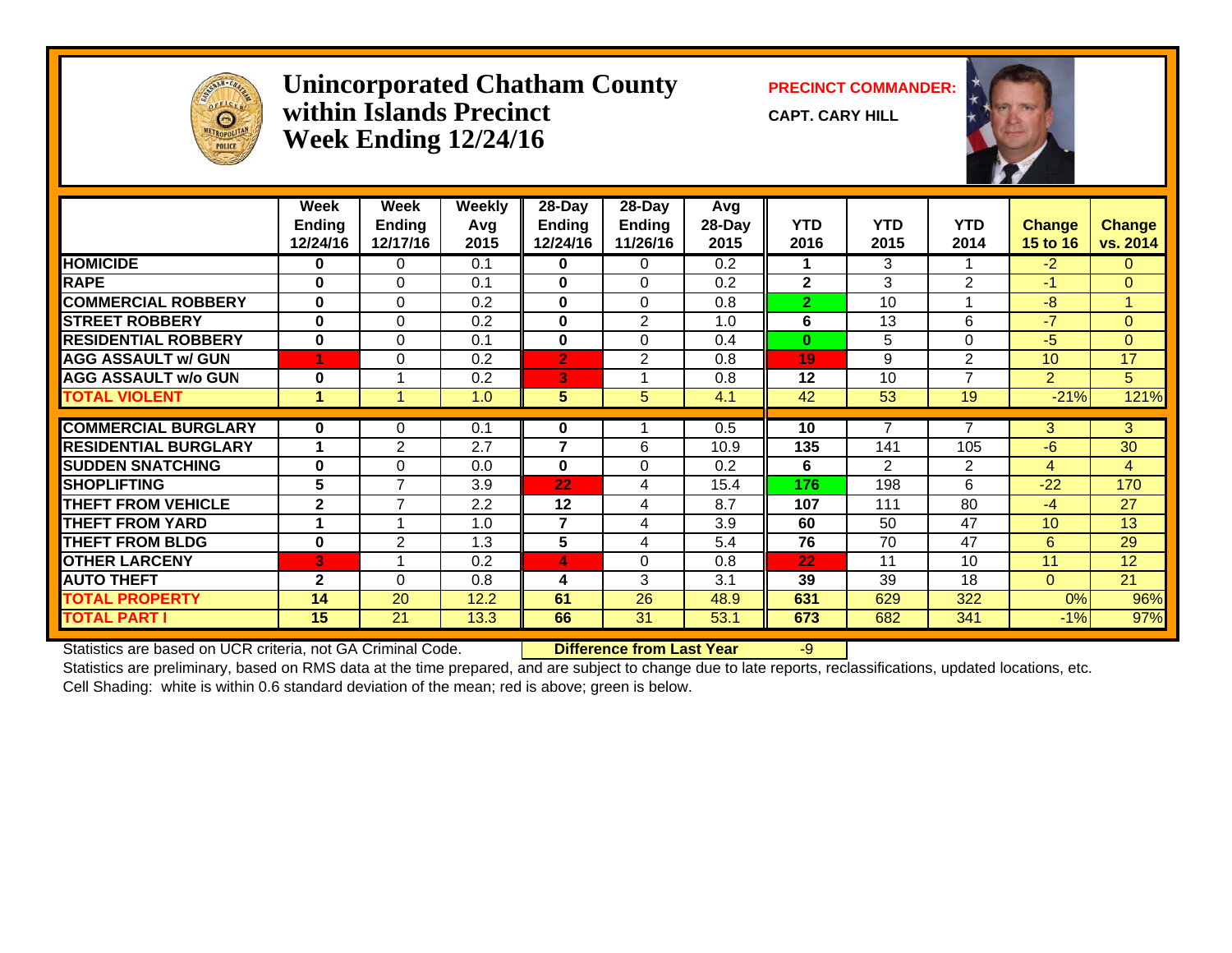

#### **Unincorporated Chatham County PRECINCT COMMANDER: within Islands PrecinctWeek Ending 12/24/16**

**CAPT. CARY HILL**



|                             | Week          | Week            | <b>Weekly</b> | 28-Day       | 28-Day          | Avg    |                |                |                |                 |                |
|-----------------------------|---------------|-----------------|---------------|--------------|-----------------|--------|----------------|----------------|----------------|-----------------|----------------|
|                             | <b>Ending</b> | <b>Ending</b>   | Avg           | Ending       | <b>Ending</b>   | 28-Day | <b>YTD</b>     | <b>YTD</b>     | <b>YTD</b>     | Change          | <b>Change</b>  |
|                             | 12/24/16      | 12/17/16        | 2015          | 12/24/16     | 11/26/16        | 2015   | 2016           | 2015           | 2014           | 15 to 16        | vs. 2014       |
| <b>HOMICIDE</b>             | $\bf{0}$      | $\Omega$        | 0.1           | 0            | 0               | 0.2    |                | 3              |                | $-2$            | $\mathbf{0}$   |
| <b>RAPE</b>                 | $\bf{0}$      | 0               | 0.1           | $\bf{0}$     | $\Omega$        | 0.2    | $\mathbf{2}$   | 3              | $\overline{2}$ | $-1$            | $\overline{0}$ |
| <b>COMMERCIAL ROBBERY</b>   | $\mathbf{0}$  | $\mathbf{0}$    | 0.2           | 0            | $\Omega$        | 0.8    | $\overline{2}$ | 10             |                | $-8$            | $\mathbf{1}$   |
| <b>STREET ROBBERY</b>       | $\bf{0}$      | $\Omega$        | 0.2           | 0            | $\overline{2}$  | 1.0    | 6              | 13             | 6              | $-7$            | $\overline{0}$ |
| <b>RESIDENTIAL ROBBERY</b>  | $\bf{0}$      | $\Omega$        | 0.1           | 0            | $\Omega$        | 0.4    | $\bf{0}$       | 5              | $\Omega$       | $-5$            | $\overline{0}$ |
| <b>AGG ASSAULT w/ GUN</b>   |               | 0               | 0.2           | $\mathbf{2}$ | 2               | 0.8    | 19             | 9              | $\overline{2}$ | 10              | 17             |
| <b>AGG ASSAULT w/o GUN</b>  | $\bf{0}$      |                 | 0.2           | 3            |                 | 0.8    | 12             | 10             | $\overline{7}$ | $\overline{2}$  | 5              |
| <b>TOTAL VIOLENT</b>        | 1             |                 | 1.0           | 5            | 5               | 4.1    | 42             | 53             | 19             | $-21%$          | 121%           |
|                             |               |                 |               |              |                 |        |                |                |                |                 |                |
| <b>COMMERCIAL BURGLARY</b>  | $\mathbf{0}$  | 0               | 0.1           | 0            |                 | 0.5    | 10             |                |                | 3.              | 3              |
| <b>RESIDENTIAL BURGLARY</b> | 1             | 2               | 2.7           | 7            | 6               | 10.9   | 135            | 141            | 105            | -6              | 30             |
| <b>SUDDEN SNATCHING</b>     | $\bf{0}$      | $\Omega$        | 0.0           | 0            | 0               | 0.2    | 6              | $\overline{2}$ | 2              | 4               | $\overline{4}$ |
| <b>SHOPLIFTING</b>          | 5             | $\overline{7}$  | 3.9           | 22           | 4               | 15.4   | 176            | 198            | 6              | $-22$           | 170            |
| <b>THEFT FROM VEHICLE</b>   | $\mathbf{2}$  | $\overline{7}$  | 2.2           | 12           | 4               | 8.7    | 107            | 111            | 80             | $-4$            | 27             |
| <b>THEFT FROM YARD</b>      |               |                 | 1.0           | 7            | 4               | 3.9    | 60             | 50             | 47             | 10 <sup>1</sup> | 13             |
| <b>THEFT FROM BLDG</b>      | $\bf{0}$      | $\overline{2}$  | 1.3           | 5            | 4               | 5.4    | 76             | 70             | 47             | 6               | 29             |
| <b>OTHER LARCENY</b>        | В.            |                 | 0.2           | 4            | 0               | 0.8    | 22             | 11             | 10             | 11              | 12             |
| <b>AUTO THEFT</b>           | $\mathbf{2}$  | $\Omega$        | 0.8           | 4            | 3               | 3.1    | 39             | 39             | 18             | $\Omega$        | 21             |
| <b>TOTAL PROPERTY</b>       | 14            | 20              | 12.2          | 61           | 26              | 48.9   | 631            | 629            | 322            | 0%              | 96%            |
| <b>TOTAL PART I</b>         | 15            | $\overline{21}$ | 13.3          | 66           | $\overline{31}$ | 53.1   | 673            | 682            | 341            | $-1%$           | 97%            |

Statistics are based on UCR criteria, not GA Criminal Code. **Difference from Last Year** -9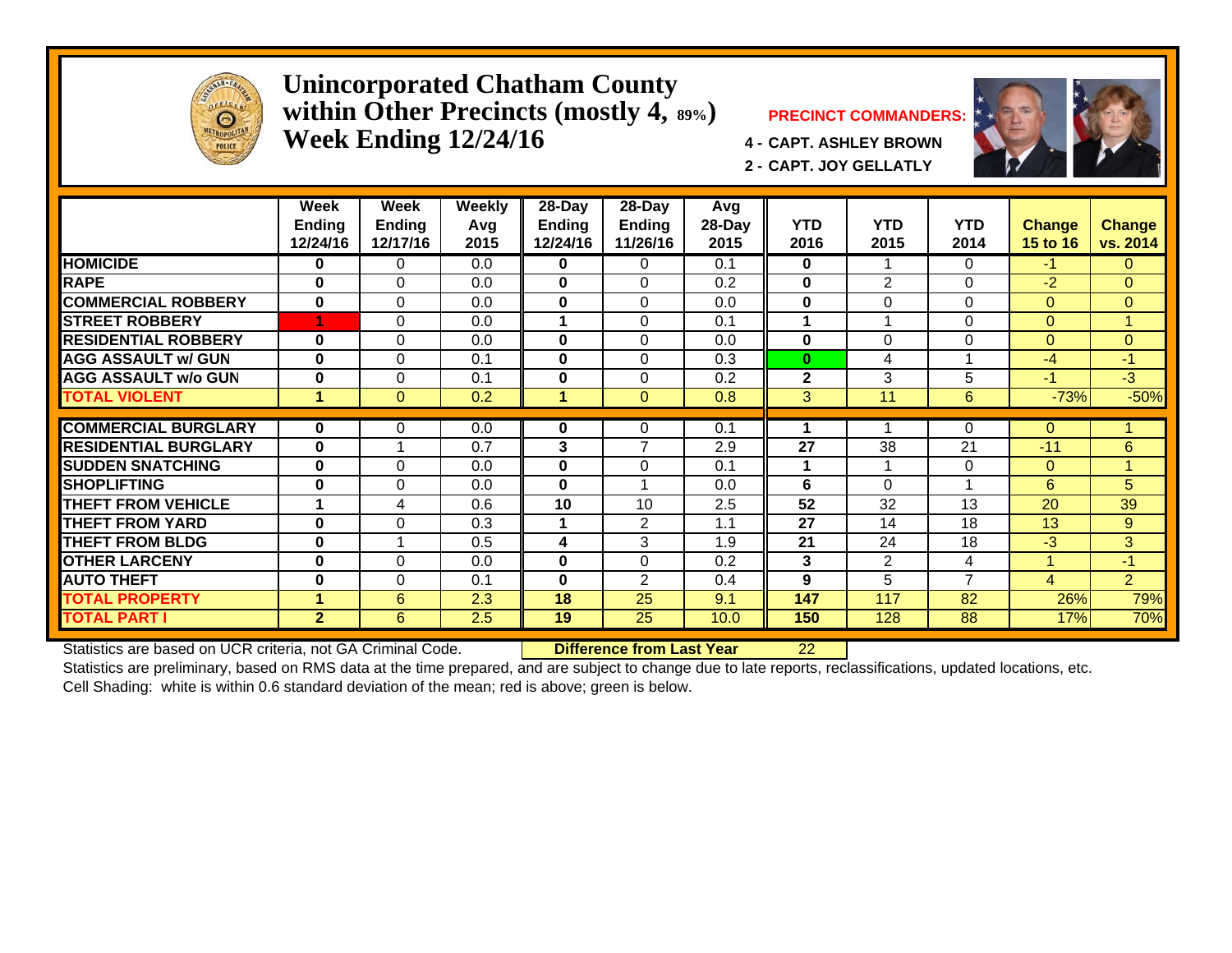

#### **Unincorporated Chatham County within Other Precincts (mostly 4, 89%) PRECINCT COMMANDERS: Week Ending 12/24/16 4 - CAPT. ASHLEY BROWN**



**2 - CAPT. JOY GELLATLY**



|                             | Week<br><b>Ending</b><br>12/24/16 | Week<br><b>Ending</b><br>12/17/16 | Weekly<br>Avg<br>2015 | $28 - Day$<br><b>Ending</b><br>12/24/16 | $28 - Day$<br><b>Ending</b><br>11/26/16 | Avg<br>28-Day<br>2015 | <b>YTD</b><br>2016 | <b>YTD</b><br>2015 | <b>YTD</b><br>2014 | <b>Change</b><br>15 to 16 | Change<br>vs. 2014 |
|-----------------------------|-----------------------------------|-----------------------------------|-----------------------|-----------------------------------------|-----------------------------------------|-----------------------|--------------------|--------------------|--------------------|---------------------------|--------------------|
| <b>HOMICIDE</b>             | 0                                 | 0                                 | 0.0                   | 0                                       | 0                                       | 0.1                   | 0                  |                    | 0                  | $-1$                      | 0                  |
| <b>RAPE</b>                 | 0                                 | $\Omega$                          | 0.0                   | 0                                       | $\Omega$                                | 0.2                   | $\bf{0}$           | $\overline{2}$     | 0                  | $-2$                      | 0                  |
| <b>COMMERCIAL ROBBERY</b>   | $\bf{0}$                          | $\Omega$                          | 0.0                   | 0                                       | $\Omega$                                | 0.0                   | $\bf{0}$           | $\Omega$           | $\Omega$           | $\Omega$                  | $\Omega$           |
| <b>STREET ROBBERY</b>       | 4                                 | $\Omega$                          | 0.0                   |                                         | 0                                       | 0.1                   | 1                  |                    | $\Omega$           | $\Omega$                  |                    |
| <b>RESIDENTIAL ROBBERY</b>  | $\bf{0}$                          | $\Omega$                          | 0.0                   | $\bf{0}$                                | $\Omega$                                | 0.0                   | $\bf{0}$           | $\Omega$           | 0                  | $\Omega$                  | $\Omega$           |
| <b>AGG ASSAULT w/ GUN</b>   | $\bf{0}$                          | $\Omega$                          | 0.1                   | 0                                       | $\Omega$                                | 0.3                   | $\bf{0}$           | 4                  |                    | $-4$                      | $-1$               |
| <b>AGG ASSAULT w/o GUN</b>  | $\bf{0}$                          | $\Omega$                          | 0.1                   | 0                                       | $\Omega$                                | 0.2                   | $\mathbf{2}$       | 3                  | 5                  | -1                        | $-3$               |
| <b>TOTAL VIOLENT</b>        |                                   | $\Omega$                          | 0.2                   |                                         | $\mathbf{0}$                            | 0.8                   | 3                  | 11                 | 6                  | $-73%$                    | $-50%$             |
| <b>COMMERCIAL BURGLARY</b>  | 0                                 | 0                                 | 0.0                   | 0                                       | 0                                       | 0.1                   |                    |                    | 0                  | $\Omega$                  |                    |
| <b>RESIDENTIAL BURGLARY</b> | $\bf{0}$                          |                                   | 0.7                   | 3                                       | $\overline{7}$                          | 2.9                   | 27                 | 38                 | 21                 | $-11$                     | 6                  |
| <b>ISUDDEN SNATCHING</b>    | 0                                 | $\Omega$                          | 0.0                   | 0                                       | $\Omega$                                | 0.1                   | 1                  |                    | $\Omega$           | $\Omega$                  |                    |
| <b>SHOPLIFTING</b>          | $\bf{0}$                          | $\Omega$                          | 0.0                   | $\bf{0}$                                | $\overline{\phantom{a}}$                | 0.0                   | 6                  | $\Omega$           | $\overline{ }$     | 6                         | 5                  |
| <b>THEFT FROM VEHICLE</b>   | 1                                 | 4                                 | 0.6                   | 10                                      | 10                                      | 2.5                   | 52                 | 32                 | 13                 | 20                        | 39                 |
| <b>THEFT FROM YARD</b>      | $\bf{0}$                          | $\Omega$                          | 0.3                   |                                         | 2                                       | 1.1                   | 27                 | 14                 | 18                 | 13                        | 9                  |
| <b>THEFT FROM BLDG</b>      | 0                                 | -1                                | 0.5                   | 4                                       | 3                                       | 1.9                   | 21                 | 24                 | 18                 | $-3$                      | 3                  |
| <b>OTHER LARCENY</b>        | 0                                 | $\Omega$                          | 0.0                   | 0                                       | $\Omega$                                | 0.2                   | 3                  | $\overline{2}$     | 4                  |                           | $-1$               |
| <b>AUTO THEFT</b>           | 0                                 | $\Omega$                          | 0.1                   | $\bf{0}$                                | 2                                       | 0.4                   | 9                  | 5.                 | 7                  | 4                         | $\overline{2}$     |
| <b>TOTAL PROPERTY</b>       | 4                                 | 6                                 | 2.3                   | 18                                      | 25                                      | 9.1                   | 147                | 117                | 82                 | 26%                       | 79%                |
| <b>TOTAL PART I</b>         | $\mathbf{2}$                      | 6                                 | 2.5                   | 19                                      | 25                                      | 10.0                  | 150                | 128                | 88                 | 17%                       | 70%                |

Statistics are based on UCR criteria, not GA Criminal Code. **Difference from Last Year** 22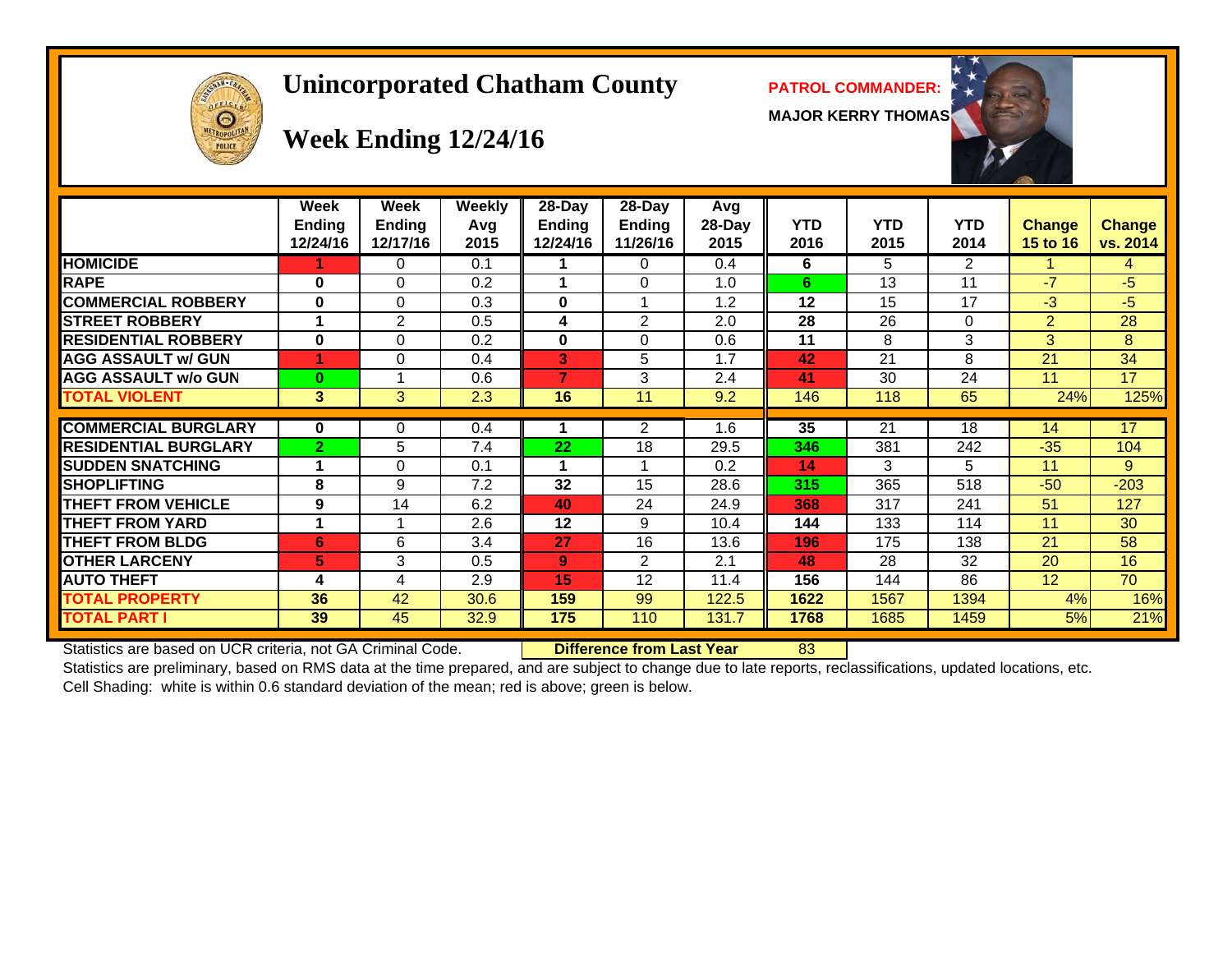

#### **Unincorporated Chatham County PATROL COMMANDER:**

**MAJOR KERRY THOMAS**



# **Week Ending 12/24/16**

|                             | Week<br>Ending<br>12/24/16 | Week<br><b>Ending</b><br>12/17/16 | <b>Weekly</b><br>Avg<br>2015 | $28-Day$<br><b>Ending</b><br>12/24/16 | $28 - Day$<br><b>Ending</b><br>11/26/16 | Avg<br>28-Day<br>2015 | <b>YTD</b><br>2016 | <b>YTD</b><br>2015 | YTD<br>2014 | <b>Change</b><br><b>15 to 16</b> | <b>Change</b><br>vs. 2014 |
|-----------------------------|----------------------------|-----------------------------------|------------------------------|---------------------------------------|-----------------------------------------|-----------------------|--------------------|--------------------|-------------|----------------------------------|---------------------------|
| <b>HOMICIDE</b>             |                            | 0                                 | 0.1                          |                                       | $\Omega$                                | 0.4                   | 6                  | 5.                 | 2           |                                  | 4                         |
| <b>RAPE</b>                 | $\bf{0}$                   | $\Omega$                          | 0.2                          |                                       | $\Omega$                                | 1.0                   | 6                  | 13                 | 11          | $-7$                             | $-5$                      |
| <b>COMMERCIAL ROBBERY</b>   | $\mathbf 0$                | $\Omega$                          | 0.3                          | $\bf{0}$                              |                                         | 1.2                   | 12                 | 15                 | 17          | $-3$                             | -5                        |
| <b>STREET ROBBERY</b>       |                            | $\overline{2}$                    | 0.5                          | 4                                     | 2                                       | 2.0                   | 28                 | 26                 | $\Omega$    | $\overline{2}$                   | 28                        |
| <b>RESIDENTIAL ROBBERY</b>  | $\bf{0}$                   | $\Omega$                          | 0.2                          | $\mathbf 0$                           | 0                                       | 0.6                   | 11                 | 8                  | 3           | 3                                | 8                         |
| <b>AGG ASSAULT w/ GUN</b>   |                            | $\Omega$                          | 0.4                          | 3                                     | 5                                       | 1.7                   | 42                 | 21                 | 8           | 21                               | 34                        |
| <b>AGG ASSAULT w/o GUN</b>  | $\bf{0}$                   |                                   | 0.6                          | 7                                     | 3                                       | 2.4                   | 41                 | 30                 | 24          | 11                               | 17                        |
| <b>TOTAL VIOLENT</b>        | 3                          | 3                                 | 2.3                          | 16                                    | 11                                      | 9.2                   | 146                | 118                | 65          | 24%                              | 125%                      |
|                             |                            |                                   |                              |                                       |                                         |                       |                    |                    |             |                                  |                           |
| <b>COMMERCIAL BURGLARY</b>  | $\bf{0}$                   | 0                                 | 0.4                          |                                       | $\overline{2}$                          | 1.6                   | 35                 | 21                 | 18          | 14                               | 17                        |
| <b>RESIDENTIAL BURGLARY</b> | $\overline{2}$             | 5                                 | 7.4                          | 22                                    | 18                                      | 29.5                  | 346                | 381                | 242         | $-35$                            | 104                       |
| <b>SUDDEN SNATCHING</b>     |                            | $\Omega$                          | 0.1                          |                                       |                                         | 0.2                   | 14                 | 3                  | 5           | 11                               | 9                         |
| <b>SHOPLIFTING</b>          | 8                          | 9                                 | 7.2                          | 32                                    | 15                                      | 28.6                  | 315                | 365                | 518         | $-50$                            | $-203$                    |
| <b>THEFT FROM VEHICLE</b>   | 9                          | 14                                | 6.2                          | 40                                    | 24                                      | 24.9                  | 368                | 317                | 241         | 51                               | 127                       |
| <b>THEFT FROM YARD</b>      |                            |                                   | 2.6                          | 12                                    | 9                                       | 10.4                  | 144                | 133                | 114         | 11                               | 30                        |
| <b>THEFT FROM BLDG</b>      | 6                          | 6                                 | 3.4                          | 27                                    | 16                                      | 13.6                  | 196                | 175                | 138         | 21                               | 58                        |
| <b>OTHER LARCENY</b>        | 5                          | 3                                 | 0.5                          | 9                                     | 2                                       | 2.1                   | 48                 | 28                 | 32          | 20                               | 16                        |
| <b>AUTO THEFT</b>           | 4                          | 4                                 | 2.9                          | 15                                    | 12                                      | 11.4                  | 156                | 144                | 86          | 12 <sup>2</sup>                  | 70                        |
| <b>TOTAL PROPERTY</b>       | 36                         | 42                                | 30.6                         | 159                                   | 99                                      | 122.5                 | 1622               | 1567               | 1394        | 4%                               | 16%                       |
| TOTAL PART I                | 39                         | 45                                | 32.9                         | $\overline{175}$                      | 110                                     | 131.7                 | 1768               | 1685               | 1459        | 5%                               | 21%                       |

Statistics are based on UCR criteria, not GA Criminal Code. **Difference from Last Year** 83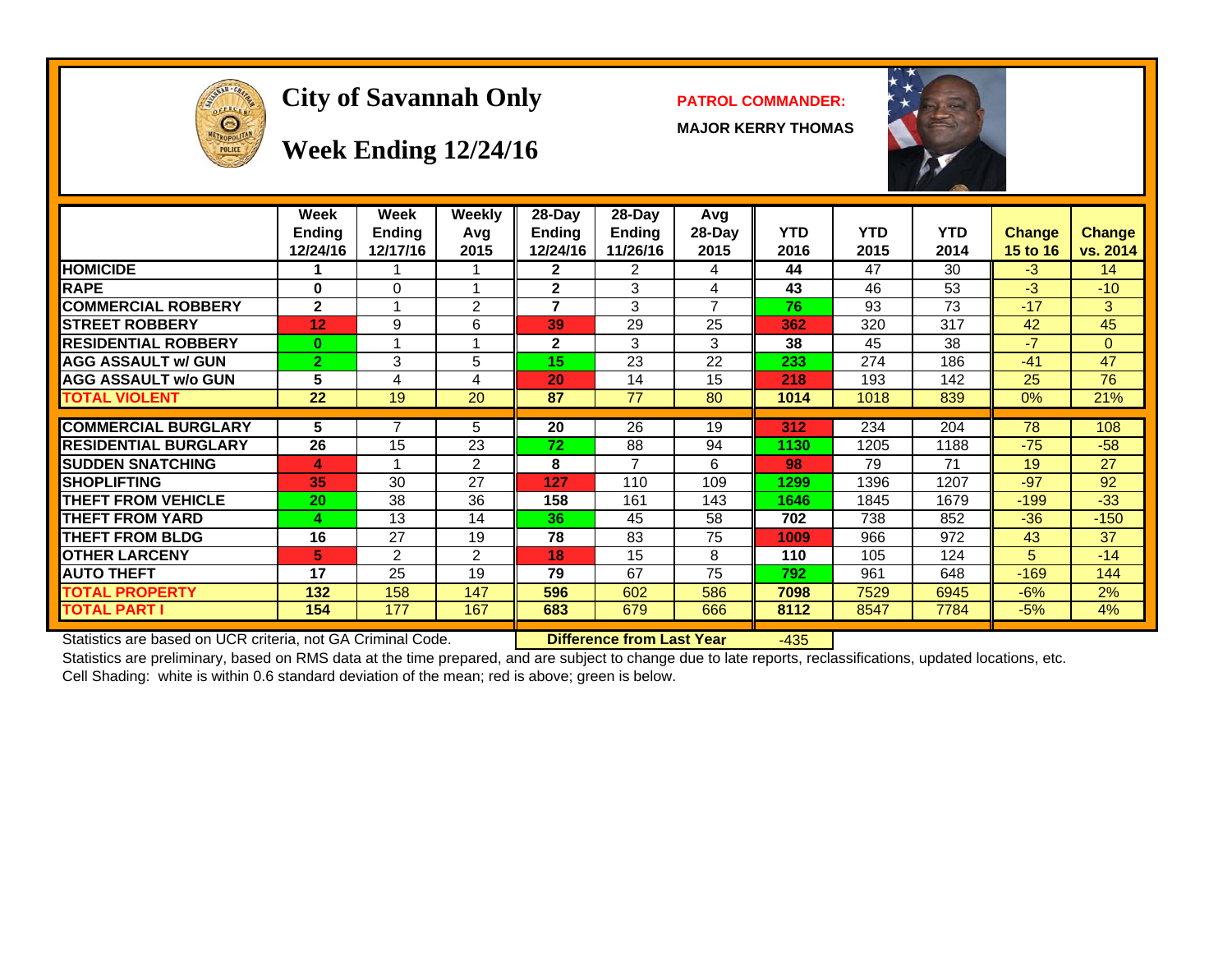

## **City of Savannah Only PATROL COMMANDER:**

**MAJOR KERRY THOMAS**



**Week Ending 12/24/16**

|                             | Week<br><b>Ending</b><br>12/24/16 | Week<br><b>Ending</b><br>12/17/16 | Weekly<br>Avg<br>2015 | 28-Day<br>Ending<br>12/24/16 | $28-Dav$<br><b>Ending</b><br>11/26/16 | Avg<br>$28-Day$<br>2015 | <b>YTD</b><br>2016 | <b>YTD</b><br>2015 | <b>YTD</b><br>2014 | <b>Change</b><br><b>15 to 16</b> | <b>Change</b><br>vs. 2014 |
|-----------------------------|-----------------------------------|-----------------------------------|-----------------------|------------------------------|---------------------------------------|-------------------------|--------------------|--------------------|--------------------|----------------------------------|---------------------------|
| <b>HOMICIDE</b>             |                                   |                                   |                       | 2                            | 2                                     | 4                       | 44                 | 47                 | 30                 | $-3$                             | 14                        |
| <b>RAPE</b>                 | 0                                 | 0                                 |                       | $\mathbf{2}$                 | 3                                     | 4                       | 43                 | 46                 | 53                 | -3                               | $-10$                     |
| <b>COMMERCIAL ROBBERY</b>   | $\mathbf{2}$                      |                                   | 2                     | 7                            | 3                                     | $\overline{ }$          | 76                 | 93                 | 73                 | $-17$                            | 3                         |
| <b>STREET ROBBERY</b>       | 12                                | 9                                 | 6                     | 39                           | 29                                    | 25                      | 362                | 320                | 317                | 42                               | 45                        |
| <b>RESIDENTIAL ROBBERY</b>  | $\bf{0}$                          |                                   |                       | 2                            | 3                                     | 3                       | 38                 | 45                 | 38                 | $-7$                             | $\Omega$                  |
| <b>AGG ASSAULT w/ GUN</b>   | $\overline{2}$                    | 3                                 | 5                     | 15                           | 23                                    | 22                      | 233                | 274                | 186                | $-41$                            | 47                        |
| <b>AGG ASSAULT w/o GUN</b>  | 5                                 | 4                                 | 4                     | 20                           | 14                                    | 15                      | 218                | 193                | 142                | 25                               | 76                        |
| <b>TOTAL VIOLENT</b>        | 22                                | 19                                | 20                    | 87                           | 77                                    | 80                      | 1014               | 1018               | 839                | $0\%$                            | 21%                       |
|                             |                                   |                                   |                       |                              |                                       |                         |                    |                    |                    |                                  |                           |
| <b>COMMERCIAL BURGLARY</b>  | 5                                 |                                   | 5                     | 20                           | 26                                    | 19                      | 312                | 234                | 204                | 78                               | 108                       |
| <b>RESIDENTIAL BURGLARY</b> | 26                                | 15                                | 23                    | 72                           | 88                                    | 94                      | 1130               | 1205               | 1188               | $-75$                            | $-58$                     |
| <b>SUDDEN SNATCHING</b>     | 4                                 |                                   | 2                     | 8                            | $\overline{7}$                        | 6                       | 98                 | 79                 | 71                 | 19                               | 27                        |
| <b>SHOPLIFTING</b>          | 35                                | 30                                | 27                    | 127                          | 110                                   | 109                     | 1299               | 1396               | 1207               | $-97$                            | 92                        |
| THEFT FROM VEHICLE          | 20                                | 38                                | 36                    | 158                          | 161                                   | 143                     | 1646               | 1845               | 1679               | $-199$                           | $-33$                     |
| THEFT FROM YARD             | 4                                 | 13                                | 14                    | 36                           | 45                                    | 58                      | 702                | 738                | 852                | $-36$                            | $-150$                    |
| THEFT FROM BLDG             | 16                                | 27                                | 19                    | 78                           | 83                                    | 75                      | 1009               | 966                | 972                | 43                               | 37                        |
| <b>OTHER LARCENY</b>        | 5                                 | 2                                 | 2                     | 18                           | 15                                    | 8                       | 110                | 105                | 124                | 5                                | $-14$                     |
| <b>AUTO THEFT</b>           | 17                                | 25                                | 19                    | 79                           | 67                                    | 75                      | 792                | 961                | 648                | $-169$                           | 144                       |
| <b>FOTAL PROPERTY</b>       | 132                               | 158                               | 147                   | 596                          | 602                                   | 586                     | 7098               | 7529               | 6945               | $-6%$                            | 2%                        |
| TOTAL PART I                | 154                               | 177                               | 167                   | 683                          | 679                                   | 666                     | 8112               | 8547               | 7784               | $-5%$                            | 4%                        |

Statistics are based on UCR criteria, not GA Criminal Code. **Difference from Last Year** -435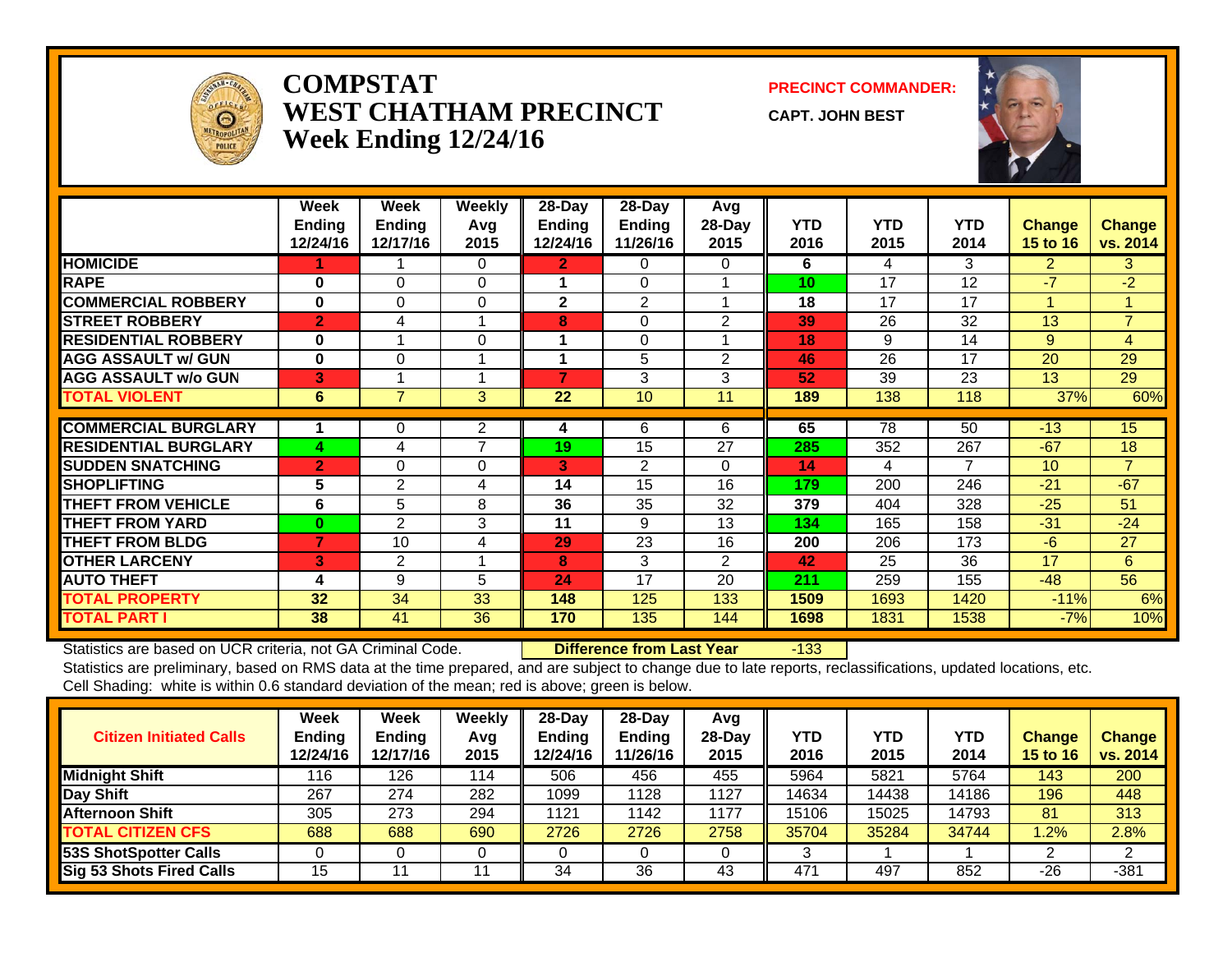

#### **COMPSTATWEST CHATHAM PRECINCTWeek Ending 12/24/16**

**PRECINCT COMMANDER:**

**CAPT. JOHN BEST**



|                             | Week<br><b>Ending</b> | Week<br><b>Ending</b> | Weekly<br>Avg  | $28-Day$<br><b>Ending</b> | $28 - Day$<br><b>Ending</b> | Avg<br>28-Day  | <b>YTD</b> | <b>YTD</b> | <b>YTD</b>     | <b>Change</b>   | <b>Change</b>  |
|-----------------------------|-----------------------|-----------------------|----------------|---------------------------|-----------------------------|----------------|------------|------------|----------------|-----------------|----------------|
|                             | 12/24/16              | 12/17/16              | 2015           | 12/24/16                  | 11/26/16                    | 2015           | 2016       | 2015       | 2014           | 15 to 16        | vs. 2014       |
| <b>HOMICIDE</b>             |                       |                       | 0              | $\mathbf{2}$              | $\Omega$                    | 0              | 6          | 4          | 3              | $\overline{2}$  | 3              |
| <b>RAPE</b>                 | $\bf{0}$              | $\Omega$              | 0              |                           | $\Omega$                    |                | 10         | 17         | 12             | $-7$            | $-2$           |
| <b>COMMERCIAL ROBBERY</b>   | $\bf{0}$              | 0                     | $\Omega$       | $\mathbf{2}$              | 2                           |                | 18         | 17         | 17             |                 | 1              |
| <b>STREET ROBBERY</b>       | $\overline{2}$        | 4                     | 1              | 8                         | $\Omega$                    | 2              | 39         | 26         | 32             | 13              | $\overline{7}$ |
| <b>RESIDENTIAL ROBBERY</b>  | $\bf{0}$              |                       | $\Omega$       | 1                         | $\Omega$                    |                | 18         | 9          | 14             | 9               | $\overline{4}$ |
| <b>AGG ASSAULT w/ GUN</b>   | $\bf{0}$              | $\Omega$              | 1              |                           | 5                           | $\overline{2}$ | 46         | 26         | 17             | 20              | 29             |
| <b>AGG ASSAULT w/o GUN</b>  | 3                     |                       | 1              | 7                         | 3                           | 3              | 52         | 39         | 23             | 13              | 29             |
| <b>TOTAL VIOLENT</b>        | 6                     | 7                     | 3              | 22                        | 10                          | 11             | 189        | 138        | 118            | 37%             | 60%            |
| <b>COMMERCIAL BURGLARY</b>  |                       | 0                     | 2              | 4                         | 6                           | 6              | 65         | 78         | 50             | $-13$           | 15             |
| <b>RESIDENTIAL BURGLARY</b> | 4                     | 4                     | $\overline{7}$ | 19                        | 15                          | 27             | 285        | 352        | 267            | $-67$           | 18             |
| <b>SUDDEN SNATCHING</b>     | $\overline{2}$        | 0                     | 0              | 3                         | 2                           | 0              | 14         | 4          | $\overline{7}$ | 10 <sup>°</sup> | $\overline{7}$ |
| <b>SHOPLIFTING</b>          | 5                     | 2                     | 4              | 14                        | 15                          | 16             | 179        | 200        | 246            | $-21$           | $-67$          |
| <b>THEFT FROM VEHICLE</b>   | 6                     | 5                     | 8              | 36                        | 35                          | 32             | 379        | 404        | 328            | $-25$           | 51             |
| <b>THEFT FROM YARD</b>      | $\bf{0}$              | $\overline{2}$        | 3              | 11                        | 9                           | 13             | 134        | 165        | 158            | $-31$           | $-24$          |
| <b>THEFT FROM BLDG</b>      | 7                     | 10                    | 4              | 29                        | 23                          | 16             | 200        | 206        | 173            | $-6$            | 27             |
| <b>OTHER LARCENY</b>        | 3                     | $\overline{2}$        | 1              | 8                         | 3                           | $\overline{2}$ | 42         | 25         | 36             | 17              | 6              |
| <b>AUTO THEFT</b>           | 4                     | 9                     | 5              | 24                        | 17                          | 20             | 211        | 259        | 155            | $-48$           | 56             |
| <b>TOTAL PROPERTY</b>       | 32                    | 34                    | 33             | 148                       | 125                         | 133            | 1509       | 1693       | 1420           | $-11%$          | 6%             |
| <b>TOTAL PART I</b>         | 38                    | 41                    | 36             | 170                       | 135                         | 144            | 1698       | 1831       | 1538           | $-7%$           | 10%            |

Statistics are based on UCR criteria, not GA Criminal Code. **Difference from Last Year** -133

| <b>Citizen Initiated Calls</b>  | Week<br><b>Ending</b><br>12/24/16 | Week<br><b>Ending</b><br>12/17/16 | Weekly<br>Avg<br>2015 | $28$ -Day<br><b>Ending</b><br>12/24/16 | $28$ -Day<br><b>Endina</b><br>11/26/16 | Avg<br>$28-Dav$<br>2015 | <b>YTD</b><br>2016 | YTD<br>2015 | YTD<br>2014 | <b>Change</b><br><b>15 to 16</b> | Change<br>vs. 2014 |
|---------------------------------|-----------------------------------|-----------------------------------|-----------------------|----------------------------------------|----------------------------------------|-------------------------|--------------------|-------------|-------------|----------------------------------|--------------------|
| <b>Midnight Shift</b>           | 116                               | 126                               | 114                   | 506                                    | 456                                    | 455                     | 5964               | 5821        | 5764        | 143                              | 200                |
| Day Shift                       | 267                               | 274                               | 282                   | 1099                                   | 128                                    | 1127                    | 14634              | 14438       | 14186       | 196                              | 448                |
| Afternoon Shift                 | 305                               | 273                               | 294                   | 1121                                   | 142                                    | 1177                    | 15106              | 15025       | 14793       | 81                               | 313                |
| <b>TOTAL CITIZEN CFS</b>        | 688                               | 688                               | 690                   | 2726                                   | 2726                                   | 2758                    | 35704              | 35284       | 34744       | .2%                              | 2.8%               |
| <b>53S ShotSpotter Calls</b>    |                                   |                                   | υ                     |                                        |                                        |                         | 3                  |             |             |                                  | ົ                  |
| <b>Sig 53 Shots Fired Calls</b> | 15                                |                                   |                       | 34                                     | 36                                     | 43                      | 471                | 497         | 852         | $-26$                            | $-381$             |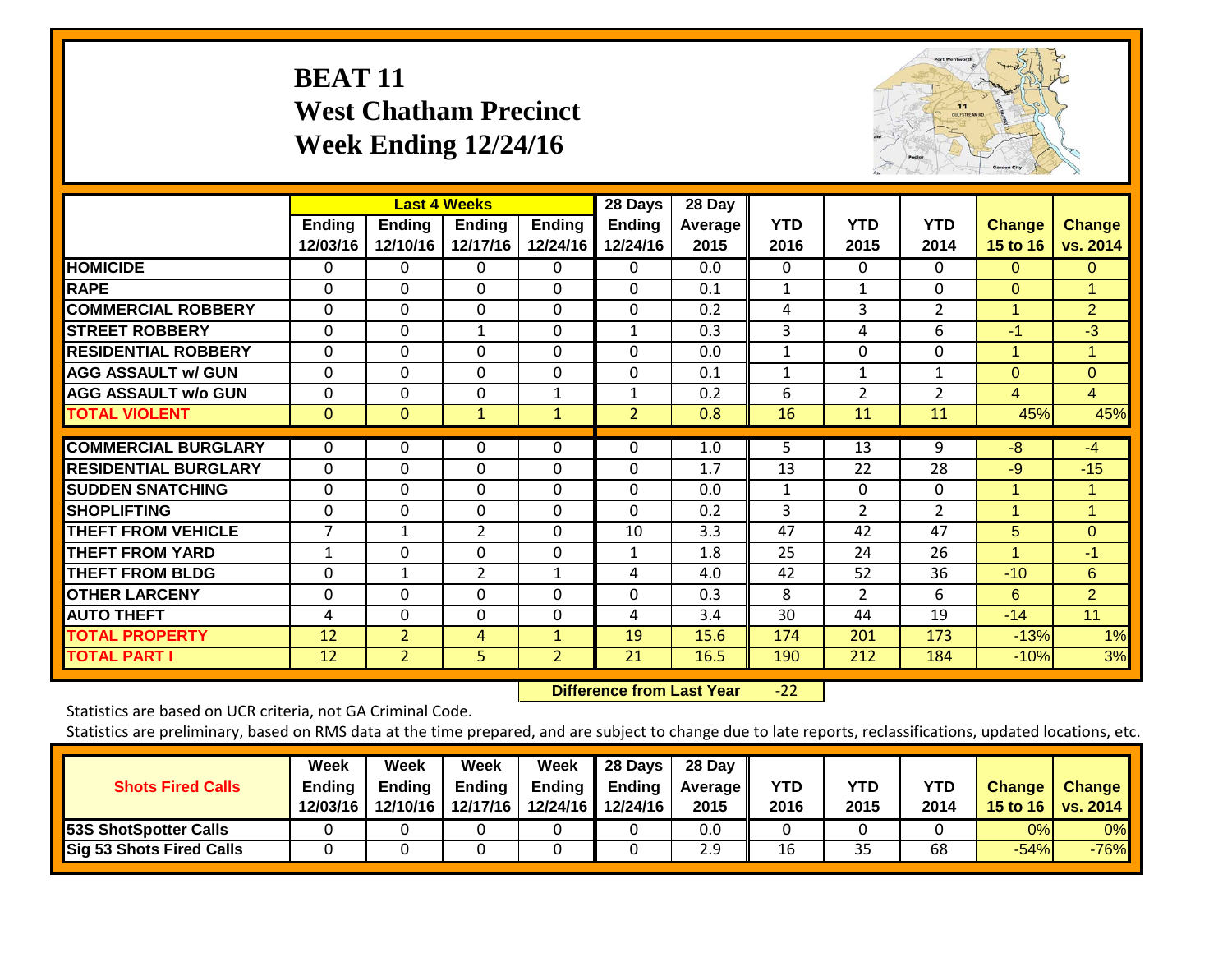### **BEAT 11 West Chatham Precinct Week Ending 12/24/16**



|                             |                           |                           | <b>Last 4 Weeks</b> |                           | 28 Days                   | 28 Day                 |                    |                    |                    |                           |                           |
|-----------------------------|---------------------------|---------------------------|---------------------|---------------------------|---------------------------|------------------------|--------------------|--------------------|--------------------|---------------------------|---------------------------|
|                             | <b>Ending</b><br>12/03/16 | <b>Ending</b><br>12/10/16 | Ending<br>12/17/16  | <b>Ending</b><br>12/24/16 | <b>Ending</b><br>12/24/16 | <b>Average</b><br>2015 | <b>YTD</b><br>2016 | <b>YTD</b><br>2015 | <b>YTD</b><br>2014 | <b>Change</b><br>15 to 16 | <b>Change</b><br>vs. 2014 |
| <b>HOMICIDE</b>             | 0                         | 0                         | 0                   | 0                         | 0                         | 0.0                    | $\Omega$           | 0                  | 0                  | $\Omega$                  | $\Omega$                  |
| <b>RAPE</b>                 | 0                         | $\Omega$                  | $\Omega$            | 0                         | $\Omega$                  | 0.1                    | 1                  | $\mathbf{1}$       | $\Omega$           | $\Omega$                  | 1                         |
| <b>COMMERCIAL ROBBERY</b>   | $\Omega$                  | $\Omega$                  | $\Omega$            | $\Omega$                  | $\Omega$                  | 0.2                    | 4                  | 3                  | 2                  | $\mathbf{1}$              | $\overline{2}$            |
| <b>STREET ROBBERY</b>       | 0                         | 0                         | $\mathbf{1}$        | $\Omega$                  | $\mathbf{1}$              | 0.3                    | 3                  | 4                  | 6                  | $-1$                      | $-3$                      |
| <b>RESIDENTIAL ROBBERY</b>  | 0                         | $\Omega$                  | $\Omega$            | $\Omega$                  | 0                         | 0.0                    | 1                  | $\Omega$           | 0                  | 1                         | $\blacktriangleleft$      |
| <b>AGG ASSAULT w/ GUN</b>   | 0                         | $\Omega$                  | $\Omega$            | $\Omega$                  | $\Omega$                  | 0.1                    | 1                  | $\mathbf{1}$       | $\mathbf 1$        | $\Omega$                  | $\Omega$                  |
| <b>AGG ASSAULT w/o GUN</b>  | 0                         | 0                         | $\Omega$            | 1                         | $\mathbf{1}$              | 0.2                    | 6                  | $\overline{2}$     | $\overline{2}$     | 4                         | $\overline{4}$            |
| <b>TOTAL VIOLENT</b>        | $\mathbf{0}$              | $\mathbf{0}$              | $\mathbf{1}$        | $\mathbf{1}$              | $\overline{2}$            | 0.8                    | 16                 | 11                 | 11                 | 45%                       | 45%                       |
| <b>COMMERCIAL BURGLARY</b>  | $\Omega$                  | 0                         | $\Omega$            | 0                         | 0                         | 1.0                    | 5                  | 13                 | 9                  | $-8$                      | $-4$                      |
| <b>RESIDENTIAL BURGLARY</b> | 0                         | $\Omega$                  | $\Omega$            | $\Omega$                  | 0                         | 1.7                    | 13                 | 22                 | 28                 | $-9$                      | $-15$                     |
| <b>SUDDEN SNATCHING</b>     | 0                         | $\Omega$                  | $\Omega$            | $\Omega$                  | $\Omega$                  | 0.0                    | 1                  | $\Omega$           | 0                  | 1                         | 1                         |
| <b>SHOPLIFTING</b>          | 0                         | 0                         | $\Omega$            | 0                         | $\Omega$                  | 0.2                    | 3                  | $\overline{2}$     | $\overline{2}$     | 1                         | 1                         |
| <b>THEFT FROM VEHICLE</b>   | 7                         | 1                         | $\overline{2}$      | $\Omega$                  | 10                        | 3.3                    | 47                 | 42                 | 47                 | 5                         | $\Omega$                  |
| <b>THEFT FROM YARD</b>      | 1                         | 0                         | $\Omega$            | 0                         | 1                         | 1.8                    | 25                 | 24                 | 26                 | 1                         | $-1$                      |
| <b>THEFT FROM BLDG</b>      | 0                         | $\mathbf{1}$              | $\overline{2}$      | $\mathbf{1}$              | 4                         | 4.0                    | 42                 | 52                 | 36                 | $-10$                     | 6                         |
| <b>OTHER LARCENY</b>        | 0                         | 0                         | $\Omega$            | $\Omega$                  | 0                         | 0.3                    | 8                  | $\overline{2}$     | 6                  | 6                         | $\overline{2}$            |
| <b>AUTO THEFT</b>           | 4                         | 0                         | $\Omega$            | 0                         | 4                         | 3.4                    | 30                 | 44                 | 19                 | $-14$                     | 11                        |
| <b>TOTAL PROPERTY</b>       | 12                        | $\overline{2}$            | 4                   | $\mathbf{1}$              | 19                        | 15.6                   | 174                | 201                | 173                | $-13%$                    | 1%                        |
| <b>TOTAL PART I</b>         | 12                        | $\overline{2}$            | 5                   | 2                         | 21                        | 16.5                   | 190                | 212                | 184                | $-10%$                    | 3%                        |

 **Difference from Last Year**‐22

Statistics are based on UCR criteria, not GA Criminal Code.

| <b>Shots Fired Calls</b>        | Week<br><b>Ending</b><br>12/03/16 | Week<br><b>Ending</b><br>12/10/16 | Week<br><b>Ending</b><br>12/17/16 | Week<br>Ending | 28 Days<br><b>Ending</b><br>12/24/16 12/24/16 | 28 Day<br><b>Average II</b><br>2015 | <b>YTD</b><br>2016 | YTD<br>2015 | <b>YTD</b><br>2014 | <b>Change</b> | <b>Change</b><br>15 to 16   vs. 2014 |
|---------------------------------|-----------------------------------|-----------------------------------|-----------------------------------|----------------|-----------------------------------------------|-------------------------------------|--------------------|-------------|--------------------|---------------|--------------------------------------|
| <b>53S ShotSpotter Calls</b>    |                                   |                                   |                                   |                |                                               | 0.0                                 |                    |             |                    | 0%            | 0%                                   |
| <b>Sig 53 Shots Fired Calls</b> |                                   |                                   |                                   |                |                                               | 2.9                                 | 16                 | 35          | 68                 | $-54%$        | $-76%$                               |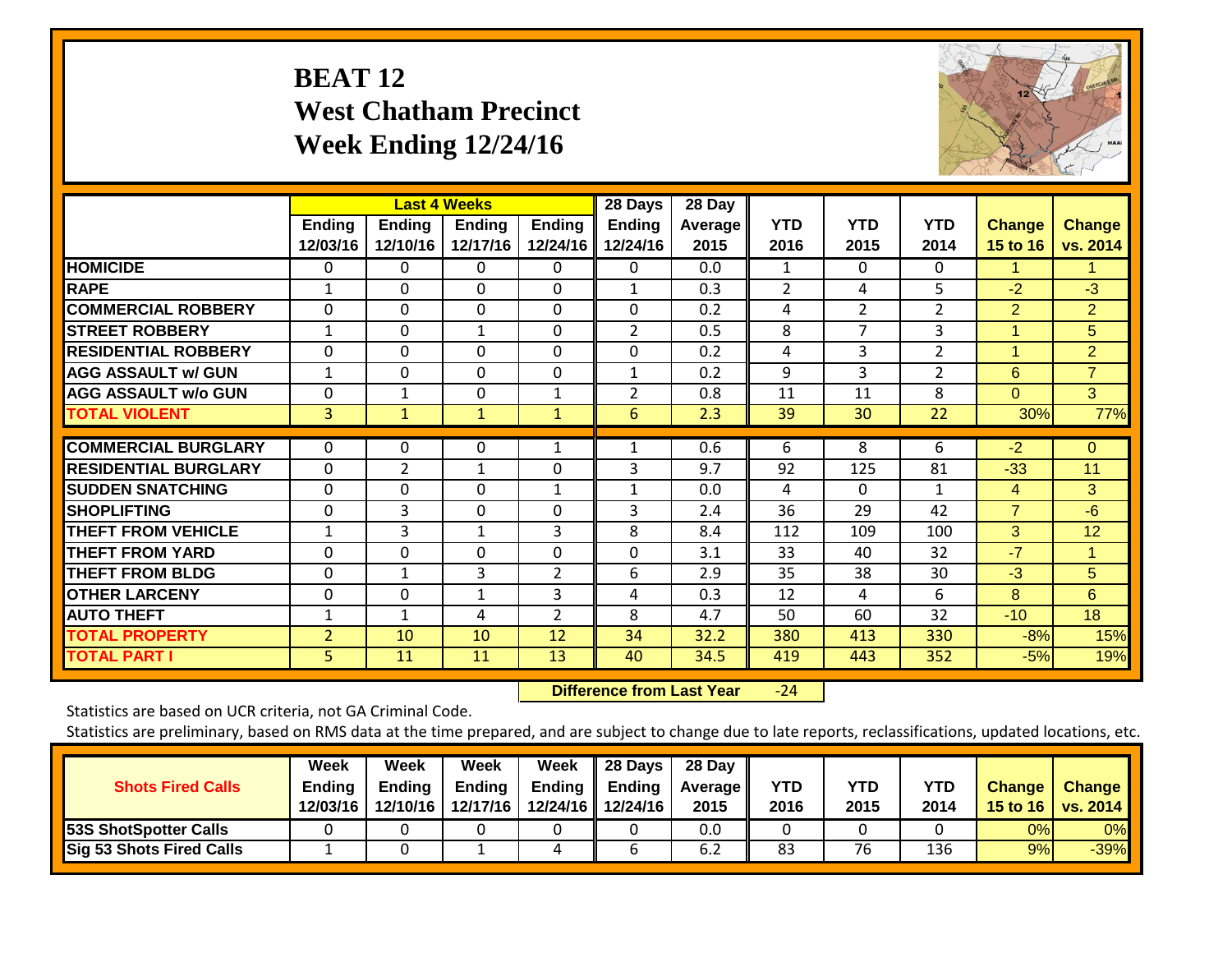## **BEAT 12 West Chatham Precinct Week Ending 12/24/16**



|                             |                           |                           | <b>Last 4 Weeks</b>       |                           | 28 Days                   | 28 Day            |                    |                    |                    |                           |                           |
|-----------------------------|---------------------------|---------------------------|---------------------------|---------------------------|---------------------------|-------------------|--------------------|--------------------|--------------------|---------------------------|---------------------------|
|                             | <b>Ending</b><br>12/03/16 | <b>Ending</b><br>12/10/16 | <b>Ending</b><br>12/17/16 | <b>Ending</b><br>12/24/16 | <b>Ending</b><br>12/24/16 | Average I<br>2015 | <b>YTD</b><br>2016 | <b>YTD</b><br>2015 | <b>YTD</b><br>2014 | <b>Change</b><br>15 to 16 | <b>Change</b><br>vs. 2014 |
| <b>HOMICIDE</b>             | 0                         | 0                         | 0                         | 0                         | 0                         | 0.0               | 1                  | $\Omega$           | 0                  | 1.                        | 1.                        |
| <b>RAPE</b>                 | 1                         | 0                         | $\Omega$                  | 0                         | $\mathbf{1}$              | 0.3               | 2                  | 4                  | 5                  | $-2$                      | $-3$                      |
| <b>COMMERCIAL ROBBERY</b>   | $\Omega$                  | $\Omega$                  | $\Omega$                  | 0                         | $\Omega$                  | 0.2               | 4                  | $\overline{2}$     | $\overline{2}$     | $\overline{2}$            | $\overline{2}$            |
| <b>STREET ROBBERY</b>       | $\mathbf{1}$              | 0                         | $\mathbf{1}$              | 0                         | $\overline{2}$            | 0.5               | 8                  | 7                  | 3                  | $\overline{1}$            | 5                         |
| <b>RESIDENTIAL ROBBERY</b>  | 0                         | $\Omega$                  | $\Omega$                  | 0                         | 0                         | 0.2               | 4                  | 3                  | $\overline{2}$     | 1                         | $\overline{2}$            |
| <b>AGG ASSAULT w/ GUN</b>   | 1                         | 0                         | $\Omega$                  | 0                         |                           | 0.2               | 9                  | 3                  | 2                  | 6                         | $\overline{7}$            |
| <b>AGG ASSAULT w/o GUN</b>  | 0                         | 1                         | $\Omega$                  | $\mathbf{1}$              | $\overline{2}$            | 0.8               | 11                 | 11                 | 8                  | $\Omega$                  | 3                         |
| <b>TOTAL VIOLENT</b>        | 3                         | $\mathbf{1}$              | $\mathbf{1}$              | $\mathbf{1}$              | 6                         | 2.3               | 39                 | 30                 | 22                 | 30%                       | 77%                       |
| <b>COMMERCIAL BURGLARY</b>  | 0                         | 0                         | 0                         | 1                         |                           | 0.6               | 6                  | 8                  | 6                  | $-2$                      | $\mathbf{0}$              |
| <b>RESIDENTIAL BURGLARY</b> | 0                         | $\overline{2}$            | $\mathbf{1}$              | 0                         | 3                         | 9.7               | 92                 | 125                | 81                 | $-33$                     | 11                        |
| <b>SUDDEN SNATCHING</b>     | 0                         | 0                         | $\Omega$                  | $\mathbf{1}$              | 1                         | 0.0               | 4                  | $\Omega$           | $\mathbf{1}$       | 4                         | 3                         |
| <b>SHOPLIFTING</b>          | 0                         | 3                         | $\Omega$                  | 0                         | 3                         | 2.4               | 36                 | 29                 | 42                 | $\overline{7}$            | $-6$                      |
| <b>THEFT FROM VEHICLE</b>   | 1                         | 3                         | $\mathbf{1}$              | 3                         | 8                         | 8.4               | 112                | 109                | 100                | 3                         | 12                        |
| <b>THEFT FROM YARD</b>      | 0                         | $\mathbf 0$               | $\Omega$                  | $\Omega$                  | $\mathbf 0$               | 3.1               | 33                 | 40                 | 32                 | $-7$                      | $\mathbf{1}$              |
| <b>THEFT FROM BLDG</b>      | 0                         | $\mathbf{1}$              | 3                         | $\overline{2}$            | 6                         | 2.9               | 35                 | 38                 | 30                 | $-3$                      | 5                         |
| <b>OTHER LARCENY</b>        | 0                         | 0                         | $\mathbf{1}$              | 3                         | 4                         | 0.3               | 12                 | 4                  | 6                  | 8                         | 6                         |
| <b>AUTO THEFT</b>           | 1                         | $\mathbf{1}$              | 4                         | $\overline{2}$            | 8                         | 4.7               | 50                 | 60                 | 32                 | $-10$                     | 18                        |
| <b>TOTAL PROPERTY</b>       | $\overline{2}$            | 10                        | 10                        | 12                        | 34                        | 32.2              | 380                | 413                | 330                | $-8%$                     | 15%                       |
| <b>TOTAL PART I</b>         | 5                         | 11                        | 11                        | 13                        | 40                        | 34.5              | 419                | 443                | 352                | $-5%$                     | 19%                       |

 **Difference from Last Year**‐24

Statistics are based on UCR criteria, not GA Criminal Code.

| <b>Shots Fired Calls</b>        | Week<br><b>Ending</b><br>12/03/16 | Week<br><b>Ending</b><br>12/10/16 | Week<br><b>Ending</b><br>12/17/16 | Week<br><b>Ending</b> | 28 Days<br>Ending<br>12/24/16 12/24/16 | 28 Day<br><b>Average II</b><br>2015 | YTD<br>2016 | <b>YTD</b><br>2015 | <b>YTD</b><br>2014 | <b>Change</b> | <b>Change</b><br>15 to 16   vs. 2014 |
|---------------------------------|-----------------------------------|-----------------------------------|-----------------------------------|-----------------------|----------------------------------------|-------------------------------------|-------------|--------------------|--------------------|---------------|--------------------------------------|
| <b>53S ShotSpotter Calls</b>    |                                   |                                   |                                   |                       |                                        | 0.0                                 |             |                    |                    | 0%            | 0%                                   |
| <b>Sig 53 Shots Fired Calls</b> |                                   |                                   |                                   | 4                     |                                        | 6.2                                 | 83          | 76                 | 136                | 9%            | $-39%$                               |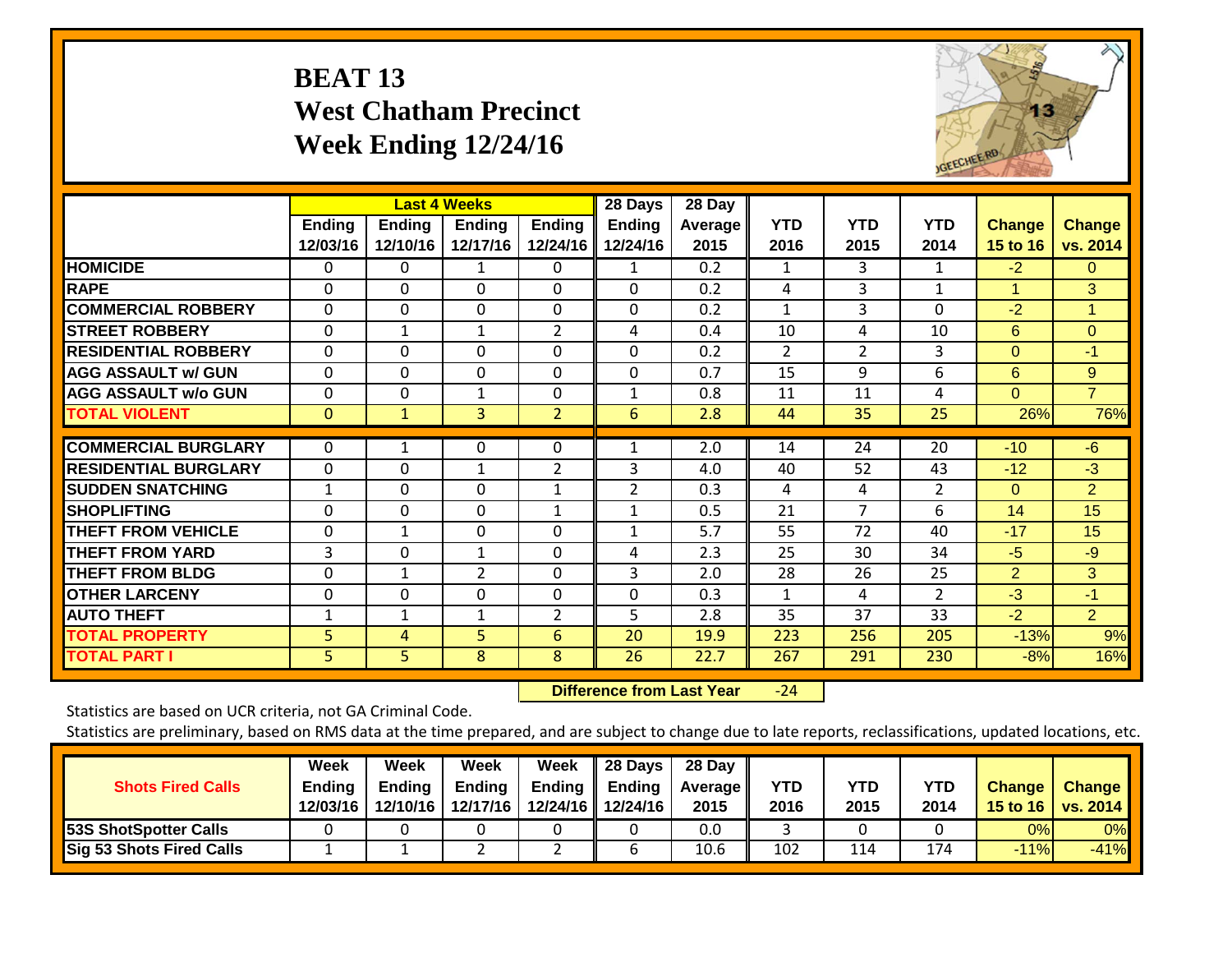### **BEAT 13 West Chatham Precinct Week Ending 12/24/16**



|                             |                    |                           | <b>Last 4 Weeks</b>       |                           | 28 Days            | 28 Day                 |                    |                    |                    |                           |                           |
|-----------------------------|--------------------|---------------------------|---------------------------|---------------------------|--------------------|------------------------|--------------------|--------------------|--------------------|---------------------------|---------------------------|
|                             | Ending<br>12/03/16 | <b>Ending</b><br>12/10/16 | <b>Endina</b><br>12/17/16 | <b>Ending</b><br>12/24/16 | Ending<br>12/24/16 | <b>Average</b><br>2015 | <b>YTD</b><br>2016 | <b>YTD</b><br>2015 | <b>YTD</b><br>2014 | <b>Change</b><br>15 to 16 | <b>Change</b><br>vs. 2014 |
| <b>HOMICIDE</b>             | 0                  | 0                         | 1                         | $\Omega$                  | 1                  | 0.2                    | 1                  | 3                  | 1                  | $-2$                      | $\Omega$                  |
| <b>RAPE</b>                 | 0                  | $\Omega$                  | $\Omega$                  | 0                         | $\Omega$           | 0.2                    | 4                  | 3                  | $\mathbf{1}$       | 1                         | 3                         |
| <b>COMMERCIAL ROBBERY</b>   | $\Omega$           | $\Omega$                  | $\Omega$                  | $\Omega$                  | $\Omega$           | 0.2                    | $\mathbf{1}$       | 3                  | 0                  | $-2$                      | $\blacktriangleleft$      |
| <b>STREET ROBBERY</b>       | $\mathbf 0$        | $\mathbf{1}$              | $\mathbf{1}$              | $\overline{2}$            | 4                  | 0.4                    | 10                 | 4                  | 10                 | 6                         | $\overline{0}$            |
| <b>RESIDENTIAL ROBBERY</b>  | $\Omega$           | $\Omega$                  | $\Omega$                  | 0                         | $\Omega$           | 0.2                    | 2                  | 2                  | 3                  | $\Omega$                  | $-1$                      |
| <b>AGG ASSAULT w/ GUN</b>   | $\Omega$           | $\Omega$                  | $\Omega$                  | 0                         | $\Omega$           | 0.7                    | 15                 | 9                  | 6                  | 6                         | 9                         |
| <b>AGG ASSAULT w/o GUN</b>  | 0                  | 0                         | $\mathbf{1}$              | 0                         | 1                  | 0.8                    | 11                 | 11                 | 4                  | $\Omega$                  | $\overline{7}$            |
| <b>TOTAL VIOLENT</b>        | $\mathbf{0}$       | $\mathbf{1}$              | 3                         | $\overline{2}$            | 6                  | 2.8                    | 44                 | 35                 | 25                 | 26%                       | 76%                       |
| <b>COMMERCIAL BURGLARY</b>  | $\Omega$           |                           | 0                         | $\Omega$                  |                    | 2.0                    | 14                 | 24                 | 20                 | $-10$                     | $-6$                      |
| <b>RESIDENTIAL BURGLARY</b> | $\Omega$           | $\Omega$                  | 1                         | $\overline{2}$            | 3                  | 4.0                    | 40                 | 52                 | 43                 | $-12$                     | $-3$                      |
| <b>ISUDDEN SNATCHING</b>    | $\mathbf 1$        | $\Omega$                  | $\Omega$                  | $\mathbf{1}$              | 2                  | 0.3                    | 4                  | 4                  | $\overline{2}$     | $\Omega$                  | $\overline{2}$            |
| <b>SHOPLIFTING</b>          | $\Omega$           | $\Omega$                  | $\mathbf{0}$              | 1                         | $\mathbf{1}$       | 0.5                    | 21                 | 7                  | 6                  | 14                        | 15                        |
| <b>THEFT FROM VEHICLE</b>   | $\Omega$           | $\mathbf{1}$              | $\Omega$                  | 0                         | 1                  | 5.7                    | 55                 | 72                 | 40                 | $-17$                     | 15                        |
| <b>THEFT FROM YARD</b>      | 3                  | $\mathbf 0$               | $\mathbf{1}$              | 0                         |                    | 2.3                    | 25                 | 30                 | 34                 | $-5$                      | $-9$                      |
|                             |                    |                           |                           |                           | 4                  |                        |                    |                    |                    |                           |                           |
| <b>THEFT FROM BLDG</b>      | $\Omega$           | $\mathbf{1}$              | $\overline{2}$            | $\Omega$                  | 3                  | 2.0                    | 28                 | 26                 | 25                 | 2                         | 3                         |
| <b>OTHER LARCENY</b>        | $\Omega$           | $\Omega$                  | $\Omega$                  | $\Omega$                  | $\Omega$           | 0.3                    | 1                  | 4                  | $\overline{2}$     | $-3$                      | $-1$                      |
| <b>AUTO THEFT</b>           | 1                  | 1                         | $\mathbf{1}$              | $\overline{2}$            | 5                  | 2.8                    | 35                 | 37                 | 33                 | $-2$                      | $\overline{2}$            |
| <b>TOTAL PROPERTY</b>       | 5                  | 4                         | 5                         | 6                         | 20                 | 19.9                   | 223                | 256                | 205                | $-13%$                    | 9%                        |
| <b>TOTAL PART I</b>         | 5                  | 5                         | 8                         | 8                         | 26                 | 22.7                   | 267                | 291                | 230                | $-8%$                     | 16%                       |

 **Difference from Last Year**‐24

Statistics are based on UCR criteria, not GA Criminal Code.

| <b>Shots Fired Calls</b>     | Week<br><b>Ending</b><br>12/03/16 | Week<br><b>Ending</b><br>12/10/16 | Week<br><b>Ending</b><br>12/17/16 | Week<br><b>Ending</b> | 28 Days<br>Ending<br>12/24/16 12/24/16 | 28 Day<br><b>Average II</b><br>2015 | YTD<br>2016 | <b>YTD</b><br>2015 | <b>YTD</b><br>2014 | <b>Change</b> | <b>Change</b><br>15 to 16   vs. 2014 |
|------------------------------|-----------------------------------|-----------------------------------|-----------------------------------|-----------------------|----------------------------------------|-------------------------------------|-------------|--------------------|--------------------|---------------|--------------------------------------|
| <b>53S ShotSpotter Calls</b> |                                   |                                   |                                   |                       |                                        | 0.0                                 |             |                    |                    | 0%            | 0%                                   |
| Sig 53 Shots Fired Calls     |                                   |                                   |                                   |                       |                                        | 10.6                                | 102         | 114                | 174                | $-11%$        | $-41%$                               |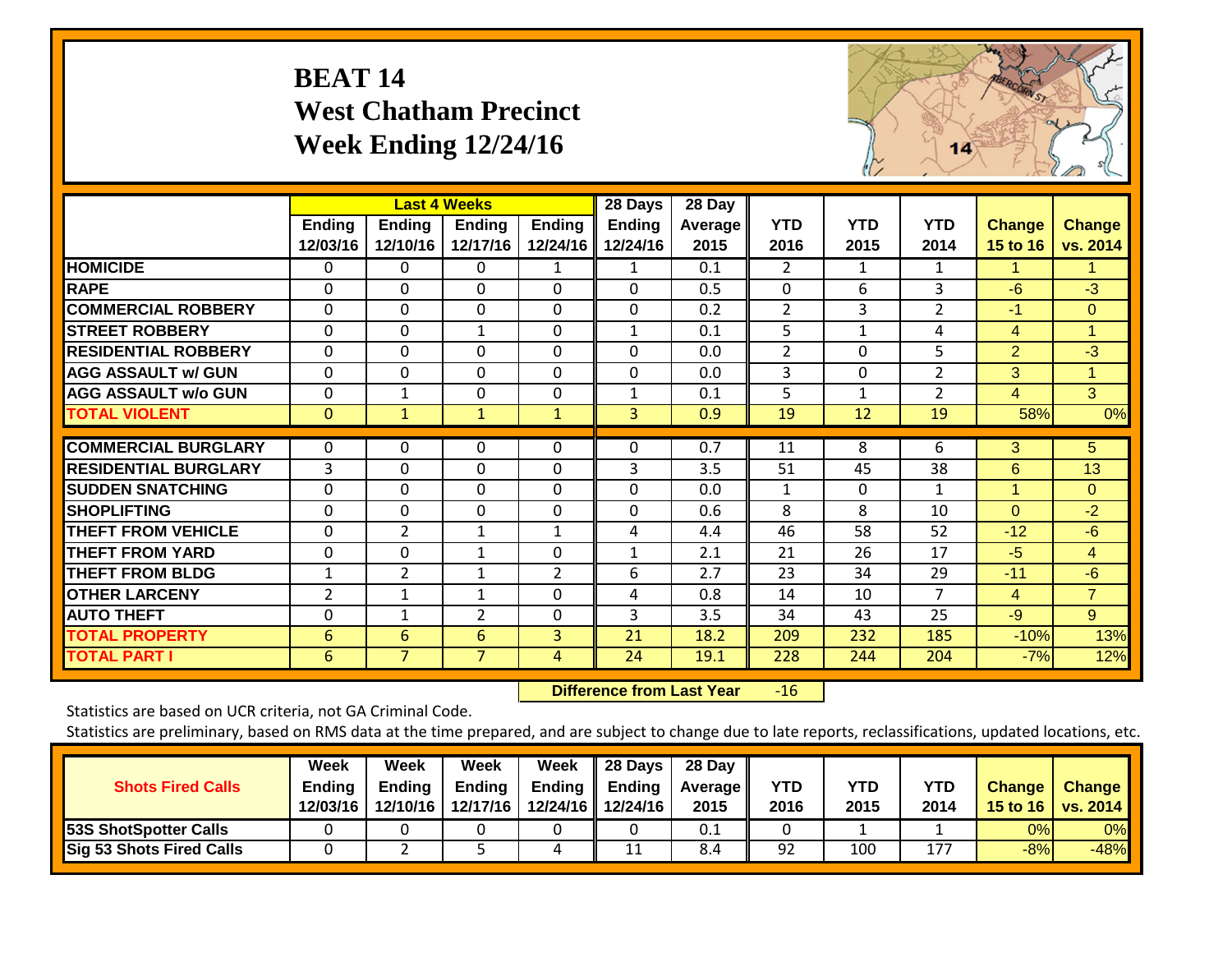## **BEAT 14 West Chatham Precinct Week Ending 12/24/16**



|                             |                           |                           | <b>Last 4 Weeks</b>       |                           | 28 Days            | 28 Day                 |                    |                    |                    |                           |                      |
|-----------------------------|---------------------------|---------------------------|---------------------------|---------------------------|--------------------|------------------------|--------------------|--------------------|--------------------|---------------------------|----------------------|
|                             | <b>Ending</b><br>12/03/16 | <b>Ending</b><br>12/10/16 | <b>Ending</b><br>12/17/16 | <b>Ending</b><br>12/24/16 | Ending<br>12/24/16 | <b>Average</b><br>2015 | <b>YTD</b><br>2016 | <b>YTD</b><br>2015 | <b>YTD</b><br>2014 | <b>Change</b><br>15 to 16 | Change<br>vs. 2014   |
| <b>HOMICIDE</b>             | $\Omega$                  | 0                         | $\Omega$                  | $\mathbf{1}$              | 1                  | 0.1                    | $\overline{2}$     | 1                  | 1                  | 1.                        |                      |
| <b>RAPE</b>                 | $\Omega$                  | $\Omega$                  | $\Omega$                  | 0                         | $\Omega$           | 0.5                    | $\Omega$           | 6                  | 3                  | $-6$                      | $-3$                 |
| <b>COMMERCIAL ROBBERY</b>   | $\Omega$                  | $\Omega$                  | $\Omega$                  | $\Omega$                  | $\Omega$           | 0.2                    | $\overline{2}$     | 3                  | $\overline{2}$     | $-1$                      | $\Omega$             |
| <b>STREET ROBBERY</b>       | $\mathbf 0$               | 0                         | $\mathbf{1}$              | $\mathbf 0$               | $\mathbf{1}$       | 0.1                    | 5                  | 1                  | 4                  | 4                         | $\blacktriangleleft$ |
| <b>RESIDENTIAL ROBBERY</b>  | $\Omega$                  | $\Omega$                  | $\Omega$                  | $\Omega$                  | $\Omega$           | 0.0                    | $\overline{2}$     | $\Omega$           | 5                  | $\overline{2}$            | $-3$                 |
| <b>AGG ASSAULT w/ GUN</b>   | $\mathbf 0$               | $\Omega$                  | $\mathbf 0$               | $\mathbf 0$               | $\Omega$           | 0.0                    | $\overline{3}$     | $\Omega$           | 2                  | 3                         | 1                    |
| <b>AGG ASSAULT w/o GUN</b>  | $\Omega$                  | 1                         | $\Omega$                  | 0                         | 1                  | 0.1                    | 5                  |                    | $\overline{2}$     | 4                         | 3                    |
| <b>TOTAL VIOLENT</b>        | $\mathbf{0}$              | 1                         | $\mathbf{1}$              | $\mathbf{1}$              | 3                  | 0.9                    | 19                 | 12                 | 19                 | 58%                       | 0%                   |
| <b>COMMERCIAL BURGLARY</b>  | 0                         | 0                         | 0                         | 0                         | $\Omega$           | 0.7                    | 11                 | 8                  | 6                  | 3                         | 5                    |
| <b>RESIDENTIAL BURGLARY</b> | $\overline{3}$            | $\Omega$                  | $\overline{0}$            | $\Omega$                  | 3                  | 3.5                    | 51                 | 45                 | 38                 | 6                         | 13                   |
| <b>SUDDEN SNATCHING</b>     | $\Omega$                  | $\Omega$                  | $\Omega$                  | $\Omega$                  | $\Omega$           | 0.0                    | $\mathbf{1}$       | $\Omega$           | $\mathbf{1}$       | 1                         | $\Omega$             |
| <b>SHOPLIFTING</b>          | $\Omega$                  | 0                         | $\Omega$                  | $\Omega$                  | $\Omega$           | 0.6                    | 8                  | 8                  | 10                 | $\Omega$                  | $-2$                 |
| <b>THEFT FROM VEHICLE</b>   | $\Omega$                  | $\overline{2}$            | 1                         | 1                         | 4                  | 4.4                    | 46                 | 58                 | 52                 | $-12$                     | $-6$                 |
| <b>THEFT FROM YARD</b>      | $\Omega$                  | $\Omega$                  | $\mathbf{1}$              | 0                         | 1                  | 2.1                    | 21                 | 26                 | 17                 | $-5$                      | $\overline{4}$       |
| <b>THEFT FROM BLDG</b>      | $\mathbf 1$               | 2                         | $\mathbf{1}$              | $\overline{2}$            | 6                  | 2.7                    | 23                 | 34                 | 29                 | $-11$                     | $-6$                 |
| <b>OTHER LARCENY</b>        | $\overline{2}$            | 1                         | 1                         | 0                         | 4                  | 0.8                    | 14                 | 10                 | 7                  | 4                         | $\overline{7}$       |
| <b>AUTO THEFT</b>           | 0                         | 1                         | $\overline{2}$            | $\Omega$                  | 3                  | 3.5                    | 34                 | 43                 | 25                 | $-9$                      | 9                    |
| <b>TOTAL PROPERTY</b>       | 6                         | 6                         | 6                         | 3                         | 21                 | 18.2                   | 209                | 232                | 185                | $-10%$                    | 13%                  |
| <b>TOTAL PART I</b>         | 6                         | $\overline{7}$            | 7                         | 4                         | 24                 | 19.1                   | 228                | 244                | 204                | $-7%$                     | 12%                  |

 **Difference from Last Year**r -16

Statistics are based on UCR criteria, not GA Criminal Code.

| <b>Shots Fired Calls</b>        | Week<br><b>Ending</b><br>12/03/16 | Week<br>Endina<br>12/10/16 | Week<br><b>Ending</b><br>12/17/16 | Week<br>Ending | 28 Days<br>Ending<br>12/24/16 12/24/16 | 28 Day<br><b>Average II</b><br>2015 | YTD<br>2016 | YTD<br>2015 | <b>YTD</b><br>2014 | <b>Change</b> | <b>Change</b><br>15 to 16   vs. 2014 |
|---------------------------------|-----------------------------------|----------------------------|-----------------------------------|----------------|----------------------------------------|-------------------------------------|-------------|-------------|--------------------|---------------|--------------------------------------|
| 53S ShotSpotter Calls           |                                   |                            |                                   |                |                                        | 0.1                                 |             |             |                    | 0%            | 0%                                   |
| <b>Sig 53 Shots Fired Calls</b> |                                   |                            |                                   | 4              | 11                                     | 8.4                                 | 92          | 100         | 177                | $-8%$         | $-48%$                               |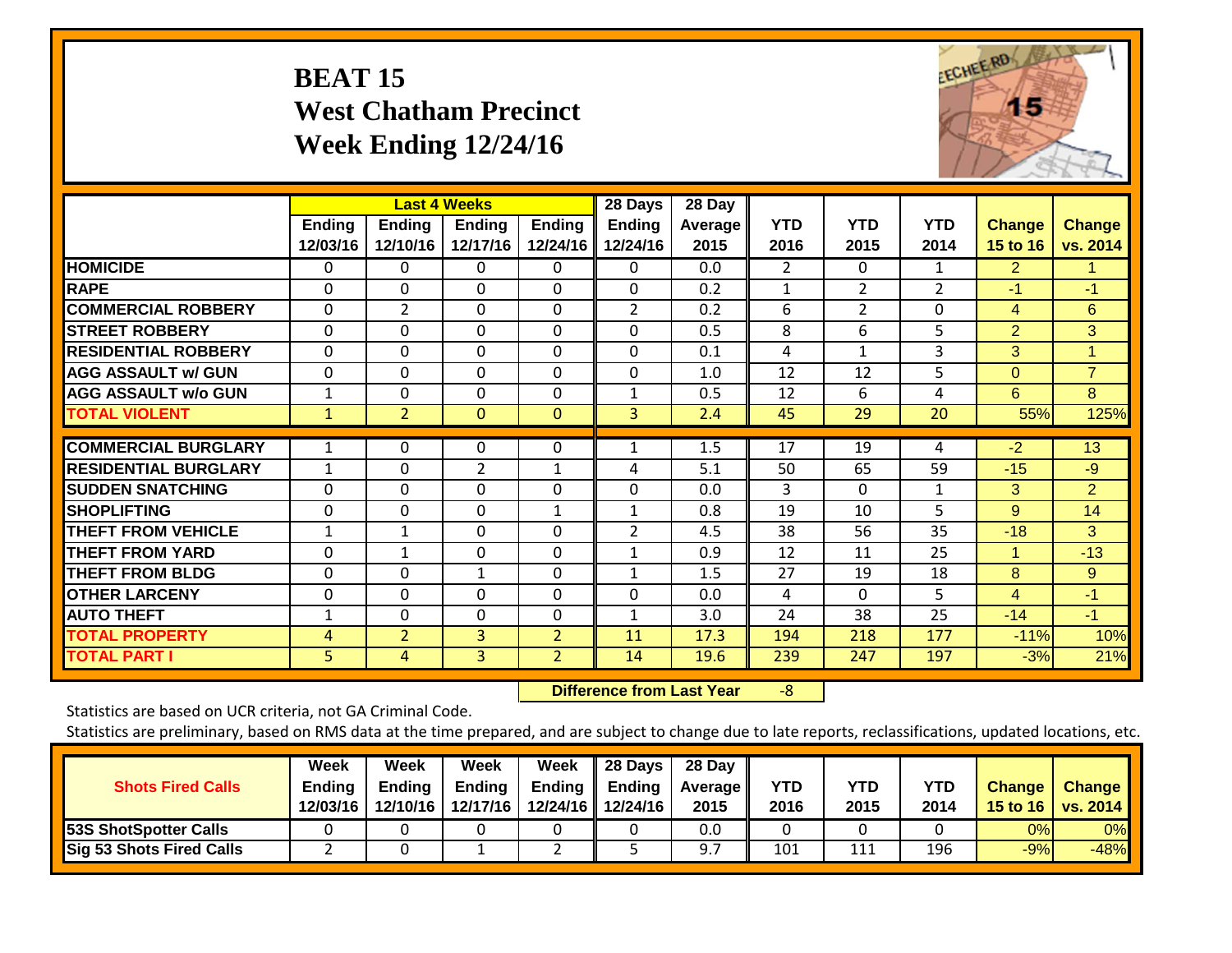### **BEAT 15 West Chatham Precinct Week Ending 12/24/16**



|                             |                           |                           | <b>Last 4 Weeks</b>       |                           | 28 Days                   | 28 Day                 |                    |                    |                    |                           |                           |
|-----------------------------|---------------------------|---------------------------|---------------------------|---------------------------|---------------------------|------------------------|--------------------|--------------------|--------------------|---------------------------|---------------------------|
|                             | <b>Ending</b><br>12/03/16 | <b>Ending</b><br>12/10/16 | <b>Ending</b><br>12/17/16 | <b>Ending</b><br>12/24/16 | <b>Ending</b><br>12/24/16 | <b>Average</b><br>2015 | <b>YTD</b><br>2016 | <b>YTD</b><br>2015 | <b>YTD</b><br>2014 | <b>Change</b><br>15 to 16 | <b>Change</b><br>vs. 2014 |
| <b>HOMICIDE</b>             | 0                         | 0                         | 0                         | 0                         | 0                         | 0.0                    | 2                  | 0                  | 1                  | $\overline{2}$            | 1.                        |
| <b>RAPE</b>                 | $\Omega$                  | $\Omega$                  | $\Omega$                  | $\Omega$                  | $\Omega$                  | 0.2                    | 1                  | $\overline{2}$     | $\overline{2}$     | -1                        | $-1$                      |
| <b>COMMERCIAL ROBBERY</b>   | $\Omega$                  | $\overline{2}$            | $\Omega$                  | $\Omega$                  | $\overline{2}$            | 0.2                    | 6                  | $\overline{2}$     | $\Omega$           | 4                         | 6                         |
| <b>STREET ROBBERY</b>       | 0                         | $\mathbf 0$               | $\mathbf 0$               | $\mathbf 0$               | $\mathbf 0$               | 0.5                    | 8                  | 6                  | 5                  | $\overline{2}$            | 3                         |
| <b>RESIDENTIAL ROBBERY</b>  | 0                         | $\Omega$                  | $\Omega$                  | $\Omega$                  | 0                         | 0.1                    | 4                  | $\mathbf{1}$       | 3                  | 3 <sup>1</sup>            | 1                         |
| <b>AGG ASSAULT w/ GUN</b>   | $\Omega$                  | $\Omega$                  | $\Omega$                  | $\Omega$                  | $\Omega$                  | 1.0                    | 12                 | 12                 | 5                  | $\Omega$                  | $\overline{7}$            |
| <b>AGG ASSAULT w/o GUN</b>  | 1                         | $\Omega$                  | $\Omega$                  | 0                         | $\mathbf{1}$              | 0.5                    | 12                 | 6                  | 4                  | 6                         | 8                         |
| <b>TOTAL VIOLENT</b>        | 1                         | $\overline{2}$            | $\mathbf{0}$              | $\mathbf{0}$              | $\overline{3}$            | 2.4                    | 45                 | 29                 | 20                 | 55%                       | 125%                      |
| <b>COMMERCIAL BURGLARY</b>  | $\mathbf 1$               | 0                         | $\Omega$                  | $\Omega$                  |                           | 1.5                    | 17                 | 19                 | 4                  | $-2$                      | 13                        |
| <b>RESIDENTIAL BURGLARY</b> | 1                         | $\Omega$                  | 2                         | $\mathbf{1}$              | 4                         | 5.1                    | 50                 | 65                 | 59                 | $-15$                     | $-9$                      |
| <b>ISUDDEN SNATCHING</b>    | 0                         | 0                         | $\Omega$                  | 0                         | 0                         | 0.0                    | 3                  | $\Omega$           | 1                  | 3                         | $\overline{2}$            |
| <b>SHOPLIFTING</b>          | 0                         | 0                         | $\Omega$                  | 1                         | $\mathbf{1}$              | 0.8                    | 19                 | 10                 | 5                  | 9                         | 14                        |
| <b>THEFT FROM VEHICLE</b>   | $\mathbf{1}$              | 1                         | $\Omega$                  | $\Omega$                  | $\overline{2}$            | 4.5                    | 38                 | 56                 | 35                 | $-18$                     | 3                         |
| <b>THEFT FROM YARD</b>      | 0                         | $\mathbf{1}$              | $\Omega$                  | $\Omega$                  | $\mathbf{1}$              | 0.9                    | 12                 | 11                 | 25                 | $\mathbf{1}$              | $-13$                     |
| <b>THEFT FROM BLDG</b>      | 0                         | $\Omega$                  | $\mathbf{1}$              | $\Omega$                  | $\mathbf{1}$              | 1.5                    | 27                 | 19                 | 18                 | 8                         | 9                         |
| <b>OTHER LARCENY</b>        | 0                         | 0                         | $\Omega$                  | 0                         | 0                         | 0.0                    | 4                  | $\Omega$           | 5                  | 4                         | $-1$                      |
| <b>AUTO THEFT</b>           | 1                         | 0                         | $\Omega$                  | $\Omega$                  |                           | 3.0                    | 24                 | 38                 | 25                 | $-14$                     | $-1$                      |
| <b>TOTAL PROPERTY</b>       | 4                         | $\overline{2}$            | 3                         | $\overline{2}$            | 11                        | 17.3                   | 194                | 218                | 177                | $-11%$                    | 10%                       |
| <b>TOTAL PART I</b>         | 5                         | 4                         | $\overline{3}$            | $\overline{2}$            | 14                        | 19.6                   | 239                | 247                | 197                | $-3%$                     | 21%                       |

 **Difference from Last Year**‐8

Statistics are based on UCR criteria, not GA Criminal Code.

| <b>Shots Fired Calls</b>        | Week<br><b>Ending</b><br>12/03/16 | Week<br><b>Ending</b><br>12/10/16 | Week<br><b>Ending</b><br>12/17/16 | Week<br><b>Ending</b> | 28 Days<br>Ending<br>12/24/16 12/24/16 | 28 Day<br><b>Average II</b><br>2015 | YTD<br>2016 | <b>YTD</b><br>2015 | <b>YTD</b><br>2014 | <b>Change</b> | <b>Change</b><br>15 to 16   vs. 2014 |
|---------------------------------|-----------------------------------|-----------------------------------|-----------------------------------|-----------------------|----------------------------------------|-------------------------------------|-------------|--------------------|--------------------|---------------|--------------------------------------|
| <b>53S ShotSpotter Calls</b>    |                                   |                                   |                                   |                       |                                        | 0.0                                 |             |                    |                    | 0%            | 0%                                   |
| <b>Sig 53 Shots Fired Calls</b> |                                   |                                   |                                   |                       |                                        |                                     | 101         | 111                | 196                | $-9%$         | $-48%$                               |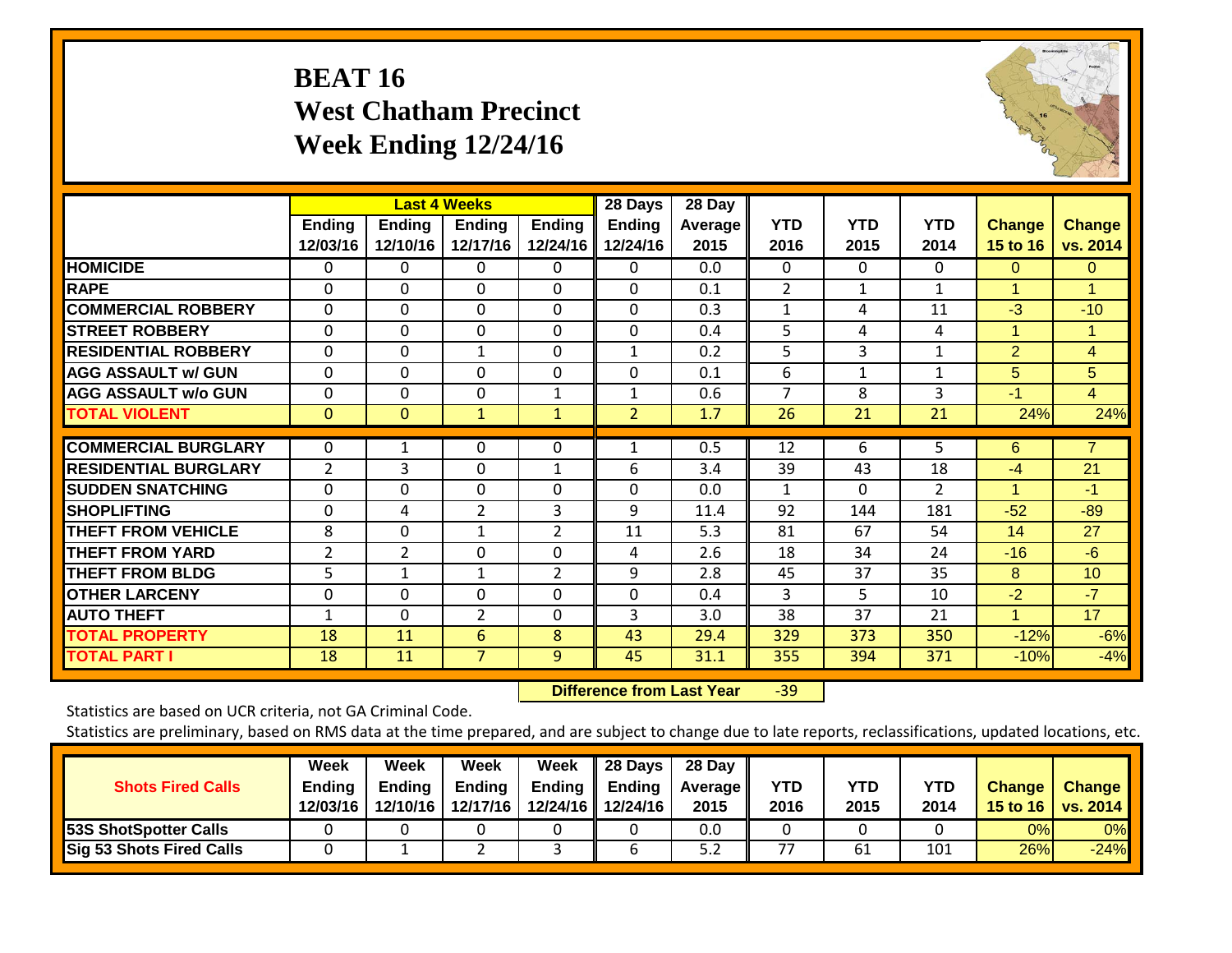### **BEAT 16 West Chatham Precinct Week Ending 12/24/16**



|                             |                           |                           | <b>Last 4 Weeks</b>       |                           | 28 Days            | 28 Day          |                    |                    |                    |                           |                           |
|-----------------------------|---------------------------|---------------------------|---------------------------|---------------------------|--------------------|-----------------|--------------------|--------------------|--------------------|---------------------------|---------------------------|
|                             | <b>Ending</b><br>12/03/16 | <b>Ending</b><br>12/10/16 | <b>Endina</b><br>12/17/16 | <b>Ending</b><br>12/24/16 | Ending<br>12/24/16 | Average<br>2015 | <b>YTD</b><br>2016 | <b>YTD</b><br>2015 | <b>YTD</b><br>2014 | <b>Change</b><br>15 to 16 | <b>Change</b><br>vs. 2014 |
| <b>HOMICIDE</b>             | 0                         | 0                         | $\Omega$                  | $\Omega$                  | 0                  | 0.0             | $\Omega$           | $\Omega$           | 0                  | $\Omega$                  | $\Omega$                  |
| <b>RAPE</b>                 | $\Omega$                  | $\Omega$                  | $\Omega$                  | 0                         | $\Omega$           | 0.1             | $\overline{2}$     | $\mathbf 1$        | $\mathbf{1}$       | $\blacktriangleleft$      | 1                         |
| <b>COMMERCIAL ROBBERY</b>   | 0                         | $\Omega$                  | $\Omega$                  | $\Omega$                  | $\Omega$           | 0.3             | $\mathbf{1}$       | 4                  | 11                 | $-3$                      | $-10$                     |
| <b>STREET ROBBERY</b>       | 0                         | 0                         | $\mathbf 0$               | $\Omega$                  | 0                  | 0.4             | 5                  | 4                  | 4                  | 1                         | 1                         |
| <b>RESIDENTIAL ROBBERY</b>  | 0                         | $\Omega$                  | $\mathbf{1}$              | 0                         | 1                  | 0.2             | 5                  | 3                  | $\mathbf{1}$       | 2                         | $\overline{4}$            |
| <b>AGG ASSAULT w/ GUN</b>   | $\Omega$                  | $\Omega$                  | $\mathbf 0$               | 0                         | $\Omega$           | 0.1             | 6                  | 1                  | 1                  | 5                         | 5                         |
| <b>AGG ASSAULT w/o GUN</b>  | 0                         | 0                         | $\mathbf{0}$              | 1                         | 1                  | 0.6             | $\overline{7}$     | 8                  | 3                  | $-1$                      | $\overline{4}$            |
| <b>TOTAL VIOLENT</b>        | $\mathbf{0}$              | 0                         | $\mathbf{1}$              | $\mathbf{1}$              | $\overline{2}$     | 1.7             | 26                 | 21                 | 21                 | 24%                       | 24%                       |
| <b>COMMERCIAL BURGLARY</b>  | $\Omega$                  |                           | $\Omega$                  | $\Omega$                  |                    | 0.5             | 12                 | 6                  | 5                  | 6                         | $\overline{7}$            |
| <b>RESIDENTIAL BURGLARY</b> | $\overline{2}$            | 3                         | $\Omega$                  | $\mathbf{1}$              | 6                  | 3.4             | 39                 | 43                 | 18                 | $-4$                      | 21                        |
| <b>SUDDEN SNATCHING</b>     | 0                         | $\Omega$                  | $\Omega$                  | 0                         | $\Omega$           | 0.0             | 1                  | 0                  | $\overline{2}$     | -1                        | -1                        |
| <b>SHOPLIFTING</b>          | 0                         | 4                         | $\overline{2}$            | 3                         | 9                  | 11.4            | 92                 | 144                | 181                | $-52$                     | $-89$                     |
| <b>THEFT FROM VEHICLE</b>   | 8                         | $\Omega$                  | $\mathbf{1}$              | 2                         | 11                 | 5.3             | 81                 | 67                 | 54                 | 14                        | 27                        |
| <b>THEFT FROM YARD</b>      | $\overline{2}$            | $\overline{2}$            | $\mathbf 0$               | 0                         | 4                  | 2.6             | 18                 | 34                 | 24                 | $-16$                     | $-6$                      |
| <b>THEFT FROM BLDG</b>      | 5                         | $\mathbf{1}$              | 1                         | $\overline{2}$            | 9                  | 2.8             | 45                 | 37                 | 35                 | 8                         | 10                        |
| <b>OTHER LARCENY</b>        | 0                         | $\Omega$                  | $\Omega$                  | 0                         | $\Omega$           | 0.4             | 3                  | 5.                 | 10                 | $-2$                      | $-7$                      |
| <b>AUTO THEFT</b>           | $\mathbf 1$               | $\Omega$                  | $\overline{2}$            | 0                         | 3                  | 3.0             | 38                 | 37                 | 21                 | и                         | 17                        |
| <b>TOTAL PROPERTY</b>       | 18                        | 11                        | 6                         | 8                         | 43                 | 29.4            | 329                | 373                | 350                | $-12%$                    | $-6%$                     |
| <b>TOTAL PART I</b>         | 18                        | 11                        | $\overline{7}$            | 9                         | 45                 | 31.1            | 355                | 394                | 371                | $-10%$                    | $-4%$                     |

 **Difference from Last Year**r -39

Statistics are based on UCR criteria, not GA Criminal Code.

| <b>Shots Fired Calls</b>        | Week<br><b>Ending</b><br>12/03/16 | Week<br><b>Ending</b><br>12/10/16 | Week<br><b>Ending</b><br>12/17/16 | Week<br><b>Ending</b> | 28 Days<br>Ending<br>12/24/16 12/24/16 | 28 Day<br><b>Average II</b><br>2015 | YTD<br>2016 | <b>YTD</b><br>2015 | <b>YTD</b><br>2014 | <b>Change</b> | <b>Change</b><br>15 to 16   vs. 2014 |
|---------------------------------|-----------------------------------|-----------------------------------|-----------------------------------|-----------------------|----------------------------------------|-------------------------------------|-------------|--------------------|--------------------|---------------|--------------------------------------|
| <b>53S ShotSpotter Calls</b>    |                                   |                                   |                                   |                       |                                        | 0.0                                 |             |                    |                    | 0%            | 0%                                   |
| <b>Sig 53 Shots Fired Calls</b> |                                   |                                   |                                   |                       |                                        | 5.2                                 | 77          | 61                 | 101                | 26%           | $-24%$                               |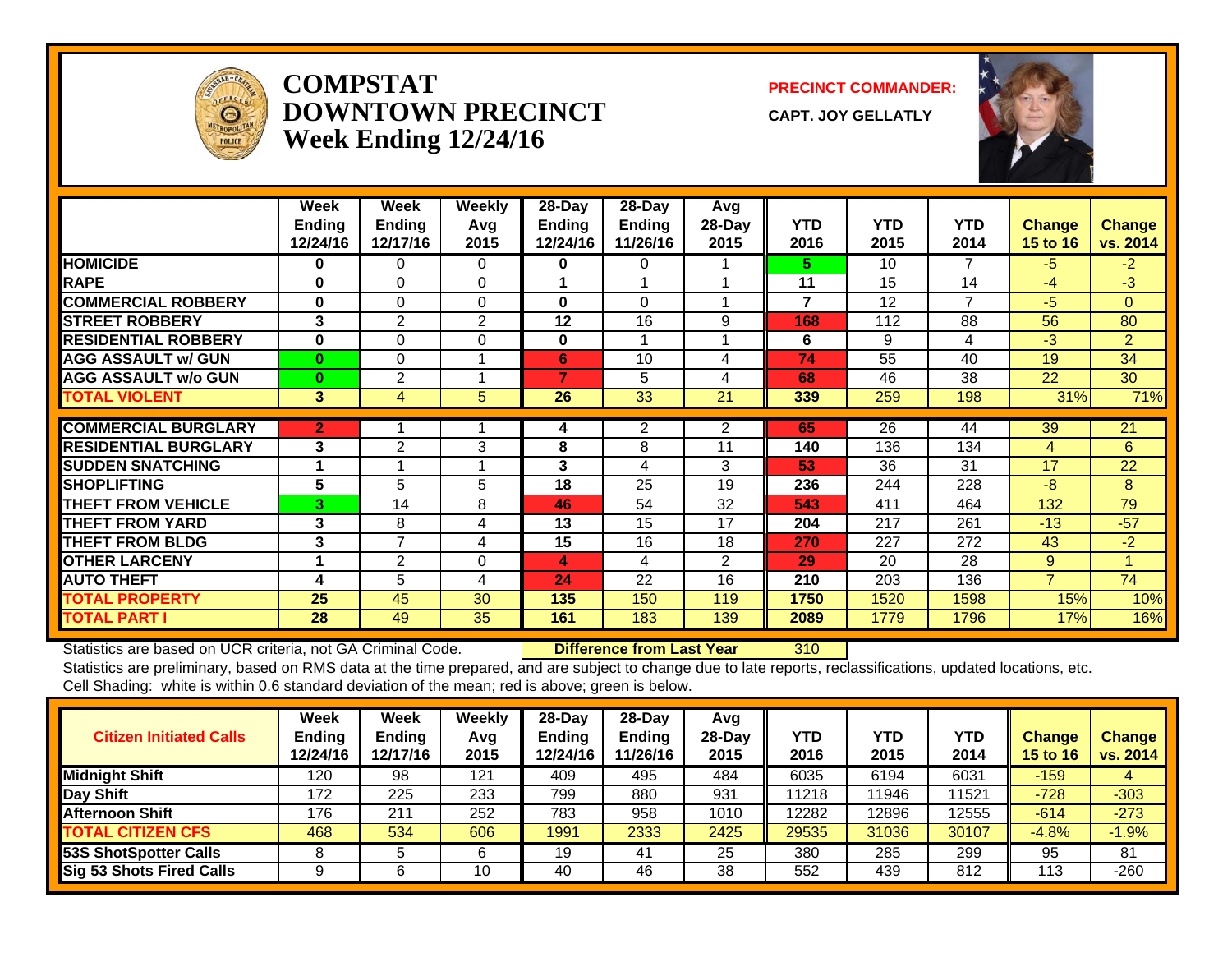

#### **COMPSTATDOWNTOWN PRECINCTWeek Ending 12/24/16**

**PRECINCT COMMANDER:**

**CAPT. JOY GELLATLY**



|                             | Week          | Week           | <b>Weekly</b> | $28$ -Day      | 28-Day        | Avg            |                |            |            |                 |                |
|-----------------------------|---------------|----------------|---------------|----------------|---------------|----------------|----------------|------------|------------|-----------------|----------------|
|                             | <b>Endina</b> | <b>Endina</b>  | Avq           | Ending         | <b>Ending</b> | $28-Day$       | <b>YTD</b>     | <b>YTD</b> | <b>YTD</b> | <b>Change</b>   | <b>Change</b>  |
|                             | 12/24/16      | 12/17/16       | 2015          | 12/24/16       | 11/26/16      | 2015           | 2016           | 2015       | 2014       | <b>15 to 16</b> | vs. 2014       |
| <b>HOMICIDE</b>             | 0             | 0              | 0             | 0              | 0             |                | 5.             | 10         | 7          | $-5$            | $-2$           |
| <b>RAPE</b>                 | $\bf{0}$      | $\Omega$       | $\Omega$      |                |               |                | 11             | 15         | 14         | $-4$            | $-3$           |
| <b>COMMERCIAL ROBBERY</b>   | $\bf{0}$      | $\Omega$       | $\Omega$      | $\bf{0}$       | 0             |                | $\overline{7}$ | 12         | 7          | $-5$            | $\Omega$       |
| <b>STREET ROBBERY</b>       | 3             | 2              | 2             | 12             | 16            | 9              | 168            | 112        | 88         | 56              | 80             |
| <b>RESIDENTIAL ROBBERY</b>  | $\bf{0}$      | $\Omega$       | $\Omega$      | 0              | 1             |                | 6              | 9          | 4          | $-3$            | $\overline{2}$ |
| <b>AGG ASSAULT w/ GUN</b>   | $\mathbf{0}$  | $\Omega$       |               | 6              | 10            | 4              | 74             | 55         | 40         | 19              | 34             |
| <b>AGG ASSAULT w/o GUN</b>  | $\bf{0}$      | $\overline{2}$ |               | $\overline{ }$ | 5             | 4              | 68             | 46         | 38         | 22              | 30             |
| <b>TOTAL VIOLENT</b>        | 3             | 4              | 5             | 26             | 33            | 21             | 339            | 259        | 198        | 31%             | 71%            |
| <b>COMMERCIAL BURGLARY</b>  | $\mathbf{2}$  |                |               | 4              | 2             | 2              | 65             | 26         | 44         | 39              | 21             |
| <b>RESIDENTIAL BURGLARY</b> | 3             | 2              | 3             | 8              | 8             | 11             | 140            | 136        | 134        | 4               | 6              |
| <b>SUDDEN SNATCHING</b>     |               |                |               | 3              | 4             | 3              | 53             | 36         | 31         | 17              | 22             |
| <b>SHOPLIFTING</b>          | 5             | 5              | 5             | 18             | 25            | 19             | 236            | 244        | 228        | $-8$            | 8              |
| <b>THEFT FROM VEHICLE</b>   | 3             | 14             | 8             | 46             | 54            | 32             | 543            | 411        | 464        | 132             | 79             |
| <b>THEFT FROM YARD</b>      | 3             | 8              | 4             | 13             | 15            | 17             | 204            | 217        | 261        | $-13$           | $-57$          |
| <b>THEFT FROM BLDG</b>      | 3             | $\overline{7}$ | 4             | 15             | 16            | 18             | 270            | 227        | 272        | 43              | $-2$           |
| <b>OTHER LARCENY</b>        | 4             | 2              | $\mathbf 0$   | 4              | 4             | $\overline{2}$ | 29             | 20         | 28         | 9               | 1              |
| <b>AUTO THEFT</b>           | 4             | 5              | 4             | 24             | 22            | 16             | 210            | 203        | 136        | $\overline{7}$  | 74             |
| <b>TOTAL PROPERTY</b>       | 25            | 45             | 30            | 135            | 150           | 119            | 1750           | 1520       | 1598       | 15%             | 10%            |
| <b>TOTAL PART I</b>         | 28            | 49             | 35            | 161            | 183           | 139            | 2089           | 1779       | 1796       | 17%             | 16%            |

Statistics are based on UCR criteria, not GA Criminal Code. **Difference from Last Year** 310

| <b>Citizen Initiated Calls</b>  | <b>Week</b><br><b>Ending</b><br>12/24/16 | <b>Week</b><br><b>Ending</b><br>12/17/16 | Weekly<br>Avg<br>2015 | $28-Dav$<br><b>Ending</b><br>2/24/16 | 28-Day<br><b>Ending</b><br>11/26/16 | Avg<br>$28-Day$<br>2015 | YTD<br>2016 | YTD<br>2015       | YTD<br>2014 | <b>Change</b><br><b>15 to 16</b> | <b>Change</b><br>vs. 2014 |
|---------------------------------|------------------------------------------|------------------------------------------|-----------------------|--------------------------------------|-------------------------------------|-------------------------|-------------|-------------------|-------------|----------------------------------|---------------------------|
| <b>Midnight Shift</b>           | 120                                      | 98                                       | 121                   | 409                                  | 495                                 | 484                     | 6035        | $61\overline{94}$ | 6031        | $-159$                           | 4                         |
| Day Shift                       | 172                                      | 225                                      | 233                   | 799                                  | 880                                 | 931                     | 11218       | 11946             | 11521       | $-728$                           | $-303$                    |
| <b>Afternoon Shift</b>          | 176                                      | 211                                      | 252                   | 783                                  | 958                                 | 1010                    | 12282       | 12896             | 12555       | $-614$                           | $-273$                    |
| <b>TOTAL CITIZEN CFS</b>        | 468                                      | 534                                      | 606                   | 1991                                 | 2333                                | 2425                    | 29535       | 31036             | 30107       | $-4.8%$                          | $-1.9%$                   |
| <b>53S ShotSpotter Calls</b>    |                                          |                                          | 6                     | 19                                   | 41                                  | 25                      | 380         | 285               | 299         | 95                               | 81                        |
| <b>Sig 53 Shots Fired Calls</b> |                                          |                                          | 10                    | 40                                   | 46                                  | 38                      | 552         | 439               | 812         | 113                              | $-260$                    |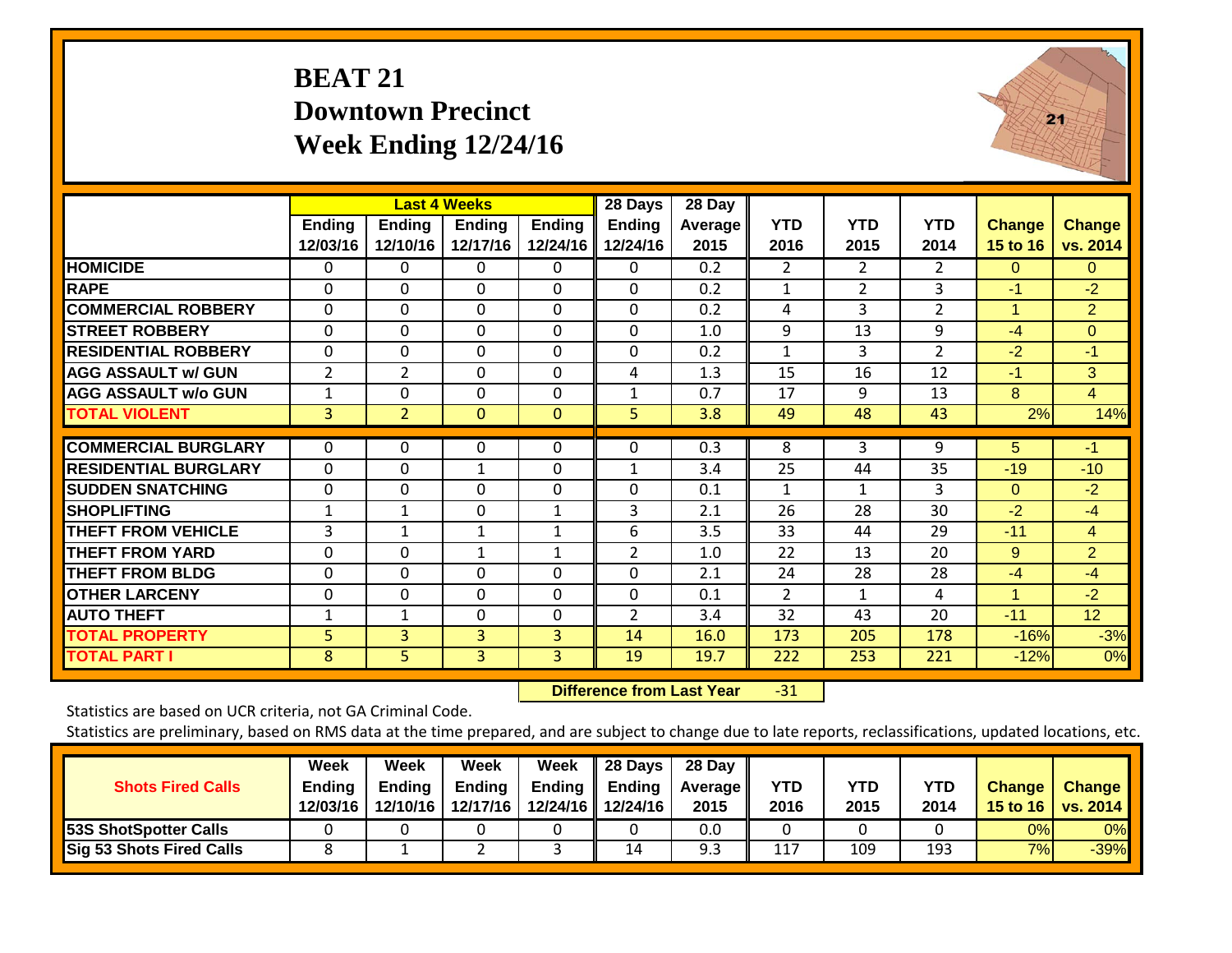## **BEAT 21 Downtown Precinct Week Ending 12/24/16**



|                             |                           |                           | <b>Last 4 Weeks</b>       |                           | 28 Days            | 28 Day          |                    |                    |                    |                           |                           |
|-----------------------------|---------------------------|---------------------------|---------------------------|---------------------------|--------------------|-----------------|--------------------|--------------------|--------------------|---------------------------|---------------------------|
|                             | <b>Ending</b><br>12/03/16 | <b>Ending</b><br>12/10/16 | <b>Ending</b><br>12/17/16 | <b>Ending</b><br>12/24/16 | Ending<br>12/24/16 | Average<br>2015 | <b>YTD</b><br>2016 | <b>YTD</b><br>2015 | <b>YTD</b><br>2014 | <b>Change</b><br>15 to 16 | <b>Change</b><br>vs. 2014 |
| <b>HOMICIDE</b>             | $\Omega$                  | 0                         | $\Omega$                  | $\Omega$                  | 0                  | 0.2             | 2                  | $\overline{2}$     | $\overline{2}$     | $\Omega$                  | 0                         |
| <b>RAPE</b>                 | $\Omega$                  | $\Omega$                  | $\Omega$                  | 0                         | $\Omega$           | 0.2             | 1                  | $\overline{2}$     | 3                  | -1                        | $-2$                      |
| <b>COMMERCIAL ROBBERY</b>   | $\Omega$                  | $\Omega$                  | $\Omega$                  | $\Omega$                  | $\Omega$           | 0.2             | 4                  | 3                  | $\overline{2}$     | 1                         | $\overline{2}$            |
| <b>STREET ROBBERY</b>       | $\Omega$                  | $\mathbf 0$               | $\mathbf 0$               | $\Omega$                  | $\mathbf 0$        | 1.0             | 9                  | 13                 | 9                  | $-4$                      | $\overline{0}$            |
| <b>RESIDENTIAL ROBBERY</b>  | $\Omega$                  | 0                         | $\mathbf 0$               | $\Omega$                  | 0                  | 0.2             | 1                  | 3                  | $\overline{2}$     | $-2$                      | $-1$                      |
| <b>AGG ASSAULT w/ GUN</b>   | $\overline{2}$            | $\overline{2}$            | $\mathbf{0}$              | $\Omega$                  | 4                  | 1.3             | 15                 | 16                 | 12                 | $-1$                      | 3                         |
| <b>AGG ASSAULT w/o GUN</b>  | 1                         | 0                         | $\Omega$                  | $\Omega$                  | $\mathbf{1}$       | 0.7             | 17                 | 9                  | 13                 | 8                         | $\overline{4}$            |
| <b>TOTAL VIOLENT</b>        | 3                         | $\overline{2}$            | $\mathbf{0}$              | $\mathbf{0}$              | 5                  | 3.8             | 49                 | 48                 | 43                 | 2%                        | 14%                       |
| <b>COMMERCIAL BURGLARY</b>  | 0                         | 0                         | $\mathbf 0$               | 0                         | 0                  | 0.3             | 8                  | 3                  | 9                  | 5                         | $-1$                      |
| <b>RESIDENTIAL BURGLARY</b> | $\Omega$                  | 0                         | $\mathbf{1}$              | 0                         | 1                  | 3.4             | 25                 | 44                 | 35                 | $-19$                     | $-10$                     |
| <b>SUDDEN SNATCHING</b>     | $\Omega$                  | $\mathbf 0$               | $\mathbf{0}$              | $\Omega$                  | $\Omega$           | 0.1             | 1                  | $\mathbf{1}$       | 3                  | $\Omega$                  | $-2$                      |
| <b>SHOPLIFTING</b>          | 1                         | 1                         | $\mathbf{0}$              | $\mathbf{1}$              | 3                  | 2.1             | 26                 | 28                 | 30                 | $-2$                      | $-4$                      |
| <b>THEFT FROM VEHICLE</b>   | 3                         | $\mathbf{1}$              | $\mathbf{1}$              | 1                         | 6                  | 3.5             | 33                 | 44                 | 29                 | $-11$                     | $\overline{4}$            |
| <b>THEFT FROM YARD</b>      | $\Omega$                  | 0                         | $\mathbf{1}$              | $\mathbf{1}$              | $\overline{2}$     | 1.0             | 22                 | 13                 | 20                 | 9                         | $\overline{2}$            |
| <b>THEFT FROM BLDG</b>      | 0                         | 0                         | $\Omega$                  | 0                         | $\Omega$           | 2.1             | 24                 | 28                 | 28                 | $-4$                      | $-4$                      |
| <b>OTHER LARCENY</b>        | $\Omega$                  | 0                         | $\mathbf{0}$              | $\Omega$                  | $\Omega$           | 0.1             | $\overline{2}$     | $\mathbf{1}$       | 4                  | 1                         | $-2$                      |
| <b>AUTO THEFT</b>           | $\mathbf{1}$              | 1                         | $\mathbf{0}$              | 0                         | $\overline{2}$     | 3.4             | 32                 | 43                 | 20                 | $-11$                     | 12                        |
| <b>TOTAL PROPERTY</b>       | 5                         | 3                         | $\overline{3}$            | 3                         | 14                 | 16.0            | 173                | 205                | 178                | $-16%$                    | $-3%$                     |
| <b>TOTAL PART I</b>         | 8                         | 5 <sup>1</sup>            | $\overline{3}$            | 3                         | 19                 | 19.7            | 222                | 253                | 221                | $-12%$                    | 0%                        |

 **Difference from Last Year**‐31

Statistics are based on UCR criteria, not GA Criminal Code.

| <b>Shots Fired Calls</b>        | Week<br><b>Ending</b><br>12/03/16 | Week<br><b>Ending</b><br>12/10/16 | Week<br><b>Ending</b><br>12/17/16 | Week<br><b>Ending</b> | 28 Days<br>Ending<br>12/24/16 12/24/16 | 28 Day<br><b>Average II</b><br>2015 | YTD<br>2016 | <b>YTD</b><br>2015 | <b>YTD</b><br>2014 | <b>Change</b> | <b>Change</b><br>15 to 16   vs. 2014 |
|---------------------------------|-----------------------------------|-----------------------------------|-----------------------------------|-----------------------|----------------------------------------|-------------------------------------|-------------|--------------------|--------------------|---------------|--------------------------------------|
| <b>53S ShotSpotter Calls</b>    |                                   |                                   |                                   |                       |                                        | 0.0                                 |             |                    |                    | 0%            | $0\%$                                |
| <b>Sig 53 Shots Fired Calls</b> |                                   |                                   |                                   |                       | 14                                     |                                     | 117         | 109                | 193                | 7%            | $-39%$                               |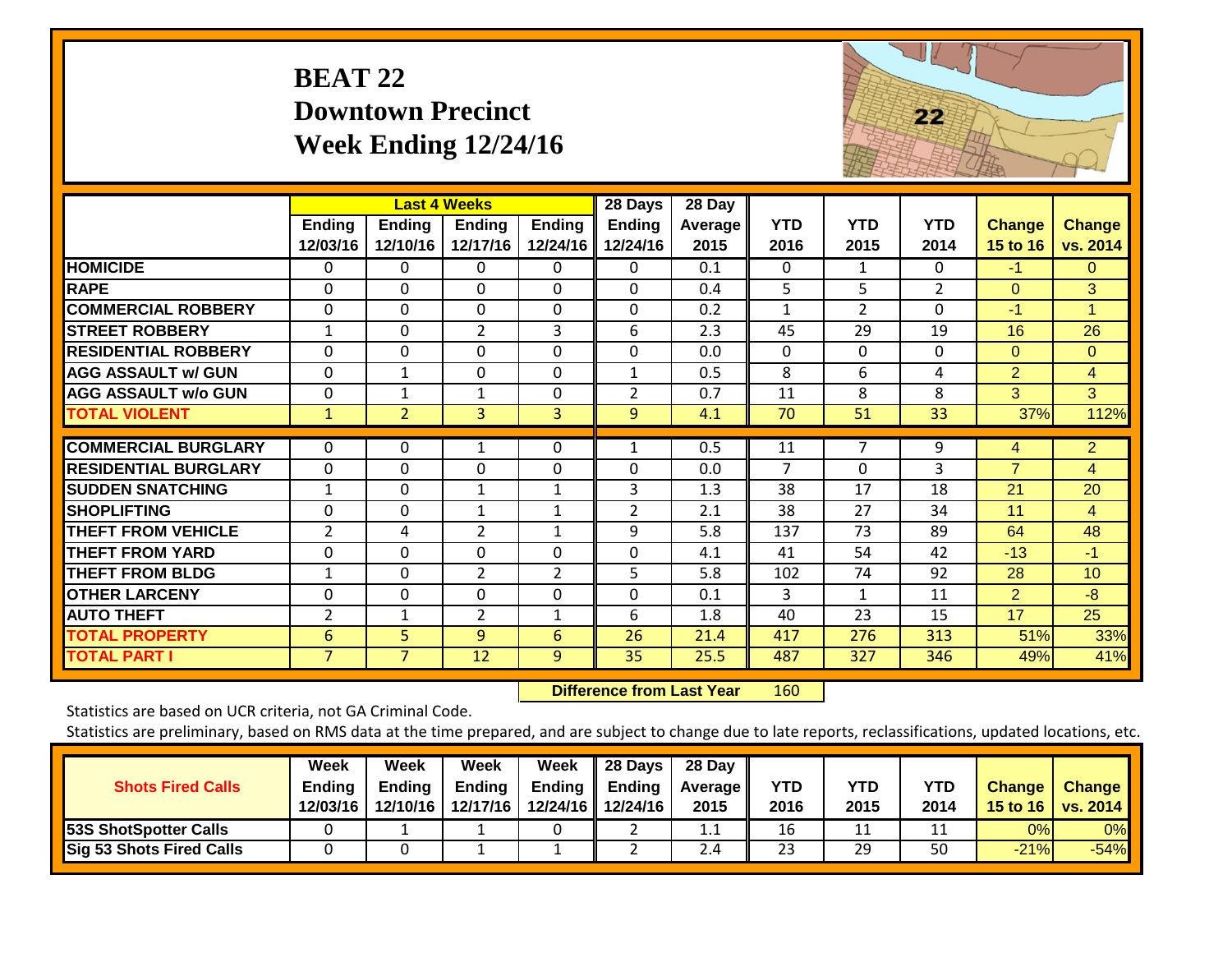## **BEAT 22 Downtown Precinct Week Ending 12/24/16**



|                             |                           |                           | <b>Last 4 Weeks</b> |                           | 28 Days                   | 28 Day          |                    |                    |                    |                           |                           |
|-----------------------------|---------------------------|---------------------------|---------------------|---------------------------|---------------------------|-----------------|--------------------|--------------------|--------------------|---------------------------|---------------------------|
|                             | <b>Ending</b><br>12/03/16 | <b>Ending</b><br>12/10/16 | Ending<br>12/17/16  | <b>Ending</b><br>12/24/16 | <b>Ending</b><br>12/24/16 | Average<br>2015 | <b>YTD</b><br>2016 | <b>YTD</b><br>2015 | <b>YTD</b><br>2014 | <b>Change</b><br>15 to 16 | <b>Change</b><br>vs. 2014 |
| <b>HOMICIDE</b>             | 0                         | 0                         | $\mathbf 0$         | 0                         | $\Omega$                  | 0.1             | $\Omega$           | $\mathbf{1}$       | $\Omega$           | $-1$                      | $\Omega$                  |
| <b>RAPE</b>                 | $\Omega$                  | $\Omega$                  | $\Omega$            | $\Omega$                  | $\Omega$                  | 0.4             | 5                  | 5                  | $\overline{2}$     | $\Omega$                  | 3                         |
| <b>COMMERCIAL ROBBERY</b>   | $\Omega$                  | $\Omega$                  | $\mathbf 0$         | $\Omega$                  | 0                         | 0.2             | 1                  | $\overline{2}$     | $\Omega$           | -1                        | 1                         |
| <b>STREET ROBBERY</b>       | $\mathbf{1}$              | $\Omega$                  | $\overline{2}$      | 3                         | 6                         | 2.3             | 45                 | 29                 | 19                 | 16                        | 26                        |
| <b>RESIDENTIAL ROBBERY</b>  | $\mathbf 0$               | $\mathbf 0$               | $\mathbf 0$         | $\Omega$                  | $\mathbf 0$               | 0.0             | $\mathbf{0}$       | 0                  | $\Omega$           | $\Omega$                  | $\Omega$                  |
| <b>AGG ASSAULT w/ GUN</b>   | $\mathbf 0$               | $\mathbf 1$               | $\mathbf{0}$        | $\Omega$                  | $\mathbf{1}$              | 0.5             | 8                  | 6                  | 4                  | $\overline{2}$            | $\overline{4}$            |
| <b>AGG ASSAULT w/o GUN</b>  | $\Omega$                  | 1                         | 1                   | $\Omega$                  | $\overline{2}$            | 0.7             | 11                 | 8                  | 8                  | 3                         | 3                         |
| <b>TOTAL VIOLENT</b>        | $\mathbf{1}$              | $\overline{2}$            | 3                   | 3                         | 9                         | 4.1             | 70                 | 51                 | 33                 | 37%                       | 112%                      |
| <b>COMMERCIAL BURGLARY</b>  | $\Omega$                  | 0                         | 1                   | 0                         | 1                         | 0.5             | 11                 | $\overline{7}$     | 9                  | 4                         | $\overline{2}$            |
| <b>RESIDENTIAL BURGLARY</b> | $\mathbf 0$               | $\mathbf 0$               | 0                   | 0                         | $\mathbf 0$               | 0.0             | 7                  | $\Omega$           | 3                  | $\overline{7}$            | $\overline{4}$            |
| <b>SUDDEN SNATCHING</b>     | $\mathbf{1}$              | $\mathbf 0$               | $\mathbf{1}$        | 1                         | $\overline{3}$            | 1.3             | 38                 | 17                 | 18                 | 21                        | 20                        |
| <b>SHOPLIFTING</b>          | $\Omega$                  | $\Omega$                  | $\mathbf{1}$        | 1                         | $\overline{2}$            | 2.1             | 38                 | 27                 | 34                 | 11                        | $\overline{4}$            |
| <b>THEFT FROM VEHICLE</b>   | $\overline{2}$            | 4                         | $\overline{2}$      | 1                         | 9                         | 5.8             | 137                | 73                 | 89                 | 64                        | 48                        |
| <b>THEFT FROM YARD</b>      | $\Omega$                  | $\Omega$                  | $\mathbf{0}$        | 0                         | $\Omega$                  | 4.1             | 41                 | 54                 | 42                 | $-13$                     | $-1$                      |
| <b>THEFT FROM BLDG</b>      | $\mathbf{1}$              | $\Omega$                  | $\overline{2}$      | $\overline{2}$            | 5                         | 5.8             | 102                | 74                 | 92                 | 28                        | 10                        |
| <b>OTHER LARCENY</b>        | 0                         | $\Omega$                  | $\Omega$            | $\Omega$                  | $\Omega$                  | 0.1             | 3                  | 1                  | 11                 | $\overline{2}$            | $-8$                      |
| <b>AUTO THEFT</b>           | $\overline{2}$            | $\mathbf{1}$              | $\overline{2}$      | 1                         | 6                         | 1.8             | 40                 | 23                 | 15                 | 17                        | 25                        |
| <b>TOTAL PROPERTY</b>       | 6                         | 5                         | 9                   | 6                         | 26                        | 21.4            | 417                | 276                | 313                | 51%                       | 33%                       |
| <b>TOTAL PART I</b>         | $\overline{7}$            | $\overline{7}$            | 12                  | 9                         | 35                        | 25.5            | 487                | 327                | 346                | 49%                       | 41%                       |

 **Difference from Last Year**r 160

Statistics are based on UCR criteria, not GA Criminal Code.

| <b>Shots Fired Calls</b>        | Week<br><b>Ending</b><br>12/03/16 | Week<br>Endina<br>12/10/16 | Week<br><b>Ending</b><br>12/17/16 | Week<br>Ending | 28 Days<br><b>Ending</b><br>12/24/16 12/24/16 | 28 Day<br><b>Average II</b><br>2015 | YTD<br>2016 | YTD<br>2015 | <b>YTD</b><br>2014 | <b>Change</b> | <b>Change</b><br>15 to 16   vs. 2014 |
|---------------------------------|-----------------------------------|----------------------------|-----------------------------------|----------------|-----------------------------------------------|-------------------------------------|-------------|-------------|--------------------|---------------|--------------------------------------|
| <b>53S ShotSpotter Calls</b>    |                                   |                            |                                   |                |                                               | 1.1                                 | 16          | 11          | ᆠ                  | 0%            | 0%                                   |
| <b>Sig 53 Shots Fired Calls</b> |                                   |                            |                                   |                |                                               | 2.4                                 | 23          | 29          | 50                 | $-21%$        | $-54%$                               |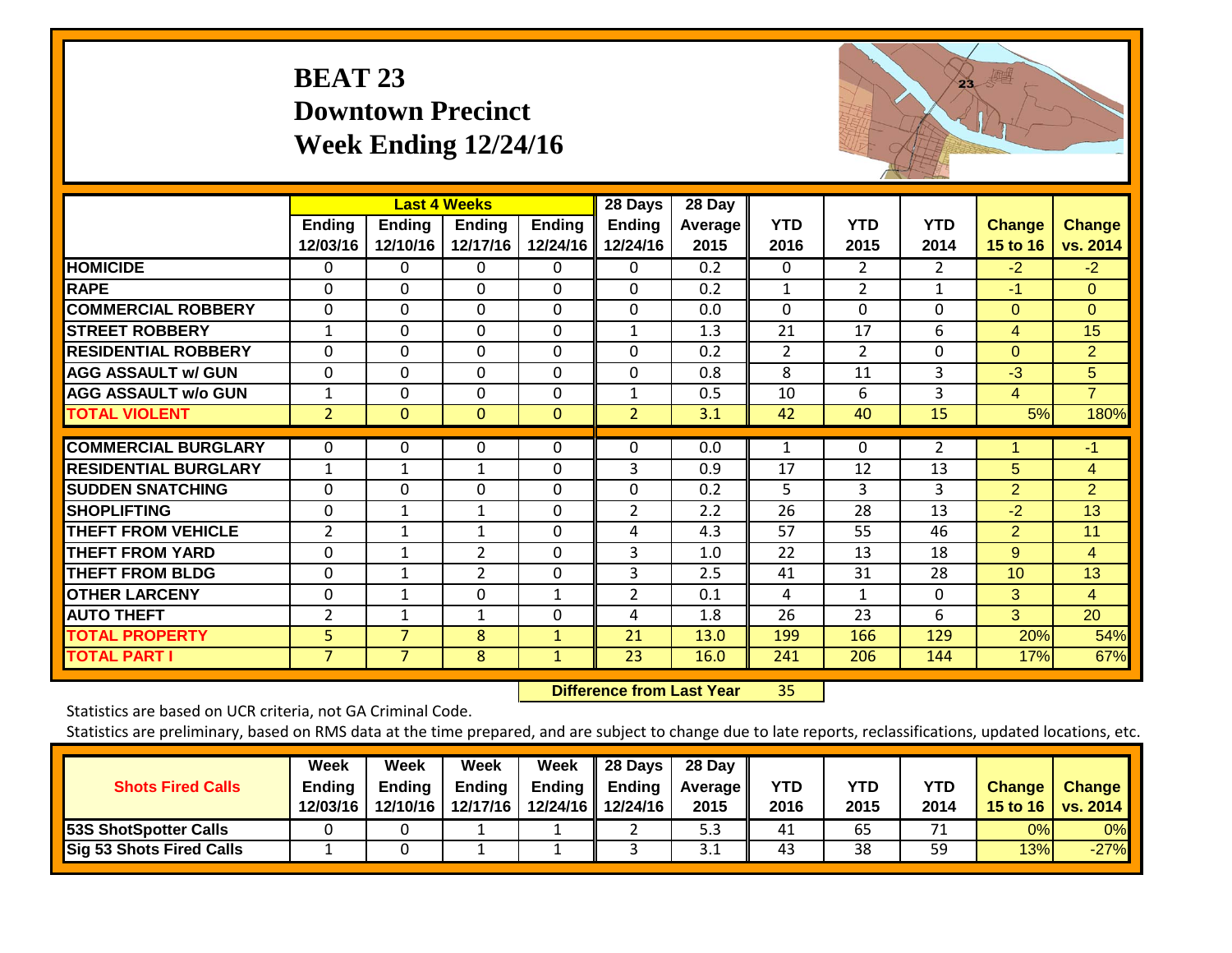## **BEAT 23 Downtown Precinct Week Ending 12/24/16**



|                             |                |                | <b>Last 4 Weeks</b> |              | 28 Days        | 28 Day           |                |                |                |                |                |
|-----------------------------|----------------|----------------|---------------------|--------------|----------------|------------------|----------------|----------------|----------------|----------------|----------------|
|                             | <b>Ending</b>  | Ending         | Ending              | Ending       | <b>Ending</b>  | Average          | <b>YTD</b>     | <b>YTD</b>     | <b>YTD</b>     | <b>Change</b>  | <b>Change</b>  |
|                             | 12/03/16       | 12/10/16       | 12/17/16            | 12/24/16     | 12/24/16       | 2015             | 2016           | 2015           | 2014           | 15 to 16       | vs. 2014       |
| <b>HOMICIDE</b>             | 0              | 0              | $\Omega$            | $\Omega$     | 0              | $\overline{0.2}$ | $\Omega$       | 2              | $\overline{2}$ | $-2$           | $-2$           |
| <b>RAPE</b>                 | 0              | 0              | $\Omega$            | $\Omega$     | $\Omega$       | 0.2              | $\mathbf{1}$   | $\overline{2}$ | $\mathbf{1}$   | $-1$           | $\Omega$       |
| <b>COMMERCIAL ROBBERY</b>   | $\Omega$       | 0              | $\mathbf{0}$        | $\Omega$     | $\Omega$       | 0.0              | $\Omega$       | 0              | $\Omega$       | $\Omega$       | $\Omega$       |
| <b>STREET ROBBERY</b>       | 1              | 0              | $\Omega$            | $\Omega$     | $\mathbf{1}$   | 1.3              | 21             | 17             | 6              | 4              | 15             |
| <b>RESIDENTIAL ROBBERY</b>  | $\Omega$       | 0              | $\mathbf{0}$        | $\Omega$     | $\Omega$       | 0.2              | $\overline{2}$ | 2              | $\Omega$       | $\Omega$       | $\overline{2}$ |
| <b>AGG ASSAULT w/ GUN</b>   | $\mathbf 0$    | 0              | $\mathbf 0$         | $\mathbf 0$  | 0              | 0.8              | 8              | 11             | 3              | $-3$           | 5 <sup>5</sup> |
| <b>AGG ASSAULT w/o GUN</b>  | 1              | 0              | 0                   | 0            | 1              | 0.5              | 10             | 6              | 3              | 4              | $\overline{7}$ |
| <b>TOTAL VIOLENT</b>        | $\overline{2}$ | $\Omega$       | $\mathbf{0}$        | $\mathbf 0$  | $\overline{2}$ | 3.1              | 42             | 40             | 15             | 5%             | 180%           |
| <b>COMMERCIAL BURGLARY</b>  | $\Omega$       | 0              | 0                   | $\Omega$     | 0              | 0.0              | 1              | 0              | $\overline{2}$ | 1              | $-1$           |
| <b>RESIDENTIAL BURGLARY</b> | $\mathbf{1}$   | $\mathbf{1}$   | 1                   | $\Omega$     | 3              | 0.9              | 17             | 12             | 13             | 5              | $\overline{4}$ |
| <b>SUDDEN SNATCHING</b>     | $\mathbf 0$    | 0              | $\mathbf 0$         | $\mathbf 0$  | $\Omega$       | 0.2              | 5              | 3              | 3              | $\overline{2}$ | $\overline{2}$ |
| <b>SHOPLIFTING</b>          | 0              | 1              | 1                   | 0            | $\overline{2}$ | 2.2              | 26             | 28             | 13             | $-2$           | 13             |
| <b>THEFT FROM VEHICLE</b>   | $\overline{2}$ | 1              | 1                   | $\Omega$     | 4              | 4.3              | 57             | 55             | 46             | 2              | 11             |
| <b>THEFT FROM YARD</b>      | 0              | 1              | 2                   | $\Omega$     | 3              | 1.0              | 22             | 13             | 18             | 9              | $\overline{4}$ |
| <b>THEFT FROM BLDG</b>      | 0              | 1              | $\overline{2}$      | 0            | 3              | 2.5              | 41             | 31             | 28             | 10             | 13             |
| <b>OTHER LARCENY</b>        | 0              | $\mathbf{1}$   | $\Omega$            | $\mathbf{1}$ | 2              | 0.1              | 4              | $\mathbf{1}$   | $\Omega$       | 3              | $\overline{4}$ |
| <b>AUTO THEFT</b>           | $\overline{2}$ | 1              | 1                   | $\Omega$     | 4              | 1.8              | 26             | 23             | 6              | 3              | 20             |
| <b>TOTAL PROPERTY</b>       | 5 <sup>1</sup> | $\overline{7}$ | 8                   | $\mathbf{1}$ | 21             | 13.0             | 199            | 166            | 129            | 20%            | 54%            |
| <b>TOTAL PART I</b>         | $\overline{7}$ | $\overline{7}$ | 8                   | $\mathbf{1}$ | 23             | 16.0             | 241            | 206            | 144            | 17%            | 67%            |

 **Difference from Last Year**r 35

Statistics are based on UCR criteria, not GA Criminal Code.

| <b>Shots Fired Calls</b>     | Week<br>Ending<br>12/03/16 | Week<br><b>Ending</b><br>12/10/16 | Week<br><b>Ending</b><br>12/17/16 | Week<br><b>Ending</b> | 28 Days<br><b>Ending</b><br>12/24/16 12/24/16 | 28 Day<br>Average II<br>2015 | <b>YTD</b><br>2016 | <b>YTD</b><br>2015 | YTD<br>2014 | <b>Change</b> | <b>Change</b><br>15 to 16   vs. 2014 |
|------------------------------|----------------------------|-----------------------------------|-----------------------------------|-----------------------|-----------------------------------------------|------------------------------|--------------------|--------------------|-------------|---------------|--------------------------------------|
| <b>53S ShotSpotter Calls</b> |                            |                                   |                                   |                       |                                               | ر.ر                          | 41                 | 65                 | 71          | 0%            | $0\%$                                |
| Sig 53 Shots Fired Calls     |                            |                                   |                                   |                       |                                               | ۲.۱ د                        | 43                 | 38                 | 59          | 13%           | $-27%$                               |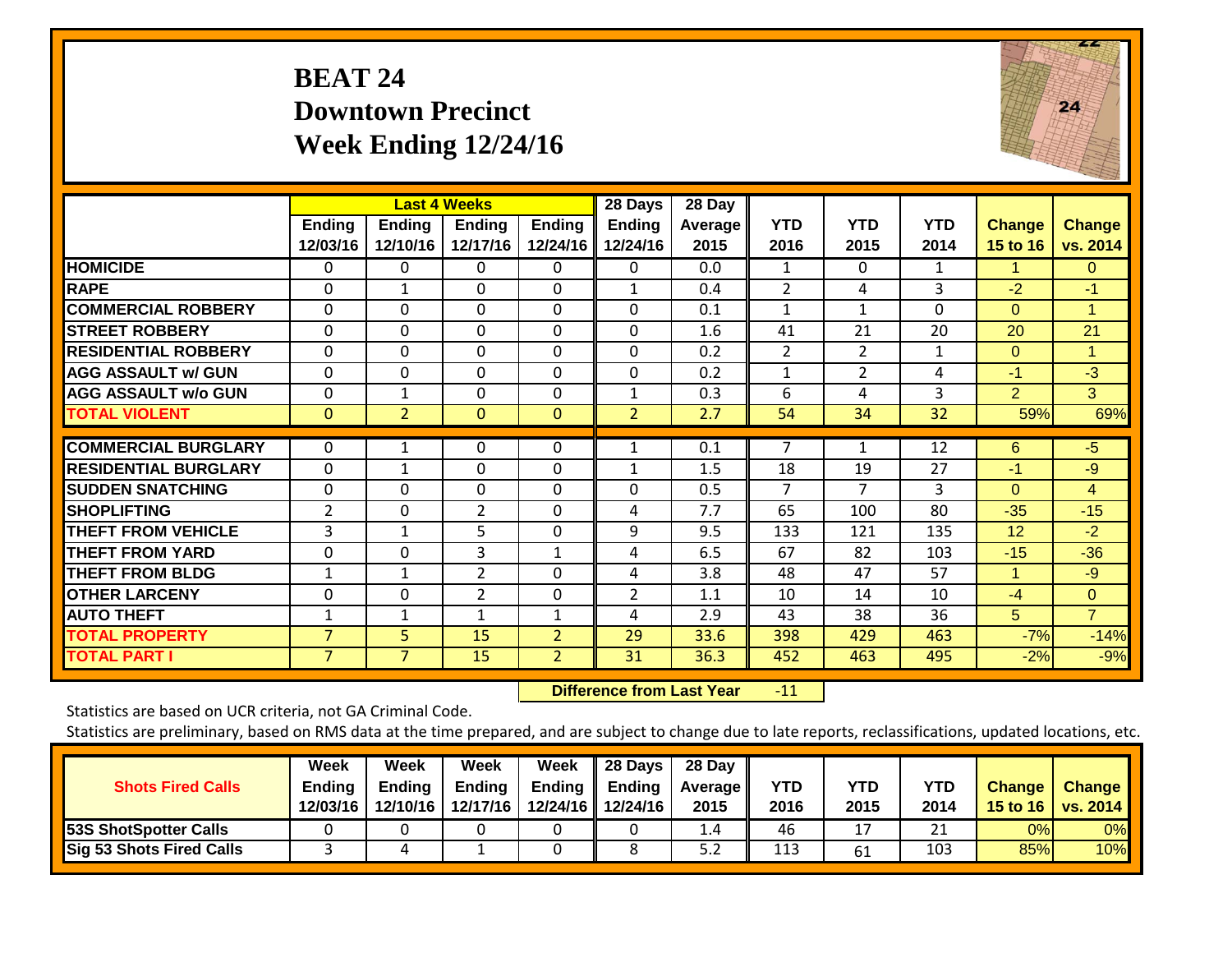### **BEAT 24 Downtown Precinct Week Ending 12/24/16**



|                             |                           |                           | <b>Last 4 Weeks</b>       |                           | 28 Days                   | 28 Day                 |                    |                    |                    |                           |                           |
|-----------------------------|---------------------------|---------------------------|---------------------------|---------------------------|---------------------------|------------------------|--------------------|--------------------|--------------------|---------------------------|---------------------------|
|                             | <b>Ending</b><br>12/03/16 | <b>Ending</b><br>12/10/16 | <b>Ending</b><br>12/17/16 | <b>Ending</b><br>12/24/16 | <b>Ending</b><br>12/24/16 | <b>Average</b><br>2015 | <b>YTD</b><br>2016 | <b>YTD</b><br>2015 | <b>YTD</b><br>2014 | <b>Change</b><br>15 to 16 | <b>Change</b><br>vs. 2014 |
| <b>HOMICIDE</b>             | 0                         | 0                         | 0                         | 0                         | 0                         | 0.0                    | 1                  | $\Omega$           | 1                  | 1.                        | $\Omega$                  |
| <b>RAPE</b>                 | $\Omega$                  | $\mathbf{1}$              | $\Omega$                  | 0                         | 1                         | 0.4                    | 2                  | 4                  | 3                  | $-2$                      | $-1$                      |
| <b>COMMERCIAL ROBBERY</b>   | $\Omega$                  | $\Omega$                  | $\mathbf{0}$              | $\Omega$                  | $\Omega$                  | 0.1                    | 1                  | 1                  | $\Omega$           | $\Omega$                  | 1                         |
| <b>STREET ROBBERY</b>       | $\mathbf 0$               | $\mathbf 0$               | $\mathbf 0$               | $\mathbf 0$               | 0                         | 1.6                    | 41                 | 21                 | 20                 | 20                        | 21                        |
| <b>RESIDENTIAL ROBBERY</b>  | $\Omega$                  | $\Omega$                  | $\Omega$                  | $\Omega$                  | $\Omega$                  | 0.2                    | 2                  | 2                  | 1                  | $\Omega$                  | 1                         |
| <b>AGG ASSAULT w/ GUN</b>   | 0                         | $\Omega$                  | $\Omega$                  | 0                         | $\Omega$                  | 0.2                    | 1                  | 2                  | 4                  | $-1$                      | $-3$                      |
| <b>AGG ASSAULT w/o GUN</b>  | $\Omega$                  | 1                         | 0                         | $\Omega$                  | $\mathbf{1}$              | 0.3                    | 6                  | 4                  | 3                  | $\overline{2}$            | 3                         |
| <b>TOTAL VIOLENT</b>        | $\mathbf{0}$              | $\overline{2}$            | $\mathbf{0}$              | $\mathbf 0$               | $\overline{2}$            | 2.7                    | 54                 | 34                 | 32                 | 59%                       | 69%                       |
| <b>COMMERCIAL BURGLARY</b>  | $\Omega$                  | 1                         | 0                         | $\Omega$                  | 1                         | 0.1                    | 7                  | 1                  | 12                 | 6                         | $-5$                      |
| <b>RESIDENTIAL BURGLARY</b> | $\Omega$                  |                           | $\Omega$                  | 0                         | $\mathbf{1}$              | 1.5                    | 18                 | 19                 | 27                 | $-1$                      | -9                        |
| <b>SUDDEN SNATCHING</b>     | 0                         | $\Omega$                  | $\Omega$                  | 0                         | $\Omega$                  | 0.5                    | 7                  | 7                  | 3                  | $\Omega$                  | 4                         |
| <b>SHOPLIFTING</b>          | $\overline{2}$            | $\Omega$                  | $\overline{2}$            | $\Omega$                  | 4                         | 7.7                    | 65                 | 100                | 80                 | $-35$                     | $-15$                     |
| <b>THEFT FROM VEHICLE</b>   | 3                         | 1                         | 5                         | $\Omega$                  | 9                         | 9.5                    | 133                | 121                | 135                | 12                        | $-2$                      |
| <b>THEFT FROM YARD</b>      | $\Omega$                  | $\Omega$                  | 3                         | $\mathbf{1}$              | 4                         | 6.5                    | 67                 | 82                 | 103                | $-15$                     | $-36$                     |
| <b>THEFT FROM BLDG</b>      | $\mathbf 1$               | 1                         | $\overline{2}$            | 0                         | 4                         | 3.8                    | 48                 | 47                 | 57                 | 1                         | $-9$                      |
| <b>OTHER LARCENY</b>        | $\Omega$                  | $\Omega$                  | $\overline{2}$            | $\Omega$                  | $\overline{2}$            | 1.1                    | 10                 | 14                 | 10                 | $-4$                      | $\Omega$                  |
| <b>AUTO THEFT</b>           | 1                         | $\mathbf{1}$              | $\mathbf{1}$              | $\mathbf{1}$              | 4                         | 2.9                    | 43                 | 38                 | 36                 | 5                         | $\overline{7}$            |
| <b>TOTAL PROPERTY</b>       | $\overline{7}$            | 5                         | 15                        | $\overline{2}$            | 29                        | 33.6                   | 398                | 429                | 463                | $-7%$                     | $-14%$                    |
| <b>TOTAL PART I</b>         | 7                         | $\overline{7}$            | 15                        | $\overline{2}$            | 31                        | 36.3                   | 452                | 463                | 495                | $-2%$                     | $-9%$                     |

 **Difference from Last Year**r -11

Statistics are based on UCR criteria, not GA Criminal Code.

| <b>Shots Fired Calls</b>     | Week<br>Ending<br>12/03/16 | Week<br><b>Ending</b><br>12/10/16 | Week<br><b>Ending</b><br>12/17/16 | Week<br><b>Ending</b> | 28 Days<br><b>Ending</b><br>12/24/16 12/24/16 | 28 Day<br>Average II<br>2015 | <b>YTD</b><br>2016 | <b>YTD</b><br>2015 | YTD<br>2014 | <b>Change</b> | <b>Change</b><br>15 to 16   vs. 2014 |
|------------------------------|----------------------------|-----------------------------------|-----------------------------------|-----------------------|-----------------------------------------------|------------------------------|--------------------|--------------------|-------------|---------------|--------------------------------------|
| <b>53S ShotSpotter Calls</b> |                            |                                   |                                   |                       |                                               | $\pm .4$                     | 46                 | 17                 | ว1          | 0%            | $0\%$                                |
| Sig 53 Shots Fired Calls     |                            |                                   |                                   |                       |                                               | ے.د                          | 113                | 61                 | 103         | 85%           | 10%                                  |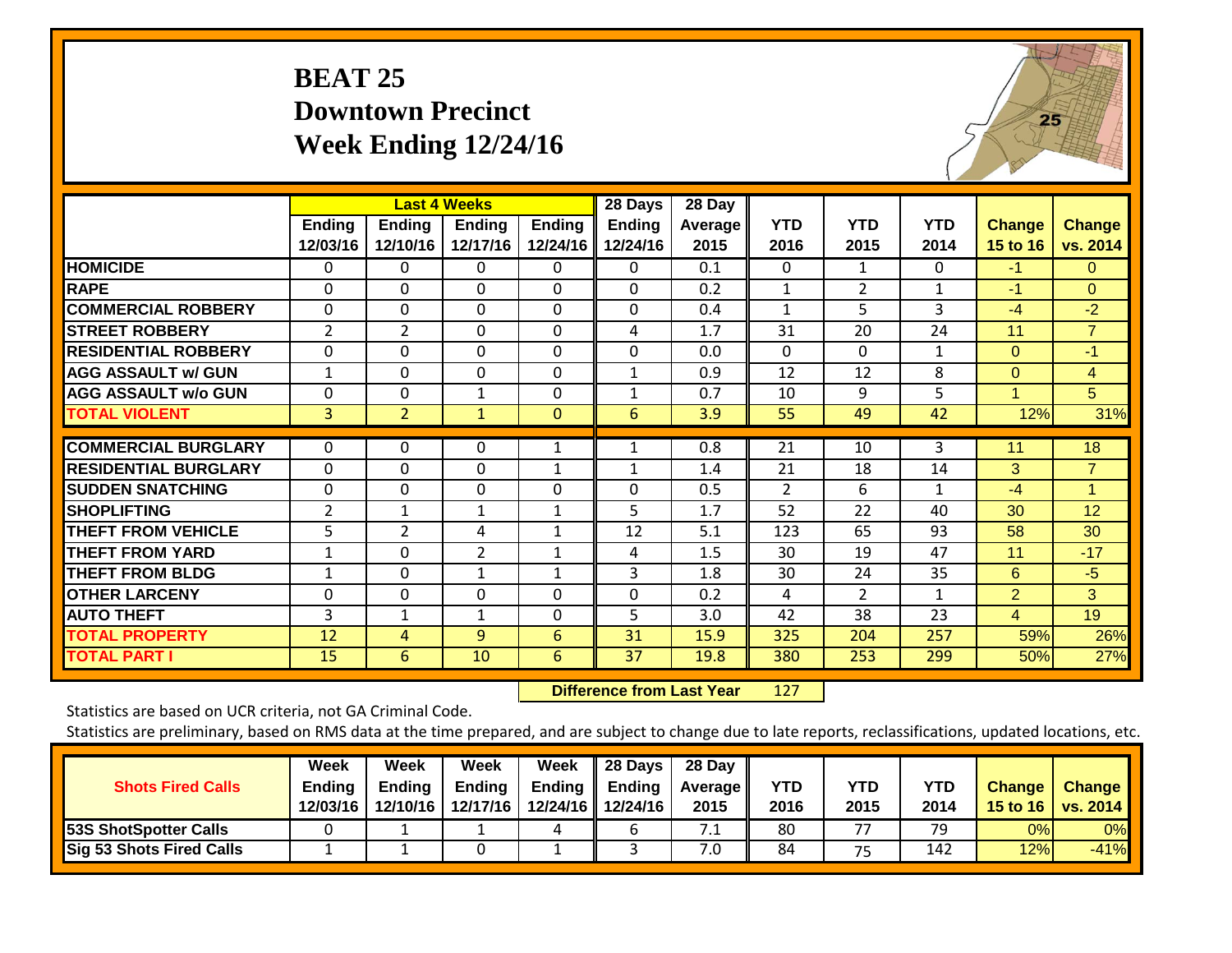## **BEAT 25 Downtown Precinct Week Ending 12/24/16**



|                             |                           |                           | <b>Last 4 Weeks</b> |                           | 28 Days                   | 28 Day          |                    |                    |                    |                           |                           |
|-----------------------------|---------------------------|---------------------------|---------------------|---------------------------|---------------------------|-----------------|--------------------|--------------------|--------------------|---------------------------|---------------------------|
|                             | <b>Ending</b><br>12/03/16 | <b>Ending</b><br>12/10/16 | Ending<br>12/17/16  | <b>Ending</b><br>12/24/16 | <b>Ending</b><br>12/24/16 | Average<br>2015 | <b>YTD</b><br>2016 | <b>YTD</b><br>2015 | <b>YTD</b><br>2014 | <b>Change</b><br>15 to 16 | <b>Change</b><br>vs. 2014 |
| <b>HOMICIDE</b>             | 0                         | 0                         | 0                   | 0                         | 0                         | 0.1             | $\Omega$           | 1                  | $\Omega$           | $-1$                      | $\Omega$                  |
| <b>RAPE</b>                 | $\Omega$                  | $\Omega$                  | $\Omega$            | $\Omega$                  | $\Omega$                  | 0.2             | 1                  | $\overline{2}$     | 1                  | $-1$                      | $\Omega$                  |
| <b>COMMERCIAL ROBBERY</b>   | $\Omega$                  | $\Omega$                  | $\Omega$            | $\Omega$                  | 0                         | 0.4             | 1                  | 5                  | 3                  | $-4$                      | $-2$                      |
| <b>STREET ROBBERY</b>       | $\overline{2}$            | $\overline{2}$            | $\Omega$            | $\Omega$                  | 4                         | 1.7             | 31                 | 20                 | 24                 | 11                        | $\overline{7}$            |
| <b>RESIDENTIAL ROBBERY</b>  | $\Omega$                  | $\Omega$                  | $\Omega$            | 0                         | 0                         | 0.0             | $\Omega$           | 0                  | $\mathbf{1}$       | $\Omega$                  | $-1$                      |
| <b>AGG ASSAULT w/ GUN</b>   | 1                         | $\Omega$                  | $\Omega$            | $\Omega$                  | $\mathbf{1}$              | 0.9             | 12                 | 12                 | 8                  | $\Omega$                  | $\overline{4}$            |
| <b>AGG ASSAULT w/o GUN</b>  | 0                         | $\Omega$                  | 1                   | 0                         | $\mathbf{1}$              | 0.7             | 10                 | 9                  | 5                  | 1                         | 5                         |
| <b>TOTAL VIOLENT</b>        | 3                         | $\overline{2}$            | $\mathbf{1}$        | $\mathbf{0}$              | 6                         | 3.9             | 55                 | 49                 | 42                 | 12%                       | 31%                       |
| <b>COMMERCIAL BURGLARY</b>  | 0                         | $\Omega$                  | 0                   | 1                         | 1                         | 0.8             | 21                 | 10                 | 3                  | 11                        | 18                        |
| <b>RESIDENTIAL BURGLARY</b> | $\Omega$                  | $\Omega$                  | $\Omega$            | 1                         | $\mathbf{1}$              | 1.4             | 21                 | 18                 | 14                 | 3                         | $\overline{7}$            |
| <b>SUDDEN SNATCHING</b>     | $\Omega$                  | $\Omega$                  | $\Omega$            | 0                         | 0                         | 0.5             | $\overline{2}$     | 6                  | $\mathbf{1}$       | $-4$                      | 1                         |
| <b>SHOPLIFTING</b>          | $\overline{2}$            | $\mathbf{1}$              | $\mathbf{1}$        | $\mathbf{1}$              | 5                         | 1.7             | 52                 | 22                 | 40                 | 30                        | 12                        |
| <b>THEFT FROM VEHICLE</b>   | 5                         | $\overline{2}$            | 4                   | 1                         | 12                        | 5.1             | 123                | 65                 | 93                 | 58                        | 30                        |
| <b>THEFT FROM YARD</b>      | 1                         | $\Omega$                  | $\overline{2}$      | $\mathbf{1}$              | 4                         | 1.5             | 30                 | 19                 | 47                 | 11                        | $-17$                     |
| <b>THEFT FROM BLDG</b>      | $\mathbf{1}$              | $\Omega$                  | 1                   | 1                         | 3                         | 1.8             | 30                 | 24                 | 35                 | 6                         | $-5$                      |
| <b>OTHER LARCENY</b>        | 0                         | $\Omega$                  | $\Omega$            | 0                         | 0                         | 0.2             | 4                  | $\overline{2}$     | 1                  | $\overline{2}$            | 3                         |
| <b>AUTO THEFT</b>           | 3                         | 1                         | $\mathbf{1}$        | $\Omega$                  | 5                         | 3.0             | 42                 | 38                 | 23                 | 4                         | 19                        |
| <b>TOTAL PROPERTY</b>       | 12                        | 4                         | 9                   | 6                         | 31                        | 15.9            | 325                | 204                | 257                | 59%                       | 26%                       |
| <b>TOTAL PART I</b>         | 15                        | 6                         | 10                  | 6                         | 37                        | 19.8            | 380                | 253                | 299                | 50%                       | 27%                       |

 **Difference from Last Year**r 127

Statistics are based on UCR criteria, not GA Criminal Code.

| <b>Shots Fired Calls</b>        | Week<br><b>Ending</b><br>12/03/16 | Week<br>Endina<br>12/10/16 | Week<br><b>Ending</b><br>12/17/16 | Week<br>Ending | 28 Days<br>Ending<br>12/24/16 12/24/16 | 28 Day<br><b>Average II</b><br>2015 | YTD<br>2016 | YTD<br>2015 | <b>YTD</b><br>2014 | <b>Change</b> | <b>Change</b><br>15 to 16   vs. 2014 |
|---------------------------------|-----------------------------------|----------------------------|-----------------------------------|----------------|----------------------------------------|-------------------------------------|-------------|-------------|--------------------|---------------|--------------------------------------|
| <b>53S ShotSpotter Calls</b>    |                                   |                            |                                   | 4              |                                        | ـ .                                 | 80          | 77          | 79                 | 0%            | 0%                                   |
| <b>Sig 53 Shots Fired Calls</b> |                                   |                            |                                   |                |                                        | '.0                                 | 84          | 75          | 142                | 12%           | $-41%$                               |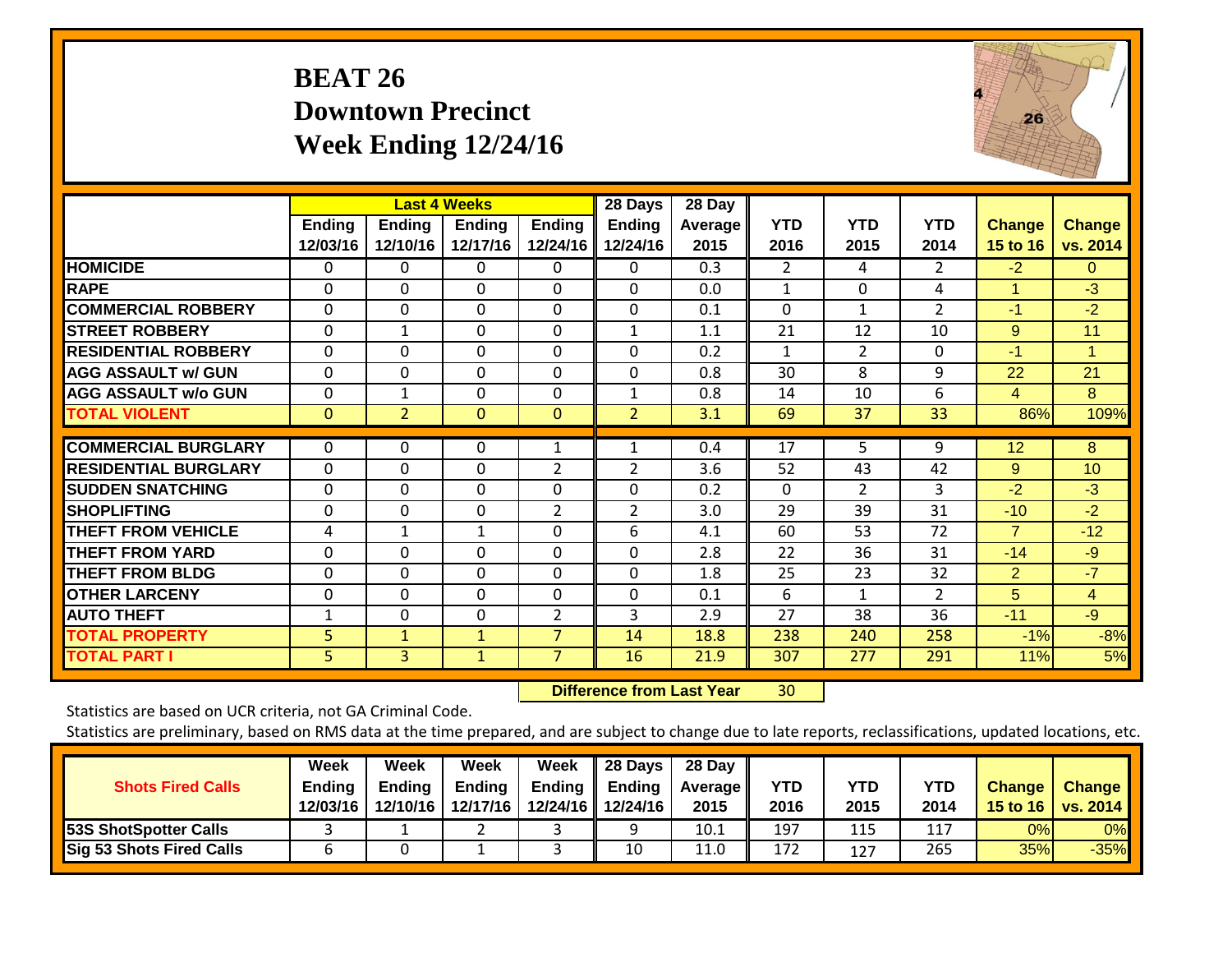## **BEAT 26 Downtown Precinct Week Ending 12/24/16**



|                             |                           |                           | <b>Last 4 Weeks</b> |                           | 28 Days                   | 28 Day            |                    |                    |                    |                           |                           |
|-----------------------------|---------------------------|---------------------------|---------------------|---------------------------|---------------------------|-------------------|--------------------|--------------------|--------------------|---------------------------|---------------------------|
|                             | <b>Ending</b><br>12/03/16 | <b>Ending</b><br>12/10/16 | Ending<br>12/17/16  | <b>Ending</b><br>12/24/16 | <b>Ending</b><br>12/24/16 | Average I<br>2015 | <b>YTD</b><br>2016 | <b>YTD</b><br>2015 | <b>YTD</b><br>2014 | <b>Change</b><br>15 to 16 | <b>Change</b><br>vs. 2014 |
| <b>HOMICIDE</b>             | 0                         | 0                         | 0                   | 0                         | 0                         | 0.3               | 2                  | 4                  | $\overline{2}$     | $-2$                      | 0                         |
| <b>RAPE</b>                 | 0                         | 0                         | $\Omega$            | 0                         | 0                         | 0.0               | $\mathbf{1}$       | $\Omega$           | 4                  | 1                         | $-3$                      |
| <b>COMMERCIAL ROBBERY</b>   | $\Omega$                  | $\Omega$                  | $\Omega$            | $\mathbf{0}$              | $\Omega$                  | 0.1               | $\Omega$           | $\mathbf{1}$       | 2                  | $-1$                      | $-2$                      |
| <b>STREET ROBBERY</b>       | $\mathbf 0$               | $\mathbf{1}$              | $\Omega$            | $\mathbf 0$               | $\mathbf{1}$              | 1.1               | 21                 | 12                 | 10                 | 9                         | 11                        |
| <b>RESIDENTIAL ROBBERY</b>  | 0                         | $\Omega$                  | $\Omega$            | $\Omega$                  | 0                         | 0.2               | 1                  | $\overline{2}$     | 0                  | -1                        | $\mathbf 1$               |
| <b>AGG ASSAULT w/ GUN</b>   | $\Omega$                  | $\Omega$                  | $\Omega$            | 0                         | 0                         | 0.8               | 30                 | 8                  | 9                  | 22                        | 21                        |
| <b>AGG ASSAULT w/o GUN</b>  | 0                         | 1                         | $\Omega$            | 0                         | $\mathbf{1}$              | 0.8               | 14                 | 10                 | 6                  | 4                         | 8                         |
| <b>TOTAL VIOLENT</b>        | $\mathbf{0}$              | 2                         | $\mathbf{0}$        | $\mathbf{0}$              | $\overline{2}$            | 3.1               | 69                 | 37                 | 33                 | 86%                       | 109%                      |
| <b>COMMERCIAL BURGLARY</b>  | $\Omega$                  | 0                         | $\Omega$            |                           |                           | 0.4               |                    |                    | 9                  |                           | 8                         |
|                             |                           |                           |                     | 1                         |                           |                   | 17                 | 5                  |                    | 12                        |                           |
| <b>RESIDENTIAL BURGLARY</b> | 0                         | 0                         | $\Omega$            | 2                         | 2                         | 3.6               | 52                 | 43                 | 42                 | 9                         | 10                        |
| <b>SUDDEN SNATCHING</b>     | $\Omega$                  | 0                         | $\Omega$            | $\Omega$                  | 0                         | 0.2               | $\Omega$           | $\overline{2}$     | 3                  | $-2$                      | $-3$                      |
| <b>SHOPLIFTING</b>          | $\Omega$                  | 0                         | $\Omega$            | $\overline{2}$            | $\overline{2}$            | 3.0               | 29                 | 39                 | 31                 | $-10$                     | $-2$                      |
| <b>THEFT FROM VEHICLE</b>   | 4                         | $\mathbf{1}$              | $\mathbf{1}$        | $\mathbf 0$               | 6                         | 4.1               | 60                 | 53                 | 72                 | $\overline{7}$            | $-12$                     |
| <b>THEFT FROM YARD</b>      | 0                         | 0                         | $\mathbf 0$         | 0                         | 0                         | 2.8               | 22                 | 36                 | 31                 | $-14$                     | $-9$                      |
| <b>THEFT FROM BLDG</b>      | $\Omega$                  | $\Omega$                  | $\Omega$            | $\Omega$                  | $\Omega$                  | 1.8               | 25                 | 23                 | 32                 | 2                         | $-7$                      |
| <b>OTHER LARCENY</b>        | $\Omega$                  | $\Omega$                  | $\Omega$            | $\Omega$                  | $\Omega$                  | 0.1               | 6                  | 1                  | $\overline{2}$     | 5                         | $\overline{4}$            |
| <b>AUTO THEFT</b>           | 1                         | 0                         | $\Omega$            | $\overline{2}$            | 3                         | 2.9               | 27                 | 38                 | 36                 | $-11$                     | $-9$                      |
| <b>TOTAL PROPERTY</b>       | 5                         | $\mathbf{1}$              | $\mathbf{1}$        | 7                         | 14                        | 18.8              | 238                | 240                | 258                | $-1%$                     | $-8%$                     |
| <b>TOTAL PART I</b>         | 5                         | $\overline{3}$            | $\mathbf{1}$        | 7                         | 16                        | 21.9              | 307                | 277                | 291                | 11%                       | 5%                        |

 **Difference from Last Year**r 30

Statistics are based on UCR criteria, not GA Criminal Code.

| <b>Shots Fired Calls</b>        | Week<br><b>Ending</b><br>12/03/16 | Week<br><b>Ending</b><br>12/10/16 | Week<br><b>Ending</b><br>12/17/16 | <b>Week</b><br>Ending | 28 Days<br><b>Ending</b><br>12/24/16 12/24/16 | 28 Day<br><b>Average II</b><br>2015 | <b>YTD</b><br>2016 | YTD<br>2015 | <b>YTD</b><br>2014 | <b>Change</b> | <b>Change</b><br>15 to 16   vs. 2014 |
|---------------------------------|-----------------------------------|-----------------------------------|-----------------------------------|-----------------------|-----------------------------------------------|-------------------------------------|--------------------|-------------|--------------------|---------------|--------------------------------------|
| <b>53S ShotSpotter Calls</b>    |                                   |                                   |                                   |                       |                                               | 10.1                                | 197                | 115         | 117                | 0%            | 0%                                   |
| <b>Sig 53 Shots Fired Calls</b> |                                   |                                   |                                   |                       | 10                                            | 11.0                                | 172                | 127         | 265                | 35%           | $-35%$                               |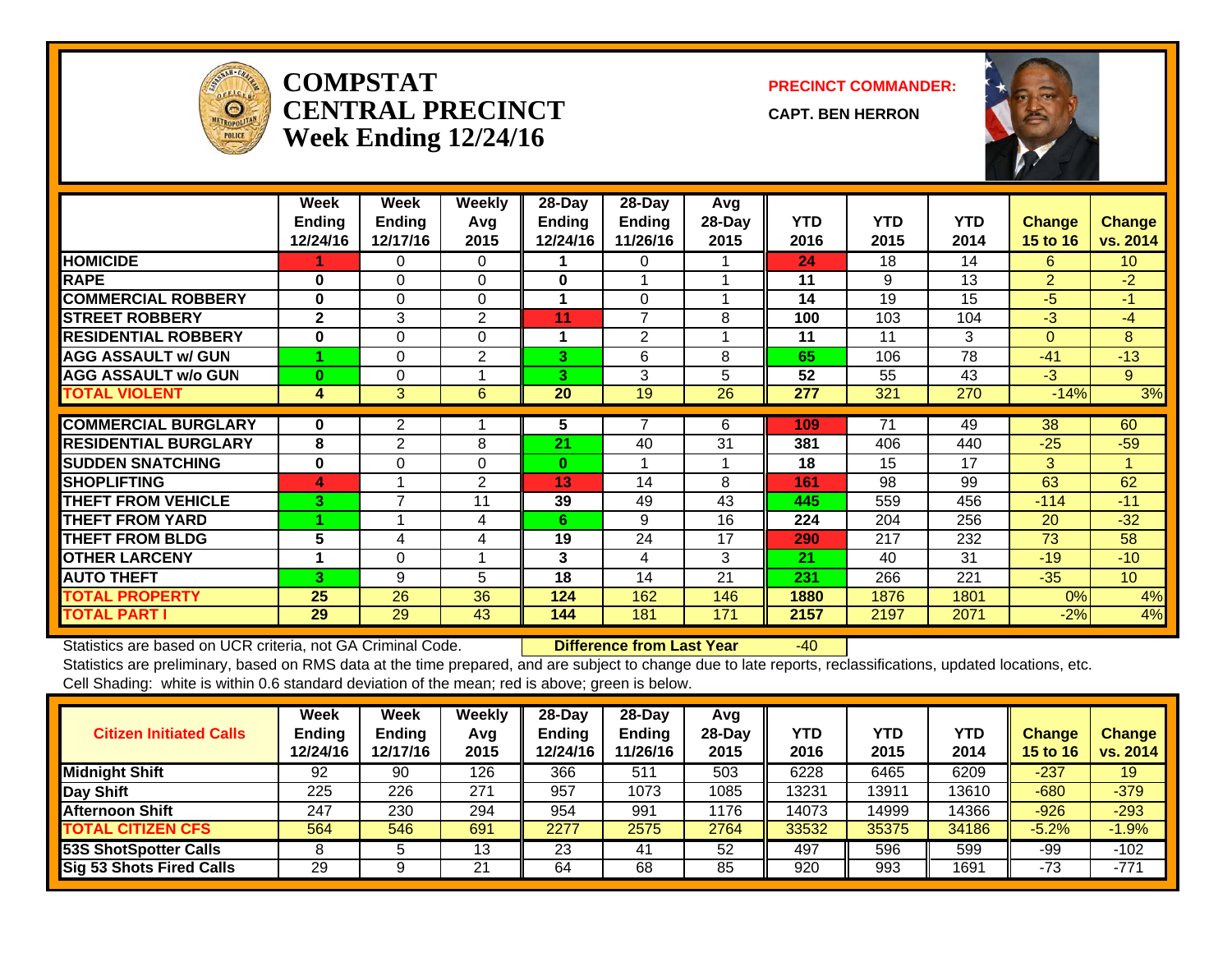

#### **COMPSTATCENTRAL PRECINCTWeek Ending 12/24/16**

**PRECINCT COMMANDER:**

**CAPT. BEN HERRON**



|                             | Week<br><b>Endina</b><br>12/24/16 | Week<br><b>Endina</b><br>12/17/16 | <b>Weekly</b><br>Avg<br>2015 | 28-Day<br><b>Ending</b><br>12/24/16 | 28-Day<br><b>Ending</b><br>11/26/16 | Avg<br>28-Day<br>2015 | <b>YTD</b><br>2016 | <b>YTD</b><br>2015 | <b>YTD</b><br>2014 | Change<br><b>15 to 16</b> | <b>Change</b><br>vs. 2014 |
|-----------------------------|-----------------------------------|-----------------------------------|------------------------------|-------------------------------------|-------------------------------------|-----------------------|--------------------|--------------------|--------------------|---------------------------|---------------------------|
| <b>HOMICIDE</b>             |                                   | 0                                 | 0                            |                                     | 0                                   |                       | 24                 | 18                 | 14                 | 6.                        | 10 <sup>°</sup>           |
| <b>RAPE</b>                 | $\bf{0}$                          | $\Omega$                          | $\Omega$                     | $\mathbf 0$                         |                                     |                       | 11                 | 9                  | 13                 | $\overline{2}$            | $-2$                      |
| <b>COMMERCIAL ROBBERY</b>   | $\bf{0}$                          | $\Omega$                          | $\Omega$                     | 1                                   | $\Omega$                            |                       | 14                 | 19                 | 15                 | -5                        | $-1$                      |
| <b>STREET ROBBERY</b>       | $\mathbf{2}$                      | 3                                 | $\overline{2}$               | 11                                  | $\overline{7}$                      | 8                     | 100                | 103                | 104                | $-3$                      | $-4$                      |
| <b>RESIDENTIAL ROBBERY</b>  | $\bf{0}$                          | $\Omega$                          | $\Omega$                     | 1                                   | $\overline{2}$                      |                       | 11                 | 11                 | 3                  | $\Omega$                  | 8                         |
| <b>AGG ASSAULT w/ GUN</b>   |                                   | 0                                 | 2                            | 3.                                  | 6                                   | 8                     | 65                 | 106                | 78                 | $-41$                     | $-13$                     |
| <b>AGG ASSAULT w/o GUN</b>  | $\bf{0}$                          | 0                                 |                              | 3.                                  | 3                                   | 5                     | 52                 | 55                 | 43                 | $-3$                      | 9                         |
| <b>TOTAL VIOLENT</b>        | 4                                 | 3                                 | 6                            | 20                                  | 19                                  | 26                    | 277                | 321                | 270                | $-14%$                    | 3%                        |
|                             |                                   |                                   |                              |                                     |                                     |                       |                    |                    |                    |                           |                           |
| <b>COMMERCIAL BURGLARY</b>  | 0                                 | $\overline{2}$                    |                              | 5                                   | 7                                   | 6                     | 109                | 71                 | 49                 | 38                        | 60                        |
| <b>RESIDENTIAL BURGLARY</b> | 8                                 | $\overline{2}$                    | 8                            | 21                                  | 40                                  | 31                    | 381                | 406                | 440                | $-25$                     | $-59$                     |
| <b>ISUDDEN SNATCHING</b>    | $\bf{0}$                          | 0                                 | $\Omega$                     | 0                                   | 1                                   |                       | 18                 | 15                 | 17                 | 3                         | 1                         |
| <b>SHOPLIFTING</b>          | 4                                 |                                   | 2                            | 13                                  | 14                                  | 8                     | 161                | 98                 | 99                 | 63                        | 62                        |
| <b>THEFT FROM VEHICLE</b>   | 3                                 | $\overline{ }$                    | 11                           | 39                                  | 49                                  | 43                    | 445                | 559                | 456                | $-114$                    | $-11$                     |
| <b>THEFT FROM YARD</b>      |                                   |                                   | 4                            | 6.                                  | 9                                   | 16                    | 224                | 204                | 256                | 20                        | $-32$                     |
| <b>THEFT FROM BLDG</b>      | 5                                 | 4                                 | 4                            | 19                                  | 24                                  | 17                    | 290                | 217                | 232                | 73                        | 58                        |
| <b>OTHER LARCENY</b>        | 1                                 | 0                                 |                              | 3                                   | 4                                   | 3                     | 21                 | 40                 | 31                 | $-19$                     | $-10$                     |
| <b>AUTO THEFT</b>           | 3                                 | 9                                 | 5                            | 18                                  | 14                                  | 21                    | 231                | 266                | 221                | $-35$                     | 10 <sup>°</sup>           |
| <b>TOTAL PROPERTY</b>       | 25                                | 26                                | 36                           | 124                                 | 162                                 | 146                   | 1880               | 1876               | 1801               | 0%                        | 4%                        |
| <b>TOTAL PART I</b>         | 29                                | 29                                | 43                           | 144                                 | 181                                 | 171                   | 2157               | 2197               | 2071               | $-2%$                     | 4%                        |

Statistics are based on UCR criteria, not GA Criminal Code. **Difference from Last Year** -40

| <b>Citizen Initiated Calls</b>  | Week<br><b>Ending</b><br>12/24/16 | <b>Week</b><br><b>Ending</b><br>12/17/16 | Weekly<br>Avg<br>2015 | $28-Dav$<br><b>Ending</b><br>12/24/16 | 28-Dav<br><b>Ending</b><br>11/26/16 | Avg<br>$28-Dav$<br>2015 | <b>YTD</b><br>2016 | YTD<br>2015 | <b>YTD</b><br>2014 | <b>Change</b><br><b>15 to 16</b> | <b>Change</b><br>vs. 2014 |
|---------------------------------|-----------------------------------|------------------------------------------|-----------------------|---------------------------------------|-------------------------------------|-------------------------|--------------------|-------------|--------------------|----------------------------------|---------------------------|
| <b>Midnight Shift</b>           | 92                                | 90                                       | 126                   | 366                                   | 511                                 | 503                     | 6228               | 6465        | 6209               | $-237$                           | 19                        |
| <b>Day Shift</b>                | 225                               | 226                                      | 271                   | 957                                   | 1073                                | 1085                    | 13231              | 3911        | 13610              | $-680$                           | $-379$                    |
| <b>Afternoon Shift</b>          | 247                               | 230                                      | 294                   | 954                                   | 991                                 | 1176                    | 14073              | 14999       | 14366              | $-926$                           | $-293$                    |
| <b>TOTAL CITIZEN CFS</b>        | 564                               | 546                                      | 691                   | 2277                                  | 2575                                | 2764                    | 33532              | 35375       | 34186              | $-5.2%$                          | $-1.9%$                   |
| <b>53S ShotSpotter Calls</b>    |                                   |                                          | 13                    | 23                                    | 41                                  | 52                      | 497                | 596         | 599                | -99                              | $-102$                    |
| <b>Sig 53 Shots Fired Calls</b> | 29                                |                                          | 21                    | 64                                    | 68                                  | 85                      | 920                | 993         | 1691               | -73                              | $-771$                    |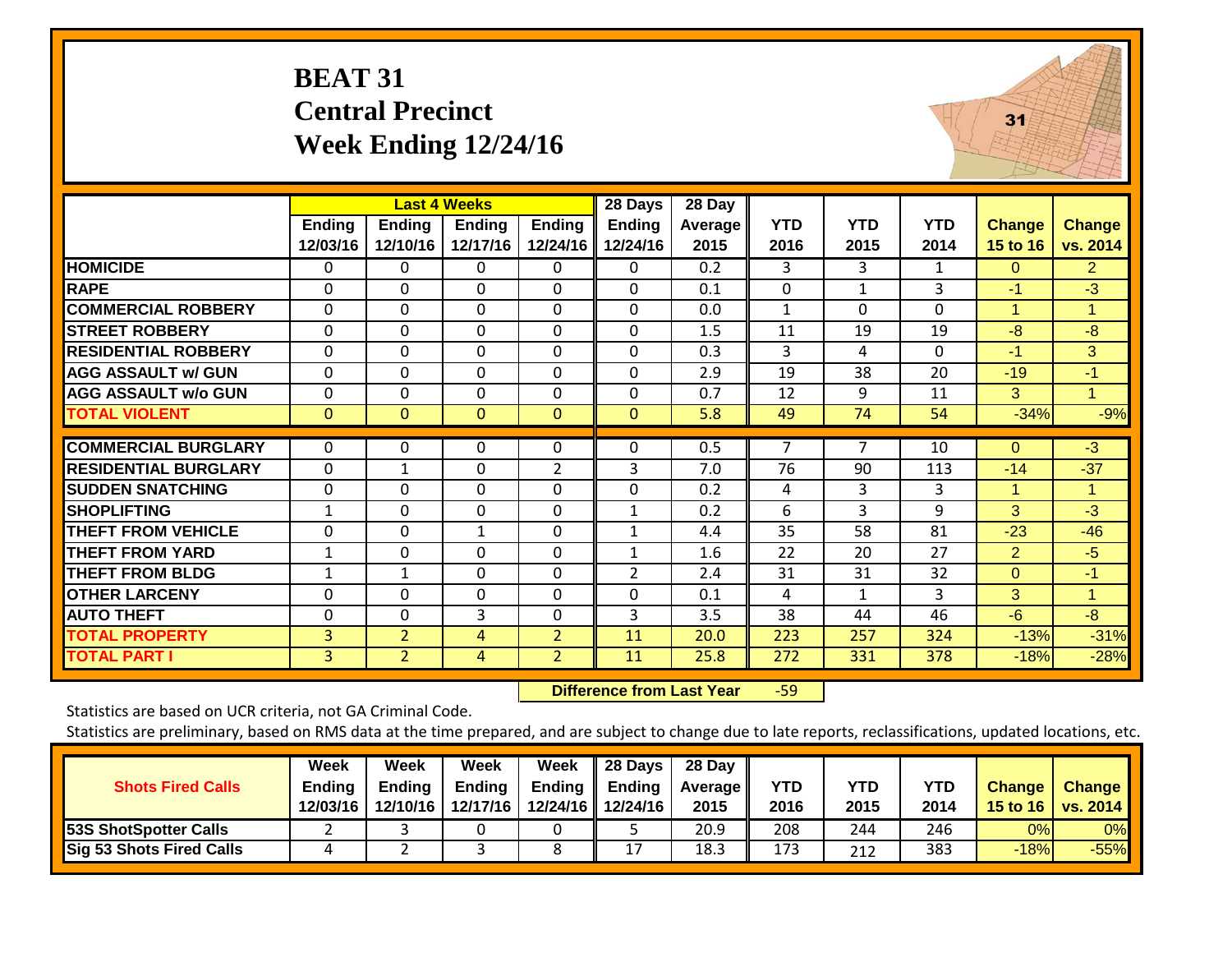## **BEAT 31 Central Precinct Week Ending 12/24/16**



|                             |                           |                           | <b>Last 4 Weeks</b>       |                           | 28 Days                   | 28 Day                 |                    |                    |                    |                           |                           |
|-----------------------------|---------------------------|---------------------------|---------------------------|---------------------------|---------------------------|------------------------|--------------------|--------------------|--------------------|---------------------------|---------------------------|
|                             | <b>Ending</b><br>12/03/16 | <b>Ending</b><br>12/10/16 | <b>Ending</b><br>12/17/16 | <b>Ending</b><br>12/24/16 | <b>Ending</b><br>12/24/16 | <b>Average</b><br>2015 | <b>YTD</b><br>2016 | <b>YTD</b><br>2015 | <b>YTD</b><br>2014 | <b>Change</b><br>15 to 16 | <b>Change</b><br>vs. 2014 |
| <b>HOMICIDE</b>             | $\Omega$                  | $\Omega$                  | $\Omega$                  | 0                         | 0                         | 0.2                    | 3                  | 3                  | 1                  | $\Omega$                  | 2 <sup>1</sup>            |
| <b>RAPE</b>                 | 0                         | $\Omega$                  | $\Omega$                  | $\Omega$                  | 0                         | 0.1                    | $\Omega$           | 1                  | 3                  | $-1$                      | $-3$                      |
| <b>COMMERCIAL ROBBERY</b>   | $\Omega$                  | $\Omega$                  | $\Omega$                  | $\Omega$                  | 0                         | 0.0                    | $\mathbf{1}$       | $\Omega$           | $\Omega$           | 1                         | 1                         |
| <b>STREET ROBBERY</b>       | 0                         | $\Omega$                  | $\Omega$                  | $\Omega$                  | $\Omega$                  | 1.5                    | 11                 | 19                 | 19                 | -8                        | $-8$                      |
| <b>RESIDENTIAL ROBBERY</b>  | $\Omega$                  | $\Omega$                  | $\Omega$                  | $\Omega$                  | 0                         | 0.3                    | 3                  | 4                  | $\Omega$           | $-1$                      | 3                         |
| <b>AGG ASSAULT w/ GUN</b>   | $\Omega$                  | $\Omega$                  | $\Omega$                  | $\Omega$                  | 0                         | 2.9                    | 19                 | 38                 | 20                 | $-19$                     | -1                        |
| <b>AGG ASSAULT w/o GUN</b>  | $\Omega$                  | $\Omega$                  | $\Omega$                  | 0                         | 0                         | 0.7                    | 12                 | 9                  | 11                 | 3                         | 1                         |
| <b>TOTAL VIOLENT</b>        | $\mathbf{0}$              | $\Omega$                  | $\Omega$                  | $\Omega$                  | $\Omega$                  | 5.8                    | 49                 | 74                 | 54                 | $-34%$                    | $-9%$                     |
| <b>COMMERCIAL BURGLARY</b>  | $\Omega$                  | 0                         | $\Omega$                  | 0                         | 0                         | 0.5                    | 7                  | $\overline{ }$     | 10                 | $\Omega$                  | $-3$                      |
| <b>RESIDENTIAL BURGLARY</b> | $\Omega$                  | $\mathbf{1}$              | $\Omega$                  | $\overline{2}$            | 3                         | 7.0                    | 76                 | 90                 | 113                | $-14$                     | $-37$                     |
| <b>SUDDEN SNATCHING</b>     | $\mathbf 0$               | $\Omega$                  | $\Omega$                  | $\Omega$                  | 0                         | 0.2                    | 4                  | 3                  | 3                  | -1                        | 1                         |
| <b>SHOPLIFTING</b>          | 1                         | $\Omega$                  | $\Omega$                  | $\Omega$                  | $\mathbf{1}$              | 0.2                    | 6                  | 3                  | 9                  | 3                         | $-3$                      |
| <b>THEFT FROM VEHICLE</b>   | 0                         | $\Omega$                  | 1                         | $\Omega$                  | 1                         | 4.4                    | 35                 | 58                 | 81                 | $-23$                     | $-46$                     |
| <b>THEFT FROM YARD</b>      | 1                         | $\Omega$                  | $\Omega$                  | 0                         | 1                         | 1.6                    | 22                 | 20                 | 27                 | 2                         | $-5$                      |
| <b>THEFT FROM BLDG</b>      | 1                         | $\mathbf{1}$              | $\Omega$                  | $\Omega$                  | $\overline{2}$            | 2.4                    | 31                 | 31                 | 32                 | $\mathbf{0}$              | $-1$                      |
| <b>OTHER LARCENY</b>        | 0                         | $\Omega$                  | $\Omega$                  | $\Omega$                  | 0                         | 0.1                    | 4                  | $\mathbf{1}$       | 3                  | 3                         | $\mathbf 1$               |
| <b>AUTO THEFT</b>           | 0                         | $\Omega$                  | 3                         | $\Omega$                  | 3                         | 3.5                    | 38                 | 44                 | 46                 | $-6$                      | $-8$                      |
| <b>TOTAL PROPERTY</b>       | 3                         | 2                         | 4                         | $\overline{2}$            | 11                        | 20.0                   | 223                | 257                | 324                | $-13%$                    | $-31%$                    |
| <b>TOTAL PART I</b>         | 3                         | $\overline{2}$            | 4                         | 2 <sup>1</sup>            | 11                        | 25.8                   | 272                | 331                | 378                | $-18%$                    | $-28%$                    |

 **Difference from Last Year**r -59

Statistics are based on UCR criteria, not GA Criminal Code.

| <b>Shots Fired Calls</b>        | Week<br><b>Ending</b><br>12/03/16 | Week<br><b>Ending</b><br>12/10/16 | Week<br><b>Ending</b><br>12/17/16 | <b>Week</b><br>Ending | 28 Days<br><b>Ending</b><br>12/24/16   12/24/16 | 28 Day<br><b>Average II</b><br>2015 | <b>YTD</b><br>2016 | YTD<br>2015 | <b>YTD</b><br>2014 | <b>Change</b> | <b>Change</b><br>15 to 16   vs. 2014 |
|---------------------------------|-----------------------------------|-----------------------------------|-----------------------------------|-----------------------|-------------------------------------------------|-------------------------------------|--------------------|-------------|--------------------|---------------|--------------------------------------|
| <b>53S ShotSpotter Calls</b>    |                                   |                                   |                                   |                       |                                                 | 20.9                                | 208                | 244         | 246                | 0%            | 0%                                   |
| <b>Sig 53 Shots Fired Calls</b> |                                   |                                   |                                   |                       | 17                                              | 18.3                                | 173                | 212         | 383                | $-18%$        | $-55%$                               |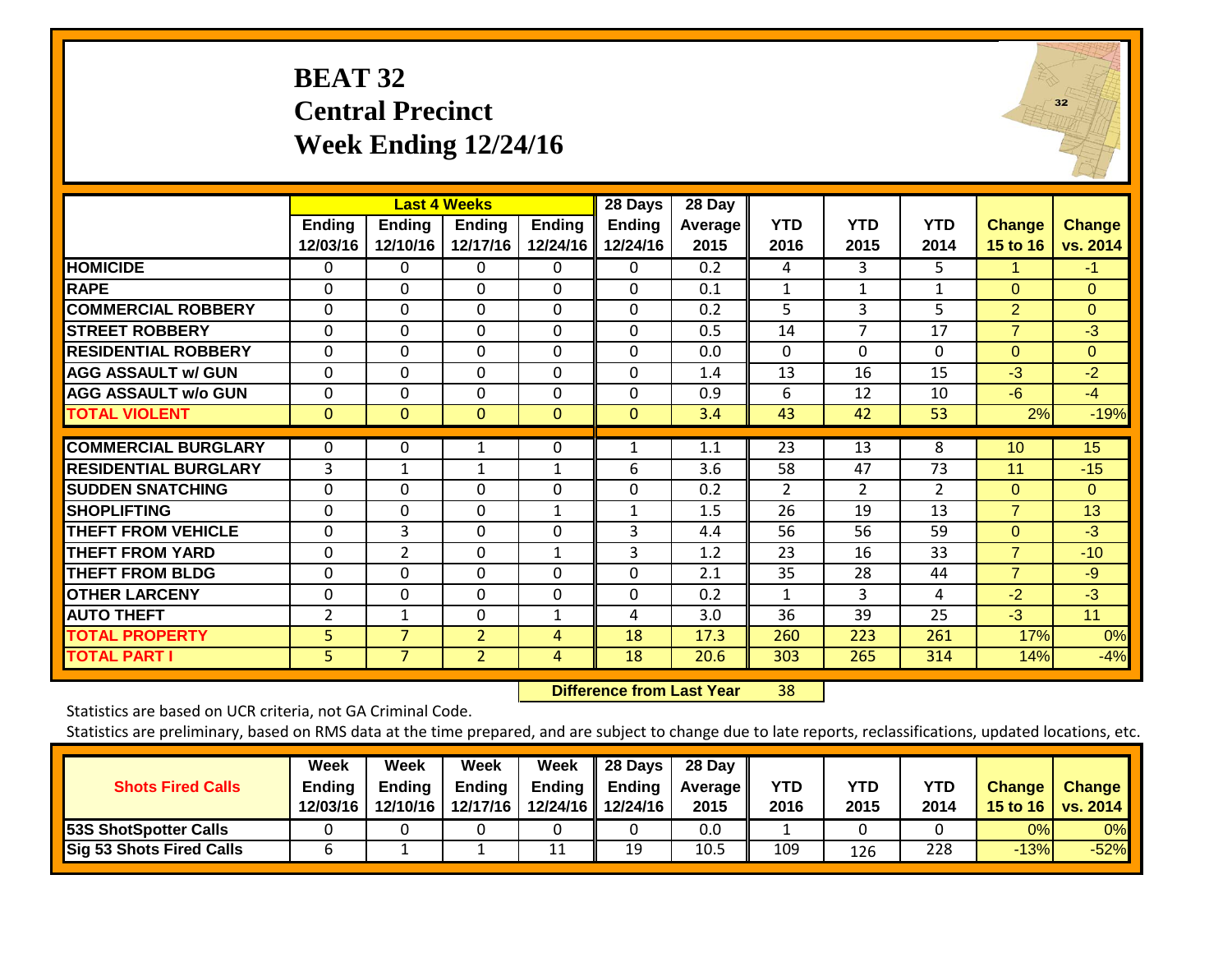## **BEAT 32 Central Precinct Week Ending 12/24/16**

|                             |                           | <b>Last 4 Weeks</b>       |                           |                           | 28 Days                   | 28 Day          |                    |                    |                    |                           |                           |
|-----------------------------|---------------------------|---------------------------|---------------------------|---------------------------|---------------------------|-----------------|--------------------|--------------------|--------------------|---------------------------|---------------------------|
|                             | <b>Ending</b><br>12/03/16 | <b>Ending</b><br>12/10/16 | <b>Ending</b><br>12/17/16 | <b>Ending</b><br>12/24/16 | <b>Ending</b><br>12/24/16 | Average<br>2015 | <b>YTD</b><br>2016 | <b>YTD</b><br>2015 | <b>YTD</b><br>2014 | <b>Change</b><br>15 to 16 | <b>Change</b><br>vs. 2014 |
| <b>HOMICIDE</b>             | 0                         | 0                         | 0                         | 0                         | $\mathbf 0$               | 0.2             | 4                  | 3                  | 5                  |                           | $-1$                      |
| <b>RAPE</b>                 | 0                         | $\Omega$                  | 0                         | $\Omega$                  | $\Omega$                  | 0.1             | 1                  | 1                  | 1                  | $\Omega$                  | $\Omega$                  |
| <b>COMMERCIAL ROBBERY</b>   | $\mathbf 0$               | $\Omega$                  | $\Omega$                  | $\mathbf{0}$              | $\Omega$                  | 0.2             | 5                  | 3                  | 5                  | 2                         | $\Omega$                  |
| <b>STREET ROBBERY</b>       | 0                         | 0                         | $\Omega$                  | $\mathbf 0$               | $\mathbf 0$               | 0.5             | 14                 | $\overline{7}$     | 17                 | $\overline{7}$            | $-3$                      |
| <b>RESIDENTIAL ROBBERY</b>  | 0                         | 0                         | 0                         | 0                         | $\Omega$                  | 0.0             | $\Omega$           | $\Omega$           | 0                  | $\Omega$                  | $\Omega$                  |
| <b>AGG ASSAULT w/ GUN</b>   | 0                         | $\Omega$                  | 0                         | 0                         | 0                         | 1.4             | 13                 | 16                 | 15                 | $-3$                      | $-2$                      |
| <b>AGG ASSAULT w/o GUN</b>  | 0                         | 0                         | 0                         | 0                         | $\Omega$                  | 0.9             | 6                  | 12                 | 10                 | $-6$                      | $-4$                      |
| <b>TOTAL VIOLENT</b>        | $\mathbf{0}$              | $\mathbf{0}$              | 0                         | $\mathbf{0}$              | $\mathbf 0$               | 3.4             | 43                 | 42                 | 53                 | 2%                        | $-19%$                    |
|                             |                           |                           |                           |                           |                           |                 |                    |                    |                    |                           |                           |
| <b>COMMERCIAL BURGLARY</b>  | 0                         | 0                         | 1                         | 0                         | $\mathbf{1}$              | 1.1             | 23                 | 13                 | 8                  | 10                        | 15                        |
| <b>RESIDENTIAL BURGLARY</b> | 3                         | 1                         | 1                         | 1                         | 6                         | 3.6             | 58                 | 47                 | 73                 | 11                        | $-15$                     |
| <b>SUDDEN SNATCHING</b>     | $\Omega$                  | $\Omega$                  | 0                         | $\Omega$                  | 0                         | 0.2             | $\overline{2}$     | 2                  | 2                  | $\Omega$                  | $\Omega$                  |
| <b>SHOPLIFTING</b>          | 0                         | $\Omega$                  | $\Omega$                  | $\mathbf{1}$              | $\mathbf{1}$              | 1.5             | 26                 | 19                 | 13                 | $\overline{7}$            | 13                        |
| <b>THEFT FROM VEHICLE</b>   | 0                         | 3                         | $\Omega$                  | $\Omega$                  | 3                         | 4.4             | 56                 | 56                 | 59                 | $\Omega$                  | $-3$                      |
| <b>THEFT FROM YARD</b>      | 0                         | $\overline{2}$            | 0                         | $\mathbf{1}$              | 3                         | 1.2             | 23                 | 16                 | 33                 | $\overline{7}$            | $-10$                     |
| <b>THEFT FROM BLDG</b>      | 0                         | 0                         | 0                         | $\Omega$                  | 0                         | 2.1             | 35                 | 28                 | 44                 | $\overline{7}$            | $-9$                      |
| <b>OTHER LARCENY</b>        | 0                         | 0                         | 0                         | $\Omega$                  | $\Omega$                  | 0.2             | $\mathbf{1}$       | 3                  | 4                  | $-2$                      | $-3$                      |
| <b>AUTO THEFT</b>           | $\overline{2}$            | 1                         | $\mathbf 0$               | $\mathbf{1}$              | 4                         | 3.0             | 36                 | 39                 | 25                 | $-3$                      | 11                        |
| <b>TOTAL PROPERTY</b>       | 5                         | 7                         | $\overline{2}$            | 4                         | 18                        | 17.3            | 260                | 223                | 261                | 17%                       | 0%                        |
| <b>TOTAL PART I</b>         | $\overline{5}$            | $\overline{7}$            | $\overline{2}$            | 4                         | 18                        | 20.6            | 303                | 265                | 314                | 14%                       | $-4%$                     |

 **Difference from Last Year**r 38  $32$ 

Statistics are based on UCR criteria, not GA Criminal Code.

| <b>Shots Fired Calls</b>        | Week<br><b>Ending</b><br>12/03/16 | Week<br>Endina<br>12/10/16 | Week<br><b>Ending</b><br>12/17/16 | Week<br>Ending | 28 Days<br><b>Ending</b><br>12/24/16 12/24/16 | 28 Day<br><b>Average II</b><br>2015 | YTD<br>2016 | YTD<br>2015 | <b>YTD</b><br>2014 | <b>Change</b> | <b>Change</b><br>15 to 16   vs. 2014 |
|---------------------------------|-----------------------------------|----------------------------|-----------------------------------|----------------|-----------------------------------------------|-------------------------------------|-------------|-------------|--------------------|---------------|--------------------------------------|
| <b>53S ShotSpotter Calls</b>    |                                   |                            |                                   |                |                                               | 0.0                                 |             |             |                    | 0%            | 0%                                   |
| <b>Sig 53 Shots Fired Calls</b> |                                   |                            |                                   | 11             | 19                                            | 10.5                                | 109         | 126         | 228                | $-13%$        | $-52%$                               |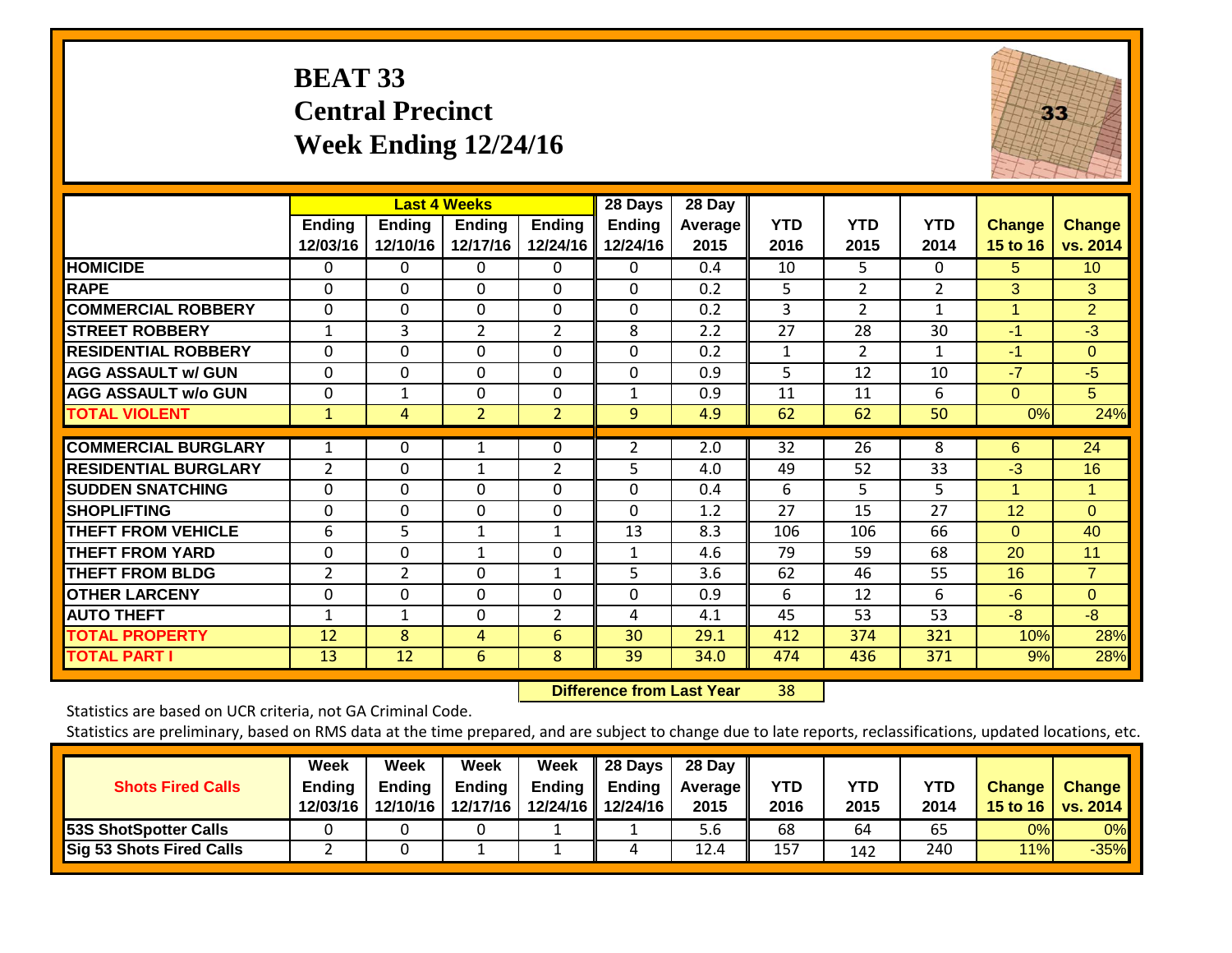## **BEAT 33 Central Precinct Week Ending 12/24/16**



|                             |                           |                           | <b>Last 4 Weeks</b>       |                           | 28 Days                   | 28 Day          |                    |                    |                    |                           |                           |
|-----------------------------|---------------------------|---------------------------|---------------------------|---------------------------|---------------------------|-----------------|--------------------|--------------------|--------------------|---------------------------|---------------------------|
|                             | <b>Ending</b><br>12/03/16 | <b>Ending</b><br>12/10/16 | <b>Ending</b><br>12/17/16 | <b>Ending</b><br>12/24/16 | <b>Ending</b><br>12/24/16 | Average<br>2015 | <b>YTD</b><br>2016 | <b>YTD</b><br>2015 | <b>YTD</b><br>2014 | <b>Change</b><br>15 to 16 | <b>Change</b><br>vs. 2014 |
| <b>HOMICIDE</b>             | 0                         | 0                         | 0                         | 0                         | 0                         | 0.4             | 10                 | 5.                 | 0                  | 5.                        | 10 <sup>°</sup>           |
| <b>RAPE</b>                 | 0                         | $\Omega$                  | $\Omega$                  | 0                         | 0                         | 0.2             | 5                  | $\overline{2}$     | $\overline{2}$     | 3                         | 3                         |
| <b>COMMERCIAL ROBBERY</b>   | 0                         | 0                         | $\Omega$                  | 0                         | $\Omega$                  | 0.2             | 3                  | $\overline{2}$     | 1                  | 1                         | $\overline{2}$            |
| <b>STREET ROBBERY</b>       | $\mathbf{1}$              | 3                         | $\overline{2}$            | $\overline{2}$            | 8                         | 2.2             | 27                 | 28                 | 30                 | $-1$                      | $-3$                      |
| <b>RESIDENTIAL ROBBERY</b>  | 0                         | 0                         | $\Omega$                  | 0                         | $\Omega$                  | 0.2             | $\mathbf{1}$       | $\overline{2}$     | $\mathbf{1}$       | $-1$                      | $\Omega$                  |
| <b>AGG ASSAULT w/ GUN</b>   | $\Omega$                  | $\Omega$                  | $\Omega$                  | 0                         | $\Omega$                  | 0.9             | 5                  | 12                 | 10                 | $-7$                      | $-5$                      |
| <b>AGG ASSAULT w/o GUN</b>  | 0                         | $\mathbf{1}$              | $\Omega$                  | 0                         | $\mathbf{1}$              | 0.9             | 11                 | 11                 | 6                  | $\Omega$                  | 5                         |
| <b>TOTAL VIOLENT</b>        | 1                         | 4                         | $\overline{2}$            | $\overline{2}$            | 9                         | 4.9             | 62                 | 62                 | 50                 | 0%                        | 24%                       |
| <b>COMMERCIAL BURGLARY</b>  | 1                         | 0                         | 1                         | 0                         | 2                         | 2.0             | 32                 | 26                 | 8                  | 6                         | 24                        |
| <b>RESIDENTIAL BURGLARY</b> | $\overline{2}$            | $\Omega$                  | 1                         | $\overline{2}$            | 5                         | 4.0             | 49                 | 52                 | 33                 | $-3$                      | 16                        |
| <b>ISUDDEN SNATCHING</b>    | 0                         | $\Omega$                  | $\Omega$                  | 0                         | 0                         | 0.4             | 6                  | 5                  | 5                  | 1                         |                           |
| <b>SHOPLIFTING</b>          | 0                         | 0                         | $\Omega$                  | $\Omega$                  | 0                         | 1.2             | 27                 | 15                 | 27                 | 12                        | $\Omega$                  |
| <b>THEFT FROM VEHICLE</b>   | 6                         | 5                         | $\mathbf{1}$              | 1                         | 13                        | 8.3             | 106                | 106                | 66                 | $\Omega$                  | 40                        |
| <b>THEFT FROM YARD</b>      | 0                         | 0                         | $\mathbf{1}$              | $\Omega$                  | 1                         | 4.6             | 79                 | 59                 | 68                 | 20                        | 11                        |
| <b>THEFT FROM BLDG</b>      | $\overline{2}$            | 2                         | $\Omega$                  | $\mathbf{1}$              | 5                         | 3.6             | 62                 | 46                 | 55                 | 16                        | $\overline{7}$            |
| <b>OTHER LARCENY</b>        | 0                         | 0                         | $\Omega$                  | $\Omega$                  | 0                         | 0.9             | 6                  | 12                 | 6                  | $-6$                      | $\Omega$                  |
| <b>AUTO THEFT</b>           | $\mathbf 1$               | 1                         | $\Omega$                  | $\overline{2}$            | 4                         | 4.1             | 45                 | 53                 | 53                 | -8                        | -8                        |
| <b>TOTAL PROPERTY</b>       | 12                        | 8                         | 4                         | 6                         | 30                        | 29.1            | 412                | 374                | 321                | 10%                       | 28%                       |
| <b>TOTAL PART I</b>         | 13                        | 12                        | 6                         | 8                         | 39                        | 34.0            | 474                | 436                | 371                | 9%                        | 28%                       |

 **Difference from Last Year**r 38

Statistics are based on UCR criteria, not GA Criminal Code.

| <b>Shots Fired Calls</b>     | Week<br><b>Ending</b><br>12/03/16 | Week<br><b>Ending</b><br>12/10/16 | Week<br><b>Ending</b><br>12/17/16 | Week<br><b>Ending</b> | 28 Days<br>Ending<br>12/24/16 12/24/16 | 28 Day<br><b>Average II</b><br>2015 | YTD<br>2016 | <b>YTD</b><br>2015 | <b>YTD</b><br>2014 | <b>Change</b> | <b>Change</b><br>15 to 16   vs. 2014 |
|------------------------------|-----------------------------------|-----------------------------------|-----------------------------------|-----------------------|----------------------------------------|-------------------------------------|-------------|--------------------|--------------------|---------------|--------------------------------------|
| <b>53S ShotSpotter Calls</b> |                                   |                                   |                                   |                       |                                        | 5.6                                 | 68          | 64                 | 65                 | 0%            | $0\%$                                |
| Sig 53 Shots Fired Calls     |                                   |                                   |                                   |                       | 4                                      | 12.4                                | 157         | 142                | 240                | 11%           | $-35%$                               |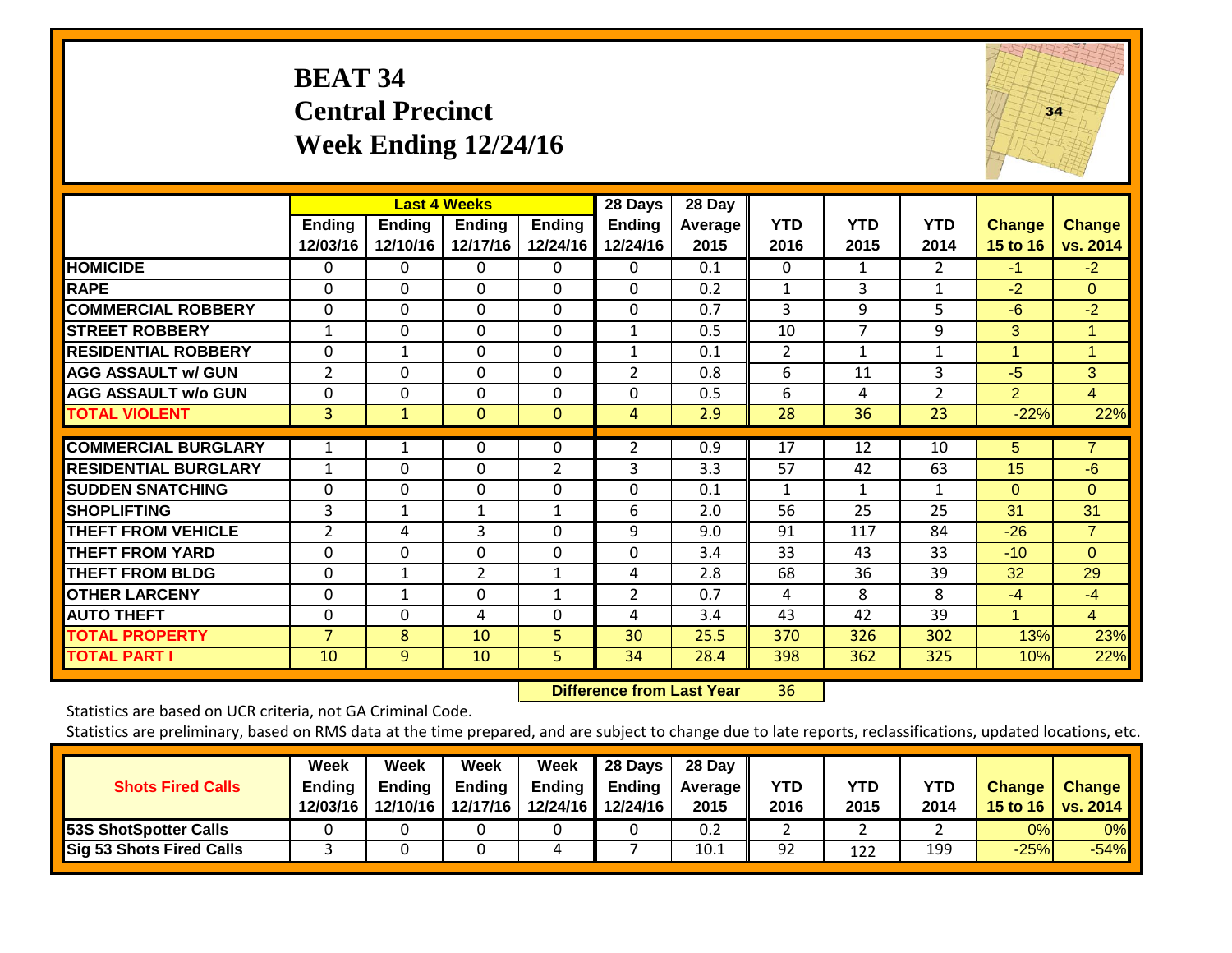## **BEAT 34 Central Precinct Week Ending 12/24/16**



|                             |                           |                           | <b>Last 4 Weeks</b>       |                           | 28 Days                   | 28 Day                 |                    |                    |                    |                           |                           |
|-----------------------------|---------------------------|---------------------------|---------------------------|---------------------------|---------------------------|------------------------|--------------------|--------------------|--------------------|---------------------------|---------------------------|
|                             | <b>Ending</b><br>12/03/16 | <b>Ending</b><br>12/10/16 | <b>Ending</b><br>12/17/16 | <b>Ending</b><br>12/24/16 | <b>Ending</b><br>12/24/16 | <b>Average</b><br>2015 | <b>YTD</b><br>2016 | <b>YTD</b><br>2015 | <b>YTD</b><br>2014 | <b>Change</b><br>15 to 16 | <b>Change</b><br>vs. 2014 |
| <b>HOMICIDE</b>             | 0                         | 0                         | 0                         | 0                         | 0                         | 0.1                    | 0                  | 1                  | $\overline{2}$     | $-1$                      | $-2$                      |
| <b>RAPE</b>                 | $\Omega$                  | $\Omega$                  | $\Omega$                  | 0                         | $\Omega$                  | 0.2                    | 1                  | 3                  | 1                  | $-2$                      | $\Omega$                  |
| <b>COMMERCIAL ROBBERY</b>   | $\Omega$                  | $\Omega$                  | $\Omega$                  | $\Omega$                  | $\Omega$                  | 0.7                    | 3                  | 9                  | 5                  | $-6$                      | $-2$                      |
| <b>STREET ROBBERY</b>       | 1                         | 0                         | $\mathbf{0}$              | $\Omega$                  | $\mathbf{1}$              | 0.5                    | 10                 | 7                  | 9                  | 3                         | $\mathbf{1}$              |
| <b>RESIDENTIAL ROBBERY</b>  | $\mathbf 0$               | 1                         | $\mathbf 0$               | $\mathbf 0$               | $\mathbf{1}$              | 0.1                    | $\overline{2}$     | 1                  | $\mathbf{1}$       | 1                         | 1                         |
| <b>AGG ASSAULT w/ GUN</b>   | $\overline{2}$            | 0                         | $\Omega$                  | $\Omega$                  | 2                         | 0.8                    | 6                  | 11                 | 3                  | $-5$                      | 3                         |
| <b>AGG ASSAULT w/o GUN</b>  | $\Omega$                  | 0                         | $\Omega$                  | 0                         | $\Omega$                  | 0.5                    | 6                  | 4                  | $\overline{2}$     | $\overline{2}$            | $\overline{4}$            |
| <b>TOTAL VIOLENT</b>        | 3                         | $\mathbf{1}$              | $\mathbf{0}$              | $\mathbf{0}$              | 4                         | 2.9                    | 28                 | 36                 | 23                 | $-22%$                    | 22%                       |
| <b>COMMERCIAL BURGLARY</b>  | 1                         |                           | 0                         | $\Omega$                  | 2                         | 0.9                    | 17                 | 12                 | 10                 | 5                         | 7                         |
| <b>RESIDENTIAL BURGLARY</b> | 1                         | 0                         | $\mathbf 0$               | $\overline{2}$            | 3                         | 3.3                    | 57                 | 42                 | 63                 | 15                        | $-6$                      |
| <b>SUDDEN SNATCHING</b>     | $\Omega$                  | 0                         | $\Omega$                  | $\Omega$                  | $\Omega$                  | 0.1                    | $\mathbf{1}$       | 1                  | 1                  | $\Omega$                  | $\Omega$                  |
| <b>SHOPLIFTING</b>          | 3                         | 1                         | 1                         | 1                         | 6                         | 2.0                    | 56                 | 25                 | 25                 | 31                        | 31                        |
| <b>THEFT FROM VEHICLE</b>   | $\overline{2}$            | 4                         | 3                         | $\Omega$                  | 9                         | 9.0                    | 91                 | 117                | 84                 | $-26$                     | $\overline{7}$            |
| <b>THEFT FROM YARD</b>      | $\mathbf 0$               | $\mathbf 0$               | $\mathbf 0$               | $\mathbf 0$               | 0                         | 3.4                    | 33                 | 43                 | 33                 | $-10$                     | $\overline{0}$            |
| <b>THEFT FROM BLDG</b>      | 0                         | 1                         | $\overline{2}$            | $\mathbf{1}$              | 4                         | 2.8                    | 68                 | 36                 | 39                 | 32                        | 29                        |
| <b>OTHER LARCENY</b>        | $\Omega$                  | 1                         | $\mathbf 0$               | $\mathbf{1}$              | 2                         | 0.7                    | 4                  | 8                  | 8                  | $-4$                      | $-4$                      |
| <b>AUTO THEFT</b>           | $\Omega$                  | $\Omega$                  | 4                         | 0                         | 4                         | 3.4                    | 43                 | 42                 | 39                 | 1                         | $\overline{4}$            |
| <b>TOTAL PROPERTY</b>       | $\overline{7}$            | 8                         | 10                        | 5.                        | 30                        | 25.5                   | 370                | 326                | 302                | 13%                       | 23%                       |
| <b>TOTAL PART I</b>         | 10                        | 9                         | 10                        | 5                         | 34                        | 28.4                   | 398                | 362                | 325                | 10%                       | 22%                       |

 **Difference from Last Year**r 36

Statistics are based on UCR criteria, not GA Criminal Code.

| <b>Shots Fired Calls</b>        | Week<br><b>Ending</b><br>12/03/16 | Week<br>Endina<br>12/10/16 | Week<br><b>Ending</b><br>12/17/16 | Week<br>Ending | 28 Days<br>Ending<br>12/24/16 12/24/16 | 28 Day<br><b>Average II</b><br>2015 | YTD<br>2016 | YTD<br>2015 | <b>YTD</b><br>2014 | <b>Change</b> | <b>Change</b><br>15 to 16   vs. 2014 |
|---------------------------------|-----------------------------------|----------------------------|-----------------------------------|----------------|----------------------------------------|-------------------------------------|-------------|-------------|--------------------|---------------|--------------------------------------|
| 53S ShotSpotter Calls           |                                   |                            |                                   |                |                                        | 0.2                                 |             |             |                    | 0%            | 0%                                   |
| <b>Sig 53 Shots Fired Calls</b> |                                   |                            |                                   | 4              |                                        | 10.1                                | 92          | 122         | 199                | $-25%$        | $-54%$                               |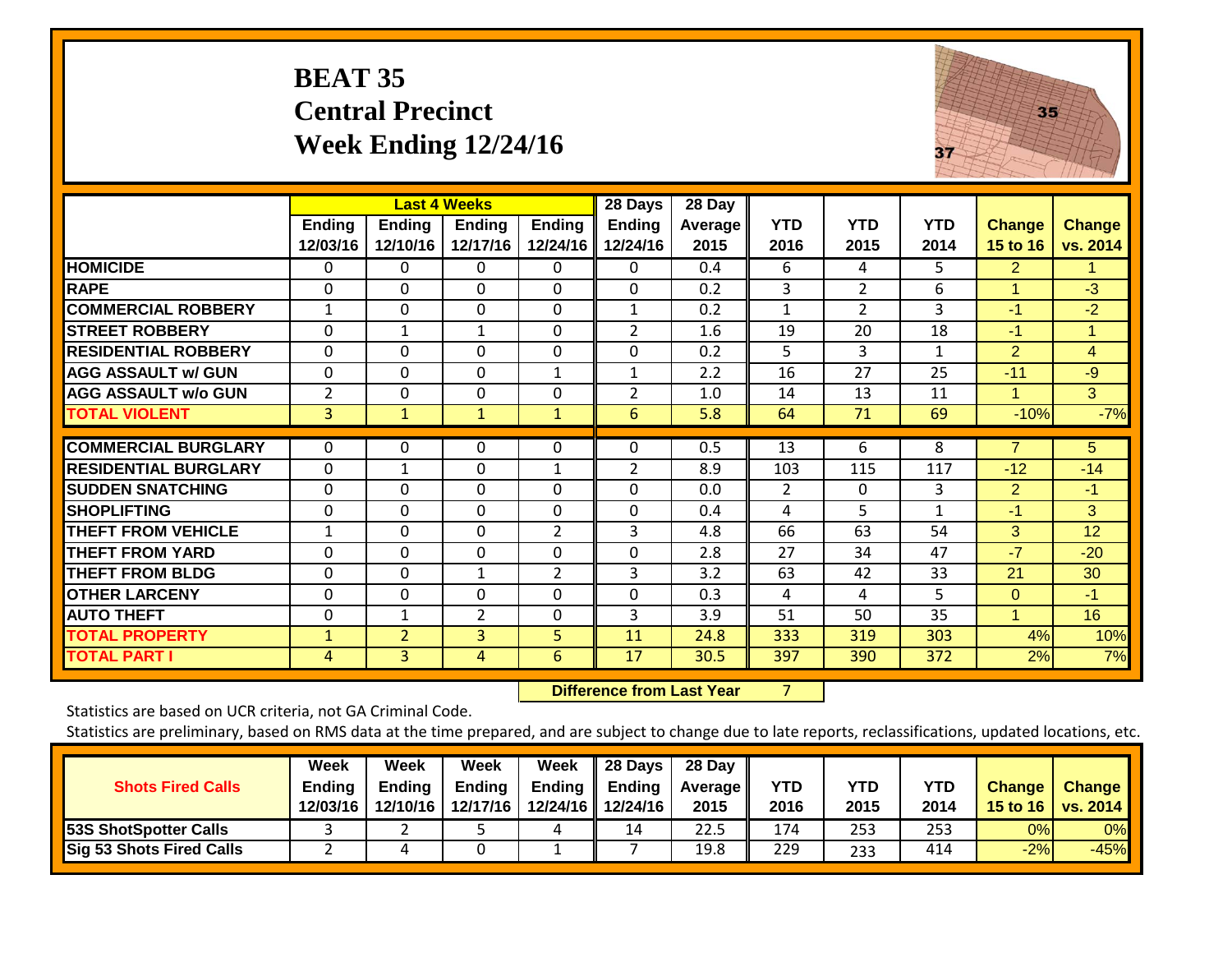## **BEAT 35 Central Precinct Week Ending 12/24/16**



|                             |                           |                    | <b>Last 4 Weeks</b>       |                           | 28 Days                   | 28 Day          |                    |                    |                    |                           |                           |
|-----------------------------|---------------------------|--------------------|---------------------------|---------------------------|---------------------------|-----------------|--------------------|--------------------|--------------------|---------------------------|---------------------------|
|                             | <b>Ending</b><br>12/03/16 | Ending<br>12/10/16 | <b>Ending</b><br>12/17/16 | <b>Ending</b><br>12/24/16 | <b>Ending</b><br>12/24/16 | Average<br>2015 | <b>YTD</b><br>2016 | <b>YTD</b><br>2015 | <b>YTD</b><br>2014 | <b>Change</b><br>15 to 16 | <b>Change</b><br>vs. 2014 |
| <b>HOMICIDE</b>             | 0                         | 0                  | 0                         | 0                         | 0                         | 0.4             | 6                  | 4                  | 5                  | 2                         | 1.                        |
| <b>RAPE</b>                 | 0                         | $\Omega$           | $\Omega$                  | 0                         | 0                         | 0.2             | 3                  | $\overline{2}$     | 6                  | 1                         | $-3$                      |
| <b>COMMERCIAL ROBBERY</b>   | $\mathbf{1}$              | $\Omega$           | $\Omega$                  | 0                         | $\mathbf{1}$              | 0.2             | 1                  | $\overline{2}$     | 3                  | -1                        | $-2$                      |
| <b>STREET ROBBERY</b>       | 0                         | $\mathbf{1}$       | $\mathbf{1}$              | $\Omega$                  | $\overline{2}$            | 1.6             | 19                 | 20                 | 18                 | -1                        | 1                         |
| <b>RESIDENTIAL ROBBERY</b>  | 0                         | $\Omega$           | $\Omega$                  | 0                         | 0                         | 0.2             | 5                  | 3                  | 1                  | 2                         | $\overline{4}$            |
| <b>AGG ASSAULT w/ GUN</b>   | 0                         | 0                  | $\Omega$                  | 1                         |                           | 2.2             | 16                 | 27                 | 25                 | $-11$                     | $-9$                      |
| <b>AGG ASSAULT w/o GUN</b>  | 2                         | 0                  | $\Omega$                  | 0                         | $\overline{2}$            | 1.0             | 14                 | 13                 | 11                 | 1                         | 3                         |
| <b>TOTAL VIOLENT</b>        | 3                         | 1                  | $\mathbf{1}$              | $\mathbf{1}$              | 6                         | 5.8             | 64                 | 71                 | 69                 | $-10%$                    | $-7%$                     |
| <b>COMMERCIAL BURGLARY</b>  | $\Omega$                  | 0                  | $\Omega$                  | $\Omega$                  | 0                         | 0.5             | 13                 | 6                  | 8                  | $\overline{7}$            | 5                         |
| <b>RESIDENTIAL BURGLARY</b> | 0                         | $\mathbf{1}$       | $\Omega$                  | 1                         | $\overline{2}$            | 8.9             | 103                | 115                | 117                | $-12$                     | $-14$                     |
| <b>SUDDEN SNATCHING</b>     | 0                         | $\Omega$           | $\Omega$                  | $\Omega$                  | 0                         | 0.0             | $\overline{2}$     | $\Omega$           | 3                  | 2                         | $-1$                      |
| <b>SHOPLIFTING</b>          | 0                         | $\Omega$           | $\Omega$                  | $\Omega$                  | $\Omega$                  | 0.4             | 4                  | 5                  | 1                  | -1                        | 3                         |
| <b>THEFT FROM VEHICLE</b>   | $\mathbf{1}$              | $\Omega$           | $\Omega$                  | $\overline{2}$            | 3                         | 4.8             | 66                 | 63                 | 54                 | 3                         | 12                        |
| <b>THEFT FROM YARD</b>      | 0                         | $\Omega$           | $\mathbf 0$               | $\Omega$                  | 0                         | 2.8             | 27                 | 34                 | 47                 | $-7$                      | $-20$                     |
| <b>THEFT FROM BLDG</b>      | 0                         | 0                  | 1                         | 2                         | 3                         | 3.2             | 63                 | 42                 | 33                 | 21                        | 30                        |
| <b>OTHER LARCENY</b>        | 0                         | $\Omega$           | $\Omega$                  | $\Omega$                  | 0                         | 0.3             | 4                  | 4                  | 5                  | $\Omega$                  | $-1$                      |
| <b>AUTO THEFT</b>           | 0                         | $\mathbf{1}$       | $\overline{2}$            | 0                         | 3                         | 3.9             | 51                 | 50                 | 35                 | 1                         | 16                        |
| <b>TOTAL PROPERTY</b>       | $\mathbf{1}$              | $\overline{2}$     | $\overline{3}$            | 5                         | 11                        | 24.8            | 333                | 319                | 303                | 4%                        | 10%                       |
| <b>TOTAL PART I</b>         | 4                         | $\overline{3}$     | 4                         | 6                         | 17                        | 30.5            | 397                | 390                | 372                | 2%                        | 7%                        |

 **Difference from Last Year**

7

Statistics are based on UCR criteria, not GA Criminal Code.

| <b>Shots Fired Calls</b>        | Week<br><b>Ending</b><br>12/03/16 | Week<br>Endina<br>12/10/16 | Week<br><b>Ending</b><br>12/17/16 | Week<br>Ending | 28 Days<br><b>Ending</b><br>12/24/16 12/24/16 | 28 Day<br><b>Average II</b><br>2015 | YTD<br>2016 | YTD<br>2015 | <b>YTD</b><br>2014 | <b>Change</b> | <b>Change</b><br>15 to 16   vs. 2014 |
|---------------------------------|-----------------------------------|----------------------------|-----------------------------------|----------------|-----------------------------------------------|-------------------------------------|-------------|-------------|--------------------|---------------|--------------------------------------|
| <b>53S ShotSpotter Calls</b>    |                                   |                            |                                   | 4              | 14                                            | 22.5                                | 174         | 253         | 253                | 0%            | 0%                                   |
| <b>Sig 53 Shots Fired Calls</b> |                                   |                            |                                   |                |                                               | 19.8                                | 229         | 233         | 414                | $-2%$         | $-45%$                               |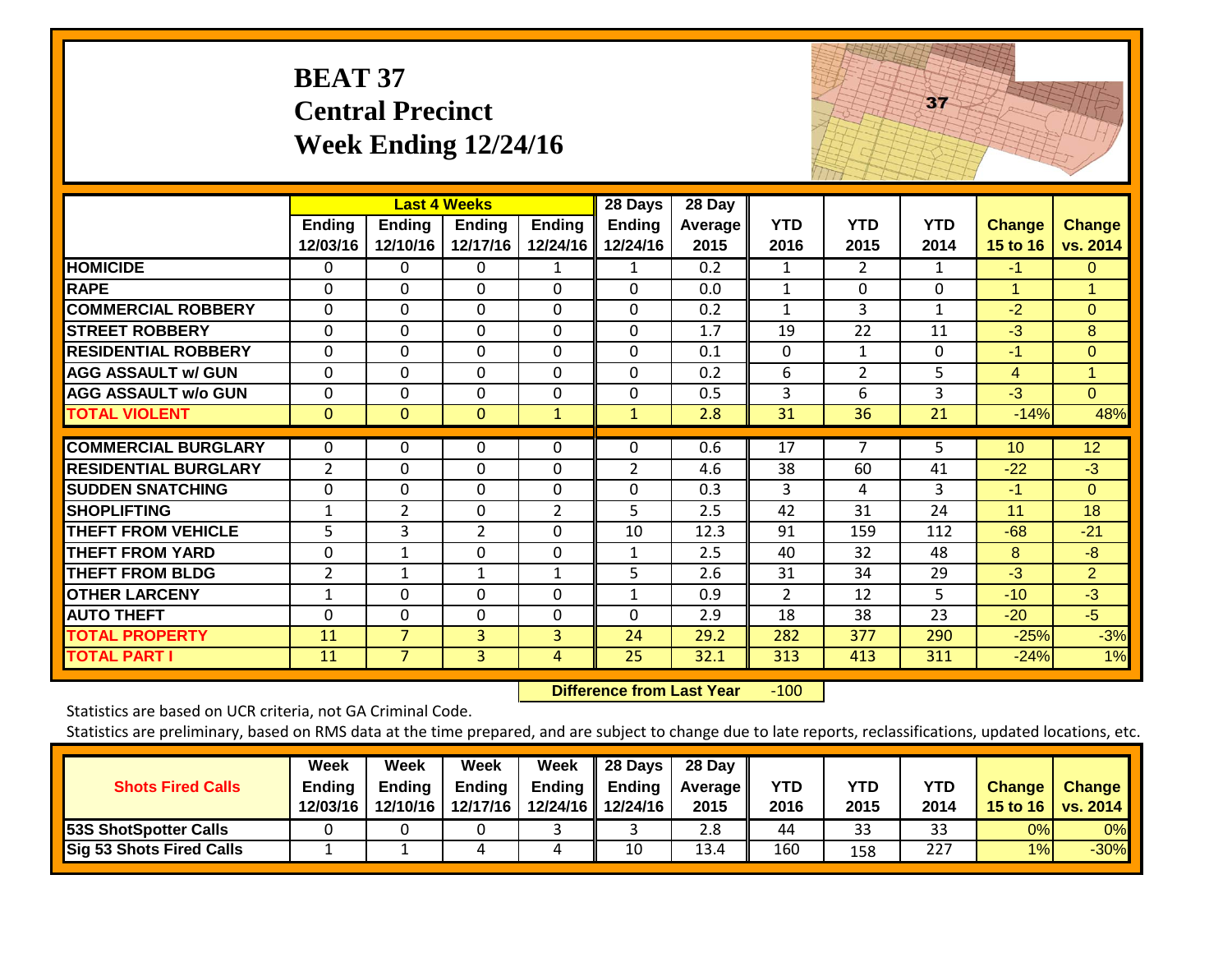| <b>BEAT 37</b>              |
|-----------------------------|
| <b>Central Precinct</b>     |
| <b>Week Ending 12/24/16</b> |



|                             |                |                | <b>Last 4 Weeks</b> |                | 28 Days        | 28 Day  |                |                |              |                 |                 |
|-----------------------------|----------------|----------------|---------------------|----------------|----------------|---------|----------------|----------------|--------------|-----------------|-----------------|
|                             | Ending         | <b>Ending</b>  | <b>Ending</b>       | Ending         | <b>Ending</b>  | Average | <b>YTD</b>     | <b>YTD</b>     | <b>YTD</b>   | <b>Change</b>   | <b>Change</b>   |
|                             | 12/03/16       | 12/10/16       | 12/17/16            | 12/24/16       | 12/24/16       | 2015    | 2016           | 2015           | 2014         | 15 to 16        | vs. 2014        |
| <b>HOMICIDE</b>             | $\Omega$       | 0              | $\mathbf{0}$        | 1              | 1              | 0.2     | $\mathbf{1}$   | $\overline{2}$ | 1            | $-1$            | $\Omega$        |
| <b>RAPE</b>                 | $\Omega$       | 0              | $\mathbf{0}$        | $\Omega$       | $\Omega$       | 0.0     | 1              | $\Omega$       | 0            | 1               | 1               |
| <b>COMMERCIAL ROBBERY</b>   | $\Omega$       | 0              | $\mathbf{0}$        | $\Omega$       | $\mathbf 0$    | 0.2     | 1              | 3              | $\mathbf{1}$ | $-2$            | $\Omega$        |
| <b>STREET ROBBERY</b>       | $\Omega$       | 0              | $\Omega$            | $\Omega$       | $\Omega$       | 1.7     | 19             | 22             | 11           | $-3$            | 8               |
| <b>RESIDENTIAL ROBBERY</b>  | $\Omega$       | 0              | $\mathbf{0}$        | $\Omega$       | $\mathbf 0$    | 0.1     | $\mathbf{0}$   | 1              | 0            | $-1$            | $\Omega$        |
| <b>AGG ASSAULT w/ GUN</b>   | $\mathbf 0$    | 0              | $\mathbf{0}$        | $\mathbf 0$    | $\mathbf 0$    | 0.2     | 6              | $\overline{2}$ | 5            | $\overline{4}$  | $\mathbf{1}$    |
| <b>AGG ASSAULT w/o GUN</b>  | $\Omega$       | 0              | $\mathbf{0}$        | $\Omega$       | $\Omega$       | 0.5     | 3              | 6              | 3            | $-3$            | $\Omega$        |
| <b>TOTAL VIOLENT</b>        | $\mathbf{0}$   | $\Omega$       | $\Omega$            | $\mathbf{1}$   | $\mathbf{1}$   | 2.8     | 31             | 36             | 21           | $-14%$          | 48%             |
|                             |                |                |                     |                |                |         |                | $\overline{ }$ |              |                 |                 |
| <b>COMMERCIAL BURGLARY</b>  | $\Omega$       | 0              | $\mathbf 0$         | $\Omega$       | $\Omega$       | 0.6     | 17             |                | 5            | 10 <sup>1</sup> | 12 <sup>2</sup> |
| <b>RESIDENTIAL BURGLARY</b> | $\overline{2}$ | 0              | $\mathbf 0$         | $\Omega$       | $\overline{2}$ | 4.6     | 38             | 60             | 41           | $-22$           | $-3$            |
| <b>SUDDEN SNATCHING</b>     | $\Omega$       | 0              | $\Omega$            | $\Omega$       | $\Omega$       | 0.3     | $\overline{3}$ | 4              | 3            | $-1$            | $\Omega$        |
| <b>SHOPLIFTING</b>          | $\mathbf 1$    | $\overline{2}$ | $\mathbf 0$         | $\overline{2}$ | 5              | 2.5     | 42             | 31             | 24           | 11              | 18              |
| <b>THEFT FROM VEHICLE</b>   | 5              | 3              | $\overline{2}$      | $\Omega$       | 10             | 12.3    | 91             | 159            | 112          | $-68$           | $-21$           |
| <b>THEFT FROM YARD</b>      | 0              | 1              | $\mathbf{0}$        | $\Omega$       | $\mathbf{1}$   | 2.5     | 40             | 32             | 48           | 8               | $-8$            |
| <b>THEFT FROM BLDG</b>      | $\overline{2}$ | $\mathbf{1}$   | $\mathbf{1}$        | $\mathbf{1}$   | 5              | 2.6     | 31             | 34             | 29           | $-3$            | $\overline{2}$  |
| <b>OTHER LARCENY</b>        | $\mathbf{1}$   | 0              | $\mathbf{0}$        | $\Omega$       | $\mathbf{1}$   | 0.9     | $\overline{2}$ | 12             | 5            | $-10$           | $-3$            |
| <b>AUTO THEFT</b>           | $\Omega$       | 0              | $\Omega$            | $\Omega$       | $\Omega$       | 2.9     | 18             | 38             | 23           | $-20$           | $-5$            |
| <b>TOTAL PROPERTY</b>       | 11             | $\overline{7}$ | 3                   | 3              | 24             | 29.2    | 282            | 377            | 290          | $-25%$          | $-3%$           |
| <b>TOTAL PART I</b>         | 11             | $\overline{7}$ | $\overline{3}$      | $\overline{4}$ | 25             | 32.1    | 313            | 413            | 311          | $-24%$          | 1%              |

 **Difference from Last Year**r -100

Statistics are based on UCR criteria, not GA Criminal Code.

| <b>Shots Fired Calls</b>     | Week<br><b>Ending</b><br>12/03/16 | Week<br><b>Ending</b><br>12/10/16 | Week<br><b>Ending</b><br>12/17/16 | Week<br><b>Ending</b> | 28 Days<br>Ending<br>12/24/16 12/24/16 | 28 Day<br><b>Average II</b><br>2015 | YTD<br>2016 | <b>YTD</b><br>2015 | <b>YTD</b><br>2014 | <b>Change</b> | <b>Change</b><br>15 to 16   vs. 2014 |
|------------------------------|-----------------------------------|-----------------------------------|-----------------------------------|-----------------------|----------------------------------------|-------------------------------------|-------------|--------------------|--------------------|---------------|--------------------------------------|
| <b>53S ShotSpotter Calls</b> |                                   |                                   |                                   |                       |                                        | 2.8                                 | 44          | 33                 | 33                 | 0%            | 0%                                   |
| Sig 53 Shots Fired Calls     |                                   |                                   |                                   | 4                     | 10                                     | 13.4                                | 160         | 158                | 227                | 1%            | $-30%$                               |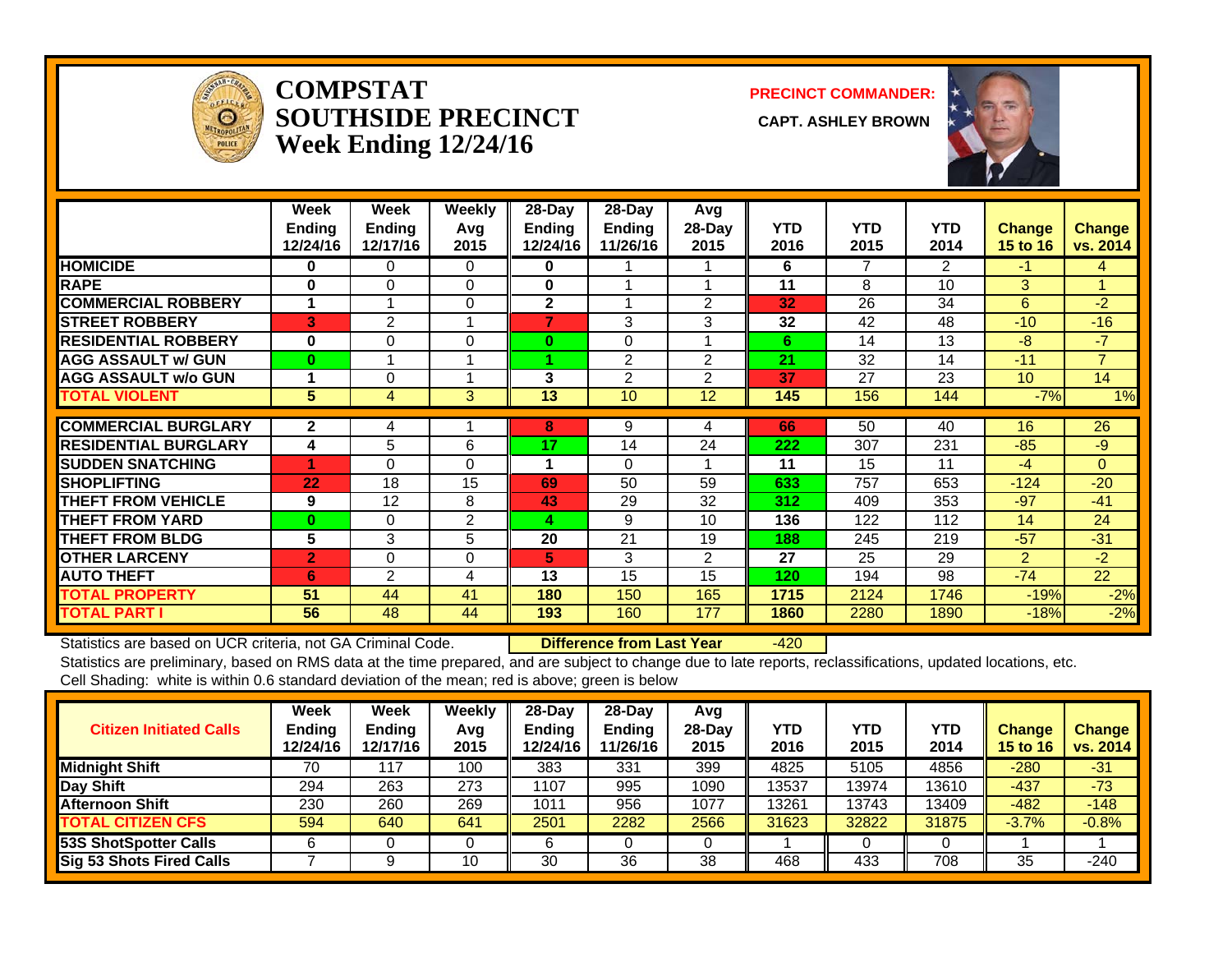

#### **COMPSTATSOUTHSIDE PRECINCT CAPT. ASHLEY BROWNWeek Ending 12/24/16**

**PRECINCT COMMANDER:**



|                             | Week<br><b>Ending</b><br>12/24/16 | Week<br><b>Ending</b><br>12/17/16 | Weekly<br>Avq<br>2015 | $28$ -Day<br>Ending<br>12/24/16 | $28$ -Day<br><b>Ending</b><br>11/26/16 | Avg<br>$28-Day$<br>2015 | <b>YTD</b><br>2016 | <b>YTD</b><br>2015 | <b>YTD</b><br>2014 | <b>Change</b><br><b>15 to 16</b> | <b>Change</b><br>vs. 2014 |
|-----------------------------|-----------------------------------|-----------------------------------|-----------------------|---------------------------------|----------------------------------------|-------------------------|--------------------|--------------------|--------------------|----------------------------------|---------------------------|
| <b>HOMICIDE</b>             | 0                                 | 0                                 | $\Omega$              | 0                               |                                        |                         | 6                  | 7                  | 2                  | $-1$                             | 4                         |
| <b>RAPE</b>                 | 0                                 | 0                                 | $\Omega$              | 0                               |                                        |                         | 11                 | 8                  | 10                 | 3 <sup>1</sup>                   |                           |
| <b>COMMERCIAL ROBBERY</b>   | 1                                 |                                   | $\Omega$              | $\mathbf{2}$                    |                                        | 2                       | 32                 | 26                 | 34                 | 6                                | -2                        |
| <b>STREET ROBBERY</b>       | 3                                 | 2                                 |                       |                                 | 3                                      | 3                       | 32                 | 42                 | 48                 | $-10$                            | $-16$                     |
| <b>RESIDENTIAL ROBBERY</b>  | $\bf{0}$                          | 0                                 | 0                     | 0                               | $\Omega$                               |                         | 6                  | 14                 | 13                 | -8                               | $-7$                      |
| <b>AGG ASSAULT w/ GUN</b>   | $\bf{0}$                          |                                   |                       |                                 | 2                                      | $\overline{2}$          | 21                 | 32                 | 14                 | $-11$                            | $\overline{7}$            |
| <b>AGG ASSAULT w/o GUN</b>  |                                   | 0                                 |                       | 3                               | $\overline{2}$                         | 2                       | 37                 | 27                 | 23                 | 10                               | 14                        |
| <b>TOTAL VIOLENT</b>        | 5                                 | 4                                 | 3                     | 13                              | 10                                     | 12                      | 145                | 156                | 144                | $-7%$                            | 1%                        |
| <b>COMMERCIAL BURGLARY</b>  | $\mathbf{2}$                      | 4                                 |                       | 8                               | 9                                      | 4                       | 66                 | 50                 | 40                 | 16                               | 26                        |
| <b>RESIDENTIAL BURGLARY</b> | 4                                 | 5                                 | 6                     | 17                              | 14                                     | 24                      | 222                | 307                | 231                | $-85$                            | $-9$                      |
| <b>SUDDEN SNATCHING</b>     | 4                                 | 0                                 | $\Omega$              |                                 | $\Omega$                               |                         | 11                 | 15                 | 11                 | $-4$                             | $\Omega$                  |
| <b>SHOPLIFTING</b>          | 22                                | 18                                | 15                    | 69                              | 50                                     | 59                      | 633                | 757                | 653                | $-124$                           | $-20$                     |
| <b>THEFT FROM VEHICLE</b>   | 9                                 | 12                                | 8                     | 43                              | 29                                     | 32                      | 312                | 409                | 353                | $-97$                            | $-41$                     |
| <b>THEFT FROM YARD</b>      | $\bf{0}$                          | 0                                 | 2                     | 4                               | 9                                      | 10                      | 136                | 122                | 112                | 14                               | 24                        |
| <b>THEFT FROM BLDG</b>      | 5                                 | 3                                 | 5                     | 20                              | 21                                     | 19                      | 188                | 245                | 219                | $-57$                            | $-31$                     |
| <b>OTHER LARCENY</b>        | $\overline{2}$                    | 0                                 | $\Omega$              | 5                               | 3                                      | $\overline{2}$          | 27                 | 25                 | 29                 | $\overline{2}$                   | $-2$                      |
| <b>AUTO THEFT</b>           | 6                                 | 2                                 | 4                     | 13                              | 15                                     | 15                      | 120                | 194                | 98                 | $-74$                            | $\overline{22}$           |
| TOTAL PROPERTY              | 51                                | 44                                | 41                    | 180                             | 150                                    | 165                     | 1715               | 2124               | 1746               | $-19%$                           | $-2%$                     |
| <b>TOTAL PART I</b>         | 56                                | 48                                | 44                    | 193                             | 160                                    | 177                     | 1860               | 2280               | 1890               | $-18%$                           | $-2%$                     |

Statistics are based on UCR criteria, not GA Criminal Code. **Difference from Last Year** -420

| <b>Citizen Initiated Calls</b> | Week<br><b>Ending</b><br>12/24/16 | Week<br>Ending<br>12/17/16 | Weekly<br>Avg<br>2015 | $28$ -Day<br><b>Ending</b><br>2/24/16 | 28-Dav<br><b>Ending</b><br>11/26/16 | Avg<br>$28-Day$<br>2015 | YTD<br>2016 | YTD<br>2015 | YTD<br>2014 | <b>Change</b><br>15 to 16 | <b>Change</b><br>vs. 2014 |
|--------------------------------|-----------------------------------|----------------------------|-----------------------|---------------------------------------|-------------------------------------|-------------------------|-------------|-------------|-------------|---------------------------|---------------------------|
| <b>Midnight Shift</b>          | 70                                | 117                        | 100                   | 383                                   | 331                                 | 399                     | 4825        | 5105        | 4856        | $-280$                    | $-31$                     |
| Day Shift                      | 294                               | 263                        | 273                   | 1107                                  | 995                                 | 1090                    | 13537       | 3974        | 13610       | $-437$                    | $-73$                     |
| <b>Afternoon Shift</b>         | 230                               | 260                        | 269                   | 1011                                  | 956                                 | 1077                    | 13261       | 13743       | 13409       | $-482$                    | $-148$                    |
| <b>TOTAL CITIZEN CFS</b>       | 594                               | 640                        | 641                   | 2501                                  | 2282                                | 2566                    | 31623       | 32822       | 31875       | $-3.7%$                   | $-0.8%$                   |
| <b>53S ShotSpotter Calls</b>   |                                   |                            |                       |                                       |                                     |                         |             |             |             |                           |                           |
| Sig 53 Shots Fired Calls       |                                   |                            | 10                    | 30                                    | 36                                  | 38                      | 468         | 433         | 708         | 35                        | -240                      |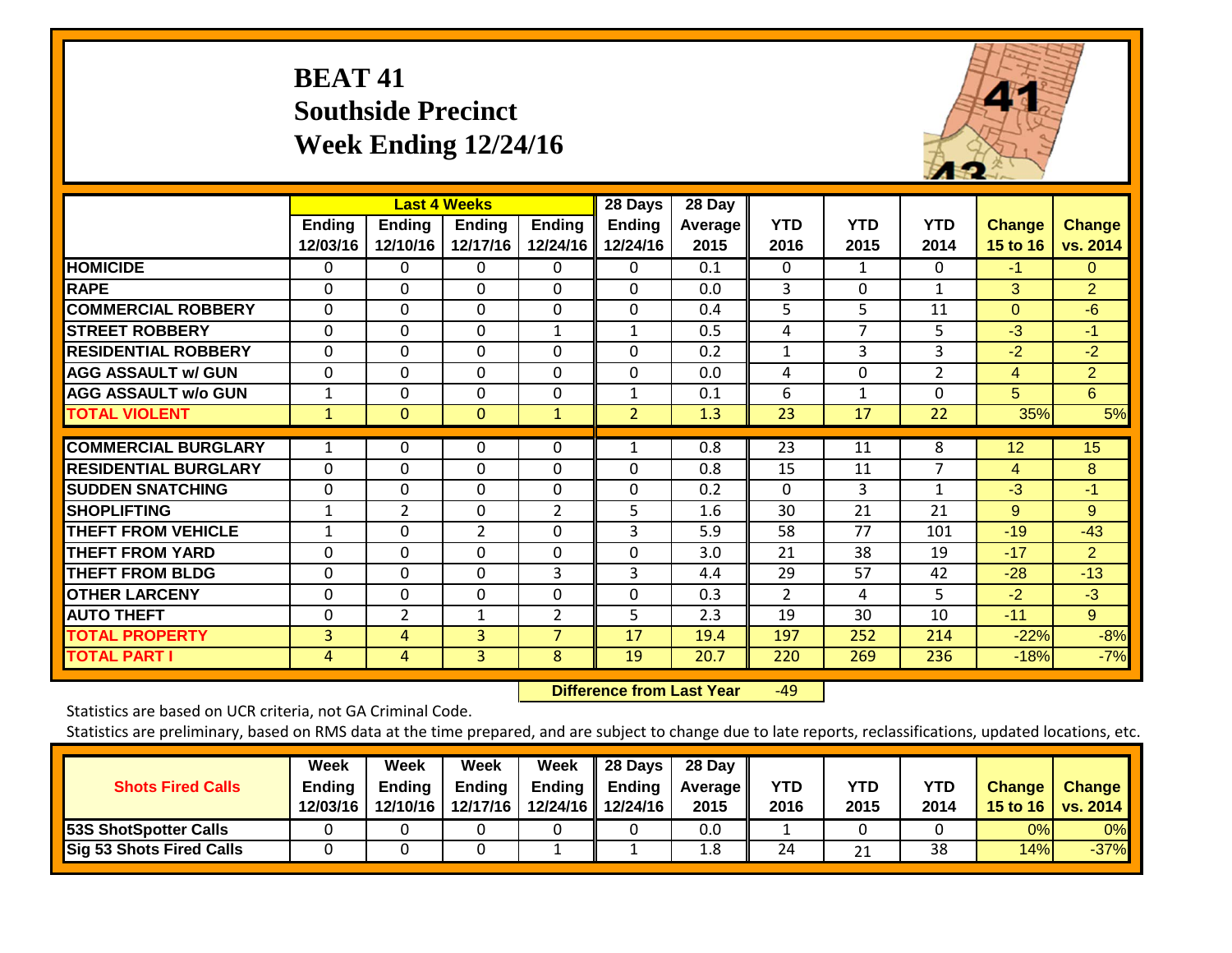## **BEAT 41 Southside Precinct Week Ending 12/24/16**



|                             |                    |                           | <b>Last 4 Weeks</b> |                           | 28 Days            | 28 Day                 |                    |                    |                    |                           |                           |
|-----------------------------|--------------------|---------------------------|---------------------|---------------------------|--------------------|------------------------|--------------------|--------------------|--------------------|---------------------------|---------------------------|
|                             | Ending<br>12/03/16 | <b>Ending</b><br>12/10/16 | Ending<br>12/17/16  | <b>Ending</b><br>12/24/16 | Ending<br>12/24/16 | <b>Average</b><br>2015 | <b>YTD</b><br>2016 | <b>YTD</b><br>2015 | <b>YTD</b><br>2014 | <b>Change</b><br>15 to 16 | <b>Change</b><br>vs. 2014 |
| <b>HOMICIDE</b>             | $\Omega$           | 0                         | 0                   | 0                         | 0                  | 0.1                    | $\Omega$           | 1                  | 0                  | $-1$                      | 0                         |
| <b>RAPE</b>                 | 0                  | $\Omega$                  | $\Omega$            | 0                         | $\Omega$           | 0.0                    | 3                  | 0                  | 1                  | 3                         | $\overline{2}$            |
| <b>ICOMMERCIAL ROBBERY</b>  | $\Omega$           | $\Omega$                  | $\Omega$            | $\Omega$                  | $\Omega$           | 0.4                    | 5                  | 5                  | 11                 | $\Omega$                  | $-6$                      |
| <b>STREET ROBBERY</b>       | $\mathbf 0$        | $\mathbf 0$               | $\mathbf 0$         | $\mathbf{1}$              | $\mathbf{1}$       | 0.5                    | 4                  | $\overline{7}$     | 5                  | $-3$                      | $-1$                      |
| <b>RESIDENTIAL ROBBERY</b>  | $\Omega$           | 0                         | $\mathbf{0}$        | 0                         | $\Omega$           | 0.2                    | $\mathbf{1}$       | 3                  | 3                  | $-2$                      | $-2$                      |
| <b>AGG ASSAULT w/ GUN</b>   | $\Omega$           | $\Omega$                  | $\mathbf{0}$        | $\Omega$                  | $\Omega$           | 0.0                    | 4                  | 0                  | $\overline{2}$     | 4                         | $\overline{2}$            |
| <b>AGG ASSAULT w/o GUN</b>  | 1                  | $\Omega$                  | $\Omega$            | 0                         | 1                  | 0.1                    | 6                  | 1                  | $\Omega$           | 5                         | 6                         |
| <b>TOTAL VIOLENT</b>        | $\mathbf{1}$       | $\mathbf{0}$              | $\mathbf{0}$        | $\mathbf{1}$              | $\overline{2}$     | 1.3                    | 23                 | 17                 | 22                 | 35%                       | 5%                        |
| <b>COMMERCIAL BURGLARY</b>  | 1                  | 0                         | 0                   | 0                         |                    | 0.8                    | $\overline{23}$    | 11                 | 8                  | 12                        | 15                        |
| <b>RESIDENTIAL BURGLARY</b> | $\Omega$           | $\Omega$                  | $\mathbf{0}$        | 0                         | $\Omega$           | 0.8                    | 15                 | 11                 | $\overline{7}$     | 4                         | 8                         |
| <b>ISUDDEN SNATCHING</b>    | $\Omega$           | $\Omega$                  | $\Omega$            | $\Omega$                  | $\Omega$           | 0.2                    | $\mathbf{0}$       | 3                  | 1                  | $-3$                      | $-1$                      |
| <b>SHOPLIFTING</b>          | 1                  | $\overline{2}$            | $\mathbf{0}$        | $\overline{2}$            | 5.                 | 1.6                    | 30                 | 21                 | 21                 | 9                         | 9                         |
| <b>THEFT FROM VEHICLE</b>   | 1                  | $\Omega$                  | $\overline{2}$      | 0                         | 3                  | 5.9                    | 58                 | 77                 | 101                | $-19$                     | $-43$                     |
| <b>THEFT FROM YARD</b>      | $\Omega$           | $\mathbf 0$               | $\Omega$            | 0                         | $\Omega$           | 3.0                    | 21                 | 38                 | 19                 | $-17$                     | $\overline{2}$            |
| <b>THEFT FROM BLDG</b>      | $\Omega$           | $\Omega$                  | $\Omega$            | 3                         | 3                  | 4.4                    | 29                 | 57                 | 42                 | $-28$                     | $-13$                     |
| <b>OTHER LARCENY</b>        | $\Omega$           | 0                         | $\mathbf{0}$        | 0                         | $\Omega$           | 0.3                    | 2                  | 4                  | 5                  | $-2$                      | $-3$                      |
| <b>AUTO THEFT</b>           | $\Omega$           | 2                         | $\mathbf{1}$        | $\overline{2}$            | 5                  | 2.3                    | 19                 | 30                 | 10                 | $-11$                     | 9                         |
| <b>TOTAL PROPERTY</b>       | 3                  | 4                         | 3                   | $\overline{7}$            | 17                 | 19.4                   | 197                | 252                | 214                | $-22%$                    | $-8%$                     |
| <b>TOTAL PART I</b>         | 4                  | $\overline{4}$            | 3                   | 8                         | 19                 | 20.7                   | 220                | 269                | 236                | $-18%$                    | $-7%$                     |

 **Difference from Last Year**r -49

Statistics are based on UCR criteria, not GA Criminal Code.

| <b>Shots Fired Calls</b>        | Week<br><b>Ending</b><br>12/03/16 | Week<br>Endina<br>12/10/16 | Week<br><b>Ending</b><br>12/17/16 | Week<br>Ending | 28 Days<br>Ending<br>12/24/16 12/24/16 | 28 Day<br><b>Average II</b><br>2015 | YTD<br>2016 | YTD<br>2015 | <b>YTD</b><br>2014 | <b>Change</b> | <b>Change</b><br>15 to 16   vs. 2014 |
|---------------------------------|-----------------------------------|----------------------------|-----------------------------------|----------------|----------------------------------------|-------------------------------------|-------------|-------------|--------------------|---------------|--------------------------------------|
| 53S ShotSpotter Calls           |                                   |                            |                                   |                |                                        | 0.0                                 |             |             |                    | 0%            | 0%                                   |
| <b>Sig 53 Shots Fired Calls</b> |                                   |                            |                                   |                |                                        | 1.8                                 | 24          | 21          | 38                 | 14%           | $-37%$                               |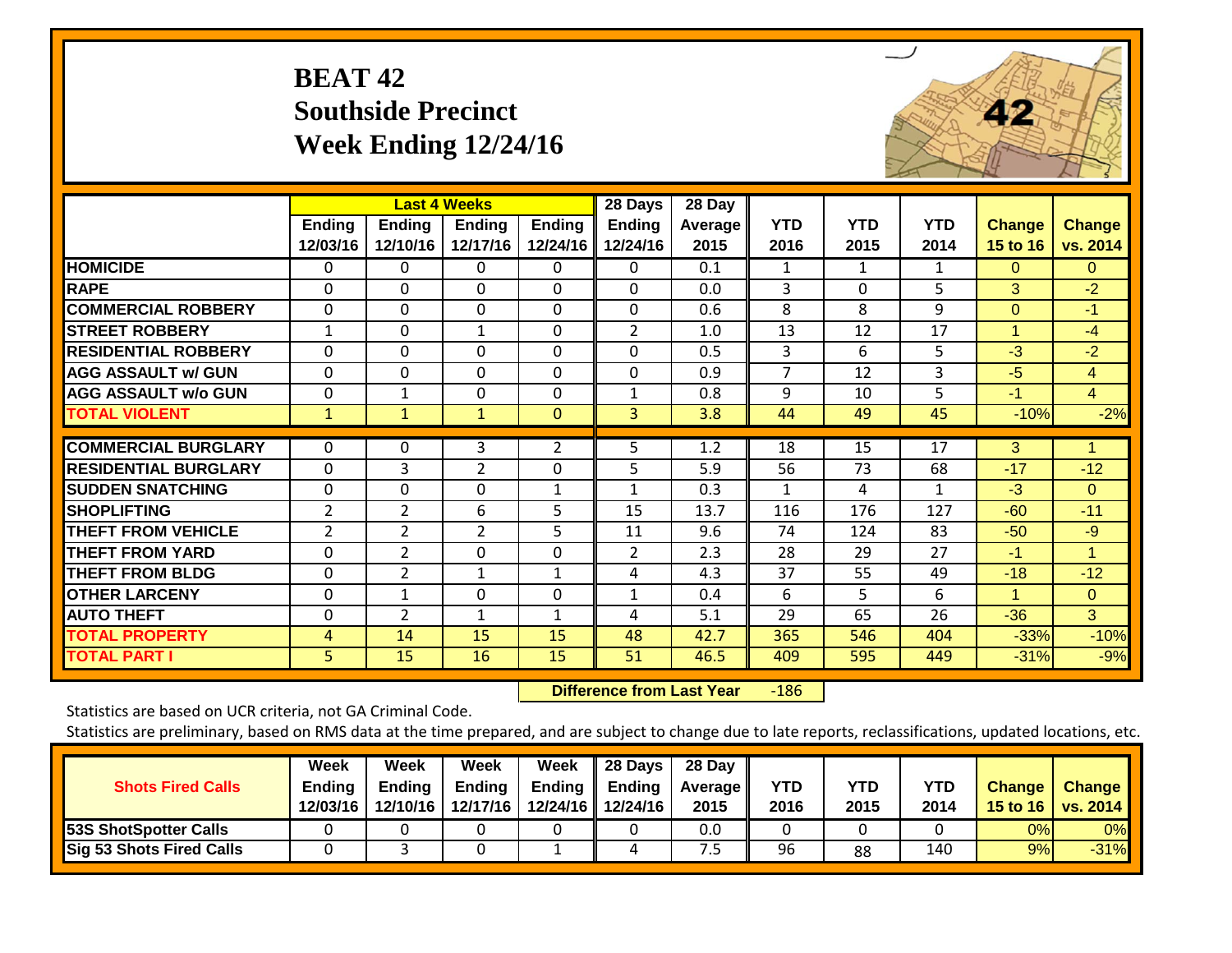## **BEAT 42 Southside Precinct Week Ending 12/24/16**



|                             |                           |                           | <b>Last 4 Weeks</b>       |                           | 28 Days                   | 28 Day                 |                    |                    |                    |                           |                           |
|-----------------------------|---------------------------|---------------------------|---------------------------|---------------------------|---------------------------|------------------------|--------------------|--------------------|--------------------|---------------------------|---------------------------|
|                             | <b>Ending</b><br>12/03/16 | <b>Ending</b><br>12/10/16 | <b>Ending</b><br>12/17/16 | <b>Ending</b><br>12/24/16 | <b>Ending</b><br>12/24/16 | <b>Average</b><br>2015 | <b>YTD</b><br>2016 | <b>YTD</b><br>2015 | <b>YTD</b><br>2014 | <b>Change</b><br>15 to 16 | <b>Change</b><br>vs. 2014 |
| <b>HOMICIDE</b>             | 0                         | 0                         | $\Omega$                  | $\Omega$                  | 0                         | 0.1                    | $\mathbf{1}$       | $\mathbf{1}$       | $\mathbf{1}$       | $\Omega$                  | $\Omega$                  |
| <b>RAPE</b>                 | $\Omega$                  | $\Omega$                  | $\Omega$                  | 0                         | $\Omega$                  | 0.0                    | 3                  | $\Omega$           | 5                  | 3                         | $-2$                      |
| <b>COMMERCIAL ROBBERY</b>   | $\mathbf 0$               | $\Omega$                  | $\mathbf 0$               | $\Omega$                  | $\mathbf 0$               | 0.6                    | 8                  | 8                  | 9                  | $\Omega$                  | $-1$                      |
| <b>STREET ROBBERY</b>       | 1                         | 0                         | 1                         | $\Omega$                  | $\overline{2}$            | 1.0                    | 13                 | 12                 | 17                 | 1                         | $-4$                      |
| <b>RESIDENTIAL ROBBERY</b>  | $\Omega$                  | $\Omega$                  | $\Omega$                  | $\Omega$                  | $\Omega$                  | 0.5                    | 3                  | 6                  | 5                  | $-3$                      | $-2$                      |
| <b>AGG ASSAULT w/ GUN</b>   | $\mathbf 0$               | $\mathbf 0$               | $\mathbf 0$               | $\Omega$                  | $\mathbf 0$               | 0.9                    | $\overline{7}$     | 12                 | 3                  | $-5$                      | $\overline{4}$            |
| <b>AGG ASSAULT w/o GUN</b>  | 0                         | 1                         | $\Omega$                  | $\Omega$                  | $\mathbf{1}$              | 0.8                    | 9                  | 10                 | 5                  | $-1$                      | $\overline{4}$            |
| <b>TOTAL VIOLENT</b>        | $\mathbf{1}$              | $\mathbf{1}$              | $\mathbf{1}$              | $\Omega$                  | 3                         | 3.8                    | 44                 | 49                 | 45                 | $-10%$                    | $-2%$                     |
| <b>COMMERCIAL BURGLARY</b>  | 0                         | 0                         | 3                         | $\overline{2}$            | 5                         | 1.2                    | 18                 | 15                 | 17                 | 3                         | $\mathbf{1}$              |
| <b>RESIDENTIAL BURGLARY</b> | $\Omega$                  | 3                         | $\overline{2}$            | $\Omega$                  | 5                         | 5.9                    | 56                 | 73                 | 68                 | $-17$                     | $-12$                     |
| <b>SUDDEN SNATCHING</b>     | 0                         | 0                         | $\Omega$                  | 1                         | 1                         | 0.3                    | 1                  | 4                  | 1                  | $-3$                      | $\Omega$                  |
| <b>SHOPLIFTING</b>          | 2                         | $\overline{2}$            | 6                         | 5.                        | 15                        | 13.7                   | 116                | 176                | 127                | $-60$                     | $-11$                     |
| <b>THEFT FROM VEHICLE</b>   | $\overline{2}$            | $\overline{2}$            | $\overline{2}$            | 5.                        | 11                        | 9.6                    | 74                 | 124                | 83                 | $-50$                     | $-9$                      |
| <b>THEFT FROM YARD</b>      | 0                         | $\overline{2}$            | $\Omega$                  | $\Omega$                  | $\overline{2}$            | 2.3                    | 28                 | 29                 | 27                 | $-1$                      | $\mathbf{1}$              |
| <b>THEFT FROM BLDG</b>      | 0                         | 2                         | $\mathbf{1}$              | $\mathbf{1}$              | 4                         | 4.3                    | 37                 | 55                 | 49                 | $-18$                     | $-12$                     |
| <b>OTHER LARCENY</b>        | 0                         | 1                         | $\Omega$                  | $\Omega$                  | $\mathbf{1}$              | 0.4                    | 6                  | 5.                 | 6                  | 1                         | $\Omega$                  |
| <b>AUTO THEFT</b>           | 0                         | $\overline{2}$            | 1                         | 1                         | 4                         | 5.1                    | 29                 | 65                 | 26                 | $-36$                     | 3                         |
| <b>TOTAL PROPERTY</b>       | 4                         | 14                        | 15                        | 15                        | 48                        | 42.7                   | 365                | 546                | 404                | $-33%$                    | $-10%$                    |
| <b>TOTAL PART I</b>         | 5                         | 15                        | 16                        | 15                        | 51                        | 46.5                   | 409                | 595                | 449                | $-31%$                    | $-9%$                     |

 **Difference from Last Year**‐186

Statistics are based on UCR criteria, not GA Criminal Code.

| <b>Shots Fired Calls</b>        | Week<br><b>Ending</b><br>12/03/16 | Week<br>Endina<br>12/10/16 | Week<br><b>Ending</b><br>12/17/16 | Week<br>Ending | 28 Days<br>Ending<br>12/24/16 12/24/16 | 28 Day<br><b>Average II</b><br>2015 | YTD<br>2016 | YTD<br>2015 | <b>YTD</b><br>2014 | <b>Change</b> | <b>Change</b><br>15 to 16   vs. 2014 |
|---------------------------------|-----------------------------------|----------------------------|-----------------------------------|----------------|----------------------------------------|-------------------------------------|-------------|-------------|--------------------|---------------|--------------------------------------|
| 53S ShotSpotter Calls           |                                   |                            |                                   |                |                                        | 0.0                                 |             |             |                    | 0%            | 0%                                   |
| <b>Sig 53 Shots Fired Calls</b> |                                   |                            |                                   |                |                                        | ر .                                 | 96          | 88          | 140                | 9%            | $-31%$                               |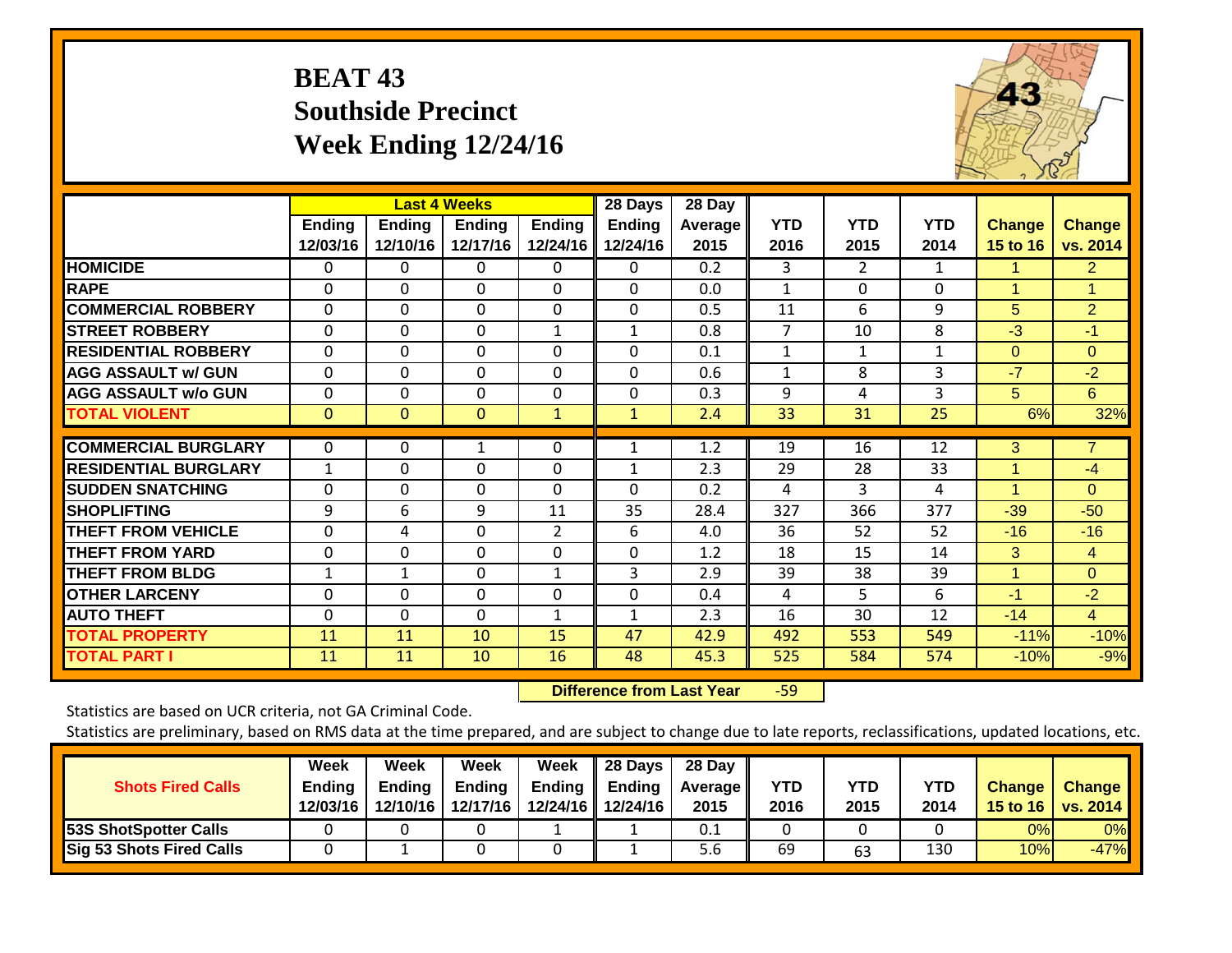## **BEAT 43 Southside Precinct Week Ending 12/24/16**



|                             |                           |                           | <b>Last 4 Weeks</b> |                           | 28 Days                   | 28 Day                 |                    |                    |                    |                           |                           |
|-----------------------------|---------------------------|---------------------------|---------------------|---------------------------|---------------------------|------------------------|--------------------|--------------------|--------------------|---------------------------|---------------------------|
|                             | <b>Ending</b><br>12/03/16 | <b>Ending</b><br>12/10/16 | Ending<br>12/17/16  | <b>Ending</b><br>12/24/16 | <b>Ending</b><br>12/24/16 | <b>Average</b><br>2015 | <b>YTD</b><br>2016 | <b>YTD</b><br>2015 | <b>YTD</b><br>2014 | <b>Change</b><br>15 to 16 | <b>Change</b><br>vs. 2014 |
| <b>HOMICIDE</b>             | 0                         | 0                         | 0                   | 0                         | 0                         | 0.2                    | 3                  | $\overline{2}$     | 1                  | 1                         | $\overline{2}$            |
| <b>RAPE</b>                 | 0                         | $\Omega$                  | $\Omega$            | $\Omega$                  | $\Omega$                  | 0.0                    | 1                  | $\Omega$           | $\Omega$           | 1                         | 1                         |
| <b>COMMERCIAL ROBBERY</b>   | $\Omega$                  | $\Omega$                  | $\Omega$            | $\Omega$                  | $\Omega$                  | 0.5                    | 11                 | 6                  | 9                  | 5                         | $\overline{2}$            |
| <b>STREET ROBBERY</b>       | $\Omega$                  | $\Omega$                  | $\Omega$            | $\mathbf{1}$              | $\mathbf{1}$              | 0.8                    | $\overline{7}$     | 10                 | 8                  | $-3$                      | $-1$                      |
| <b>RESIDENTIAL ROBBERY</b>  | 0                         | $\Omega$                  | $\Omega$            | $\Omega$                  | $\Omega$                  | 0.1                    | 1                  | 1                  | 1                  | $\Omega$                  | $\Omega$                  |
| <b>AGG ASSAULT w/ GUN</b>   | 0                         | 0                         | $\Omega$            | $\Omega$                  | $\Omega$                  | 0.6                    | 1                  | 8                  | 3                  | $-7$                      | $-2$                      |
| <b>AGG ASSAULT w/o GUN</b>  | 0                         | $\Omega$                  | $\Omega$            | $\Omega$                  | 0                         | 0.3                    | 9                  | 4                  | 3                  | 5                         | 6                         |
| <b>TOTAL VIOLENT</b>        | $\mathbf{0}$              | $\mathbf{0}$              | $\mathbf{0}$        | $\mathbf{1}$              | $\mathbf{1}$              | 2.4                    | 33                 | 31                 | 25                 | 6%                        | 32%                       |
| <b>COMMERCIAL BURGLARY</b>  | $\Omega$                  | 0                         | 1                   | $\Omega$                  | 1                         | 1.2                    | 19                 | 16                 | 12                 | 3                         | $\overline{7}$            |
| <b>RESIDENTIAL BURGLARY</b> | $\mathbf{1}$              | $\Omega$                  | 0                   | $\Omega$                  |                           | 2.3                    | 29                 | 28                 | 33                 | 1                         | $-4$                      |
| <b>SUDDEN SNATCHING</b>     | 0                         | 0                         | $\Omega$            | 0                         | 0                         | 0.2                    | 4                  | 3                  | 4                  | 1                         | $\Omega$                  |
| <b>SHOPLIFTING</b>          | 9                         | 6                         | 9                   | 11                        | 35                        | 28.4                   | 327                | 366                | 377                | $-39$                     | $-50$                     |
| <b>THEFT FROM VEHICLE</b>   | 0                         | 4                         | $\Omega$            | $\overline{2}$            | 6                         | 4.0                    | 36                 | 52                 | 52                 | $-16$                     | $-16$                     |
| <b>THEFT FROM YARD</b>      | 0                         | 0                         | $\Omega$            | $\Omega$                  | 0                         | 1.2                    | 18                 | 15                 | 14                 | 3                         | $\overline{4}$            |
| <b>THEFT FROM BLDG</b>      | 1                         | 1                         | $\Omega$            | $\mathbf{1}$              | 3                         | 2.9                    | 39                 | 38                 | 39                 | $\overline{1}$            | $\Omega$                  |
| <b>OTHER LARCENY</b>        | 0                         | $\Omega$                  | $\Omega$            | $\Omega$                  | 0                         | 0.4                    | 4                  | 5                  | 6                  | $-1$                      | $-2$                      |
| <b>AUTO THEFT</b>           | 0                         | $\Omega$                  | $\Omega$            | $\mathbf{1}$              | 1                         | 2.3                    | 16                 | 30                 | 12                 | $-14$                     | $\overline{4}$            |
| <b>TOTAL PROPERTY</b>       | 11                        | 11                        | 10                  | 15                        | 47                        | 42.9                   | 492                | 553                | 549                | $-11%$                    | $-10%$                    |
| <b>TOTAL PART I</b>         | 11                        | 11                        | 10                  | 16                        | 48                        | 45.3                   | 525                | 584                | 574                | $-10%$                    | $-9%$                     |

 **Difference from Last Year**r -59

Statistics are based on UCR criteria, not GA Criminal Code.

| <b>Shots Fired Calls</b>        | Week<br><b>Ending</b><br>12/03/16 | Week<br>Endina<br>12/10/16 | Week<br><b>Ending</b><br>12/17/16 | Week<br>Ending | 28 Days<br>Ending<br>12/24/16 12/24/16 | 28 Day<br><b>Average II</b><br>2015 | YTD<br>2016 | YTD<br>2015 | <b>YTD</b><br>2014 | <b>Change</b> | <b>Change</b><br>15 to 16   vs. 2014 |
|---------------------------------|-----------------------------------|----------------------------|-----------------------------------|----------------|----------------------------------------|-------------------------------------|-------------|-------------|--------------------|---------------|--------------------------------------|
| 53S ShotSpotter Calls           |                                   |                            |                                   |                |                                        | 0.1                                 |             |             |                    | 0%            | 0%                                   |
| <b>Sig 53 Shots Fired Calls</b> |                                   |                            |                                   |                |                                        | 5.6                                 | 69          | 63          | 130                | 10%           | $-47%$                               |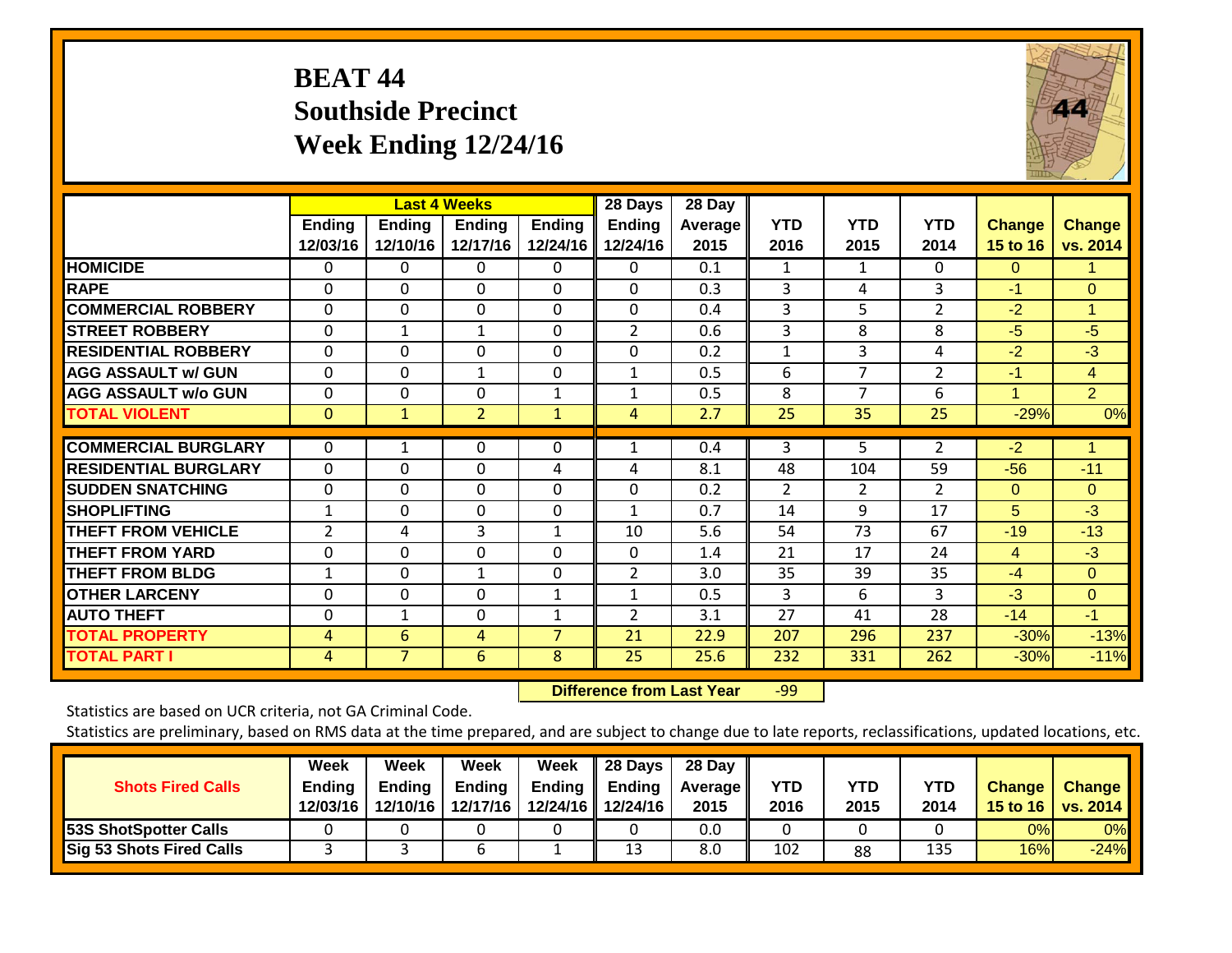## **BEAT 44 Southside Precinct Week Ending 12/24/16**



|                              |                    |                           | <b>Last 4 Weeks</b>       |                           | 28 Days                   | 28 Day          |                    |                    |                    |                           |                           |
|------------------------------|--------------------|---------------------------|---------------------------|---------------------------|---------------------------|-----------------|--------------------|--------------------|--------------------|---------------------------|---------------------------|
|                              | Ending<br>12/03/16 | <b>Ending</b><br>12/10/16 | <b>Ending</b><br>12/17/16 | <b>Ending</b><br>12/24/16 | <b>Ending</b><br>12/24/16 | Average<br>2015 | <b>YTD</b><br>2016 | <b>YTD</b><br>2015 | <b>YTD</b><br>2014 | <b>Change</b><br>15 to 16 | <b>Change</b><br>vs. 2014 |
| <b>HOMICIDE</b>              | 0                  | 0                         | $\Omega$                  | 0                         | 0                         | 0.1             | 1                  | 1                  | 0                  | $\Omega$                  | 1.                        |
| <b>RAPE</b>                  | 0                  | 0                         | $\Omega$                  | $\Omega$                  | 0                         | 0.3             | 3                  | 4                  | 3                  | $-1$                      | $\Omega$                  |
| <b>COMMERCIAL ROBBERY</b>    | $\Omega$           | $\Omega$                  | $\Omega$                  | $\Omega$                  | $\Omega$                  | 0.4             | 3                  | 5                  | $\overline{2}$     | $-2$                      | $\mathbf{1}$              |
| <b>STREET ROBBERY</b>        | $\Omega$           | $\mathbf 1$               | $\mathbf{1}$              | $\Omega$                  | $\overline{2}$            | 0.6             | 3                  | 8                  | 8                  | $-5$                      | $-5$                      |
| <b>IRESIDENTIAL ROBBERY</b>  | $\Omega$           | 0                         | $\Omega$                  | 0                         | 0                         | 0.2             | 1                  | 3                  | 4                  | $-2$                      | $-3$                      |
| <b>AGG ASSAULT w/ GUN</b>    | $\Omega$           | $\Omega$                  | 1                         | $\Omega$                  | 1                         | 0.5             | 6                  | 7                  | 2                  | $-1$                      | $\overline{4}$            |
| <b>AGG ASSAULT w/o GUN</b>   | $\Omega$           | 0                         | $\Omega$                  | 1                         | $\mathbf{1}$              | 0.5             | 8                  | $\overline{7}$     | 6                  | 1                         | 2 <sup>1</sup>            |
| <b>TOTAL VIOLENT</b>         | $\mathbf{0}$       | $\mathbf{1}$              | $\overline{2}$            | $\mathbf{1}$              | 4                         | 2.7             | 25                 | 35                 | 25                 | $-29%$                    | 0%                        |
|                              |                    |                           |                           |                           |                           |                 |                    |                    |                    |                           |                           |
| <b>COMMERCIAL BURGLARY</b>   | $\Omega$           |                           | $\mathbf{0}$              | 0                         |                           | 0.4             | 3                  | 5                  | $\overline{2}$     | $-2$                      |                           |
| <b>IRESIDENTIAL BURGLARY</b> | $\Omega$           | 0                         | $\Omega$                  | 4                         | 4                         | 8.1             | 48                 | 104                | 59                 | $-56$                     | $-11$                     |
| <b>ISUDDEN SNATCHING</b>     | $\Omega$           | $\Omega$                  | $\Omega$                  | $\Omega$                  | $\Omega$                  | 0.2             | $\overline{2}$     | $\overline{2}$     | $\overline{2}$     | $\Omega$                  | $\Omega$                  |
| <b>SHOPLIFTING</b>           | 1                  | $\Omega$                  | $\Omega$                  | 0                         |                           | 0.7             | 14                 | 9                  | 17                 | 5                         | $-3$                      |
| <b>THEFT FROM VEHICLE</b>    | $\overline{2}$     | 4                         | 3                         | $\mathbf{1}$              | 10                        | 5.6             | 54                 | 73                 | 67                 | $-19$                     | $-13$                     |
| <b>THEFT FROM YARD</b>       | $\Omega$           | $\Omega$                  | $\Omega$                  | $\Omega$                  | $\Omega$                  | 1.4             | 21                 | 17                 | 24                 | 4                         | $-3$                      |
| <b>THEFT FROM BLDG</b>       | 1                  | $\mathbf 0$               | $\mathbf{1}$              | $\Omega$                  | $\overline{2}$            | 3.0             | 35                 | 39                 | 35                 | $-4$                      | $\Omega$                  |
| <b>OTHER LARCENY</b>         | $\Omega$           | $\Omega$                  | $\Omega$                  | $\mathbf{1}$              | $\mathbf{1}$              | 0.5             | 3                  | 6                  | 3                  | $-3$                      | $\Omega$                  |
| <b>AUTO THEFT</b>            | $\Omega$           | $\mathbf{1}$              | $\Omega$                  | 1                         | $\overline{2}$            | 3.1             | 27                 | 41                 | 28                 | $-14$                     | $-1$                      |
| <b>TOTAL PROPERTY</b>        | 4                  | 6                         | $\overline{4}$            | 7                         | 21                        | 22.9            | 207                | 296                | 237                | $-30%$                    | $-13%$                    |
| <b>TOTAL PART I</b>          | 4                  | $\overline{7}$            | 6                         | 8                         | 25                        | 25.6            | 232                | 331                | 262                | $-30%$                    | $-11%$                    |

 **Difference from Last Year**r -99

Statistics are based on UCR criteria, not GA Criminal Code.

| <b>Shots Fired Calls</b>        | Week<br><b>Ending</b><br>12/03/16 | Week<br><b>Ending</b><br>12/10/16 | Week<br><b>Ending</b><br>12/17/16 | Week<br><b>Ending</b> | 28 Days<br>Ending<br>12/24/16 12/24/16 | 28 Day<br><b>Average II</b><br>2015 | YTD<br>2016 | <b>YTD</b><br>2015 | <b>YTD</b><br>2014 | <b>Change</b> | <b>Change</b><br>15 to 16   vs. 2014 |
|---------------------------------|-----------------------------------|-----------------------------------|-----------------------------------|-----------------------|----------------------------------------|-------------------------------------|-------------|--------------------|--------------------|---------------|--------------------------------------|
| <b>53S ShotSpotter Calls</b>    |                                   |                                   |                                   |                       |                                        | 0.0                                 |             |                    |                    | 0%            | 0%                                   |
| <b>Sig 53 Shots Fired Calls</b> |                                   |                                   | b                                 |                       | 13                                     | 8.0                                 | 102         | 88                 | 135                | 16%           | $-24%$                               |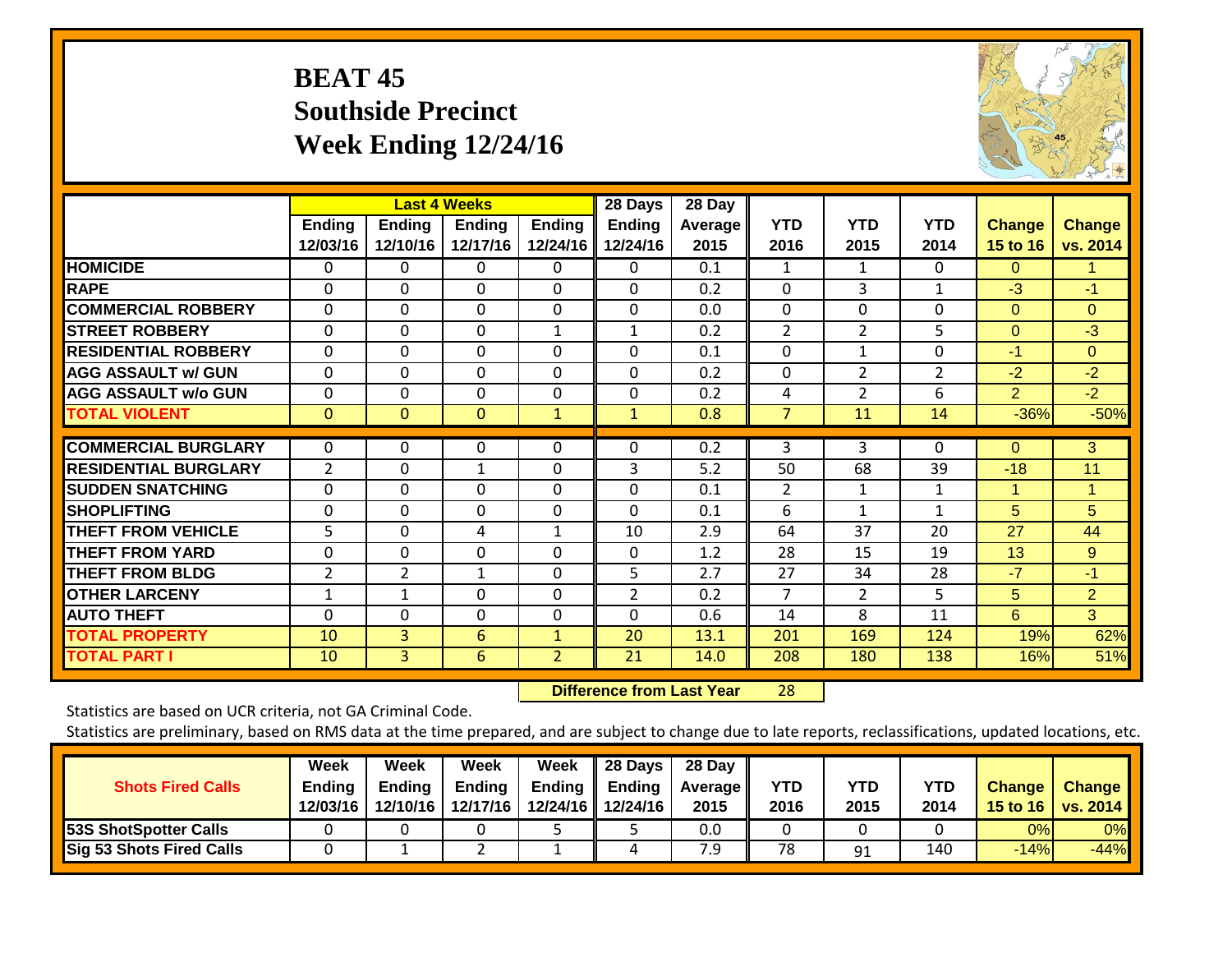## **BEAT 45 Southside Precinct Week Ending 12/24/16**



|                             |                | <b>Last 4 Weeks</b> |               |                | 28 Days        | 28 Day         |                |                |                |                |                |
|-----------------------------|----------------|---------------------|---------------|----------------|----------------|----------------|----------------|----------------|----------------|----------------|----------------|
|                             | <b>Ending</b>  | <b>Ending</b>       | <b>Ending</b> | Ending         | <b>Ending</b>  | <b>Average</b> | <b>YTD</b>     | <b>YTD</b>     | <b>YTD</b>     | <b>Change</b>  | <b>Change</b>  |
|                             | 12/03/16       | 12/10/16            | 12/17/16      | 12/24/16       | 12/24/16       | 2015           | 2016           | 2015           | 2014           | 15 to 16       | vs. 2014       |
| <b>HOMICIDE</b>             | 0              | 0                   | $\Omega$      | 0              | 0              | 0.1            | 1              | 1              | 0              | $\Omega$       | 1.             |
| <b>RAPE</b>                 | 0              | $\Omega$            | $\Omega$      | 0              | $\Omega$       | 0.2            | $\Omega$       | 3              | 1              | $-3$           | $-1$           |
| <b>COMMERCIAL ROBBERY</b>   | $\Omega$       | $\mathbf 0$         | $\mathbf 0$   | $\Omega$       | $\Omega$       | 0.0            | $\mathbf{0}$   | $\Omega$       | 0              | $\Omega$       | $\Omega$       |
| <b>STREET ROBBERY</b>       | $\Omega$       | $\Omega$            | $\mathbf 0$   | $\mathbf{1}$   | $\mathbf{1}$   | 0.2            | $\overline{2}$ | $\overline{2}$ | 5              | $\Omega$       | $-3$           |
| <b>RESIDENTIAL ROBBERY</b>  | 0              | $\Omega$            | $\Omega$      | 0              | 0              | 0.1            | $\Omega$       | 1              | 0              | -1             | $\Omega$       |
| <b>AGG ASSAULT w/ GUN</b>   | $\Omega$       | 0                   | $\Omega$      | 0              | $\Omega$       | 0.2            | $\Omega$       | $\overline{2}$ | $\overline{2}$ | $-2$           | $-2$           |
| <b>AGG ASSAULT w/o GUN</b>  | $\Omega$       | 0                   | $\Omega$      | 0              | $\Omega$       | 0.2            | 4              | $\overline{2}$ | 6              | $\overline{2}$ | $-2$           |
| <b>TOTAL VIOLENT</b>        | $\mathbf{0}$   | $\Omega$            | $\mathbf{0}$  | $\mathbf{1}$   | $\mathbf{1}$   | 0.8            | 7              | 11             | 14             | $-36%$         | $-50%$         |
| <b>COMMERCIAL BURGLARY</b>  |                |                     |               |                |                |                |                |                |                |                |                |
|                             | $\Omega$       | 0                   | 0             | 0              | 0              | 0.2            | 3              | 3              | 0              | $\Omega$       | 3              |
| <b>RESIDENTIAL BURGLARY</b> | $\overline{2}$ | $\Omega$            | $\mathbf{1}$  | $\Omega$       | 3              | 5.2            | 50             | 68             | 39             | $-18$          | 11             |
| <b>SUDDEN SNATCHING</b>     | $\Omega$       | $\Omega$            | $\Omega$      | $\Omega$       | $\Omega$       | 0.1            | 2              | 1              | 1              | 1              | 1              |
| <b>SHOPLIFTING</b>          | 0              | 0                   | $\Omega$      | $\Omega$       | $\Omega$       | 0.1            | 6              | 1              | 1              | 5              | 5              |
| <b>THEFT FROM VEHICLE</b>   | 5              | $\Omega$            | 4             | $\mathbf{1}$   | 10             | 2.9            | 64             | 37             | 20             | 27             | 44             |
| <b>THEFT FROM YARD</b>      | $\Omega$       | $\Omega$            | $\Omega$      | 0              | $\Omega$       | 1.2            | 28             | 15             | 19             | 13             | 9              |
| <b>THEFT FROM BLDG</b>      | $\overline{2}$ | $\overline{2}$      | $\mathbf{1}$  | $\Omega$       | 5.             | 2.7            | 27             | 34             | 28             | $-7$           | $-1$           |
| <b>OTHER LARCENY</b>        | 1              | 1                   | $\Omega$      | $\Omega$       | $\overline{2}$ | 0.2            | $\overline{7}$ | $\overline{2}$ | 5              | 5              | $\overline{2}$ |
| <b>AUTO THEFT</b>           | $\Omega$       | $\mathbf 0$         | $\Omega$      | $\Omega$       | $\Omega$       | 0.6            | 14             | 8              | 11             | 6              | 3              |
| <b>TOTAL PROPERTY</b>       | 10             | $\overline{3}$      | 6             | $\mathbf{1}$   | 20             | 13.1           | 201            | 169            | 124            | 19%            | 62%            |
| <b>TOTAL PART I</b>         | 10             | 3                   | 6             | $\overline{2}$ | 21             | 14.0           | 208            | 180            | 138            | 16%            | 51%            |

 **Difference from Last Year**r 28

Statistics are based on UCR criteria, not GA Criminal Code.

| <b>Shots Fired Calls</b>        | Week<br><b>Ending</b><br>12/03/16 | Week<br><b>Ending</b><br>12/10/16 | Week<br><b>Ending</b><br>12/17/16 | Week<br><b>Ending</b> | 28 Days<br>Ending<br>12/24/16 12/24/16 | 28 Day<br><b>Average II</b><br>2015 | YTD<br>2016 | <b>YTD</b><br>2015 | <b>YTD</b><br>2014 | <b>Change</b> | <b>Change</b><br>15 to 16   vs. 2014 |
|---------------------------------|-----------------------------------|-----------------------------------|-----------------------------------|-----------------------|----------------------------------------|-------------------------------------|-------------|--------------------|--------------------|---------------|--------------------------------------|
| <b>53S ShotSpotter Calls</b>    |                                   |                                   |                                   |                       |                                        | 0.0                                 |             |                    |                    | 0%            | 0%                                   |
| <b>Sig 53 Shots Fired Calls</b> |                                   |                                   |                                   |                       | 4                                      | و.                                  | 78          | 91                 | 140                | $-14%$        | $-44%$                               |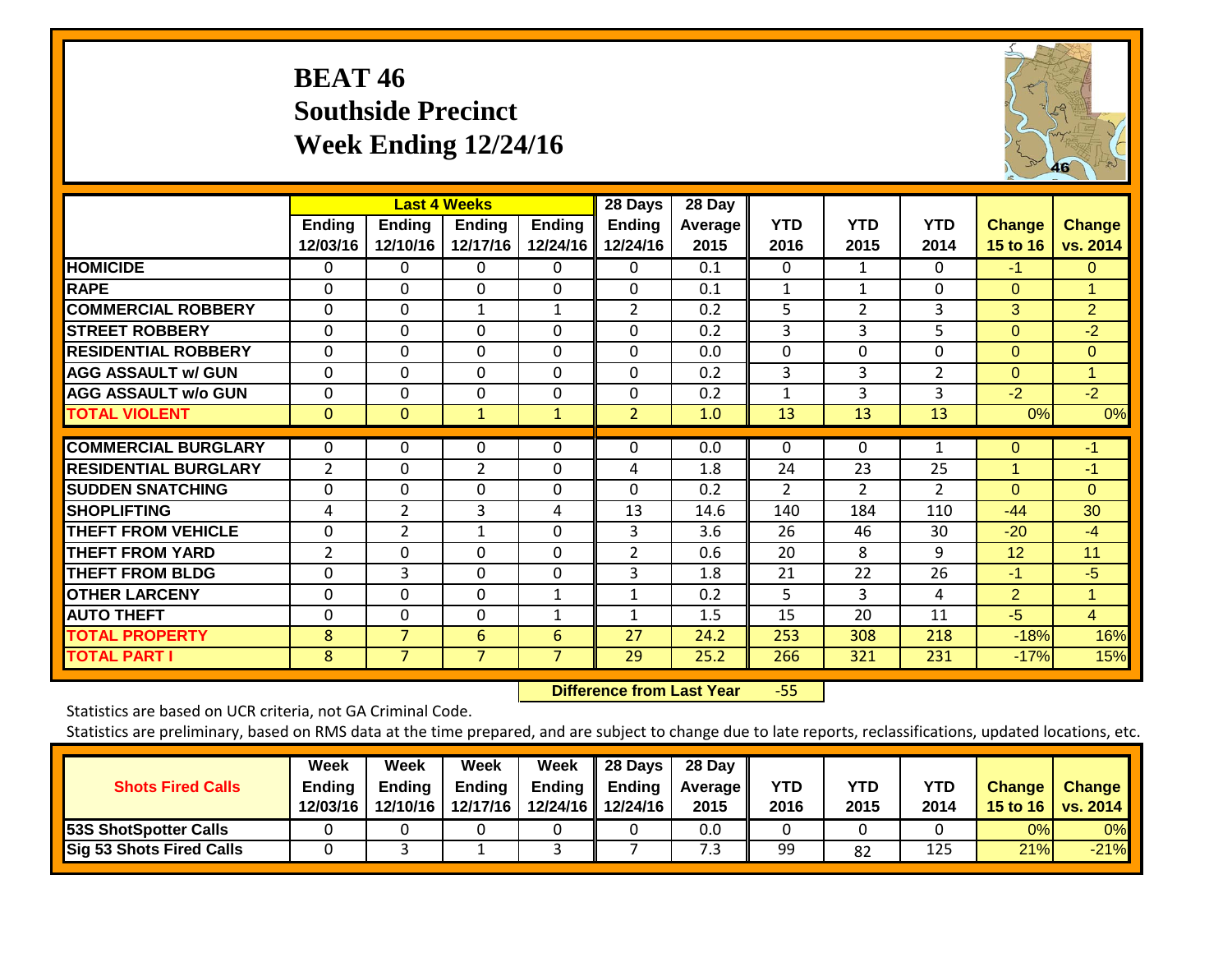## **BEAT 46 Southside Precinct Week Ending 12/24/16**



|                             |                |                | <b>Last 4 Weeks</b> |               | 28 Days        | 28 Day  |                |                |                |                |                      |
|-----------------------------|----------------|----------------|---------------------|---------------|----------------|---------|----------------|----------------|----------------|----------------|----------------------|
|                             | <b>Ending</b>  | <b>Ending</b>  | <b>Ending</b>       | <b>Ending</b> | <b>Ending</b>  | Average | <b>YTD</b>     | <b>YTD</b>     | <b>YTD</b>     | <b>Change</b>  | <b>Change</b>        |
|                             | 12/03/16       | 12/10/16       | 12/17/16            | 12/24/16      | 12/24/16       | 2015    | 2016           | 2015           | 2014           | 15 to 16       | vs. 2014             |
| <b>HOMICIDE</b>             | 0              | 0              | $\Omega$            | 0             | 0              | 0.1     | 0              | $\mathbf{1}$   | $\Omega$       | $-1$           | $\Omega$             |
| <b>RAPE</b>                 | 0              | $\Omega$       | $\Omega$            | 0             | $\Omega$       | 0.1     | 1              | 1              | $\Omega$       | $\Omega$       | 1                    |
| <b>COMMERCIAL ROBBERY</b>   | $\Omega$       | $\Omega$       | $\mathbf{1}$        | $\mathbf{1}$  | $\overline{2}$ | 0.2     | 5              | $\overline{2}$ | $\overline{3}$ | 3              | $\overline{2}$       |
| <b>STREET ROBBERY</b>       | $\Omega$       | 0              | $\Omega$            | $\Omega$      | $\Omega$       | 0.2     | 3              | 3              | 5              | $\mathbf{0}$   | $-2$                 |
| <b>RESIDENTIAL ROBBERY</b>  | 0              | 0              | $\Omega$            | 0             | 0              | 0.0     | $\Omega$       | 0              | $\Omega$       | $\Omega$       | $\Omega$             |
| <b>AGG ASSAULT w/ GUN</b>   | $\Omega$       | 0              | $\Omega$            | $\Omega$      | $\Omega$       | 0.2     | 3              | 3              | $\overline{2}$ | $\Omega$       | $\blacktriangleleft$ |
| <b>AGG ASSAULT w/o GUN</b>  | $\Omega$       | 0              | $\Omega$            | $\Omega$      | 0              | 0.2     | 1              | 3              | 3              | $-2$           | $-2$                 |
| <b>TOTAL VIOLENT</b>        | $\mathbf{0}$   | 0              | 1                   | $\mathbf{1}$  | $\overline{2}$ | 1.0     | 13             | 13             | 13             | 0%             | 0%                   |
| <b>COMMERCIAL BURGLARY</b>  |                |                |                     |               |                | 0.0     |                | 0              |                |                | $-1$                 |
|                             | 0              | 0              | 0                   | $\Omega$      | 0              |         | $\Omega$       |                | 1              | $\mathbf{0}$   |                      |
| <b>RESIDENTIAL BURGLARY</b> | $\overline{2}$ | 0              | $\overline{2}$      | $\Omega$      | 4              | 1.8     | 24             | 23             | 25             | 1              | $-1$                 |
| <b>SUDDEN SNATCHING</b>     | $\Omega$       | 0              | $\Omega$            | 0             | $\Omega$       | 0.2     | $\overline{2}$ | $\overline{2}$ | $\overline{2}$ | $\Omega$       | $\Omega$             |
| <b>SHOPLIFTING</b>          | 4              | 2              | 3                   | 4             | 13             | 14.6    | 140            | 184            | 110            | $-44$          | 30                   |
| <b>THEFT FROM VEHICLE</b>   | 0              | 2              | $\mathbf{1}$        | 0             | 3              | 3.6     | 26             | 46             | 30             | $-20$          | $-4$                 |
| <b>THEFT FROM YARD</b>      | $\overline{2}$ | $\Omega$       | $\Omega$            | $\Omega$      | $\overline{2}$ | 0.6     | 20             | 8              | 9              | 12             | 11                   |
| <b>THEFT FROM BLDG</b>      | $\Omega$       | 3              | $\Omega$            | $\Omega$      | 3              | 1.8     | 21             | 22             | 26             | $-1$           | $-5$                 |
| <b>OTHER LARCENY</b>        | $\Omega$       | $\Omega$       | $\Omega$            | 1             | $\mathbf{1}$   | 0.2     | 5              | 3              | 4              | $\overline{2}$ | $\blacktriangleleft$ |
| <b>AUTO THEFT</b>           | 0              | 0              | $\Omega$            | 1             |                | 1.5     | 15             | 20             | 11             | $-5$           | $\overline{4}$       |
| <b>TOTAL PROPERTY</b>       | 8              | $\overline{7}$ | 6                   | 6             | 27             | 24.2    | 253            | 308            | 218            | $-18%$         | 16%                  |
| <b>TOTAL PART I</b>         | 8              | $\overline{7}$ | $\overline{7}$      | 7             | 29             | 25.2    | 266            | 321            | 231            | $-17%$         | 15%                  |

 **Difference from Last Year**‐55

Statistics are based on UCR criteria, not GA Criminal Code.

| <b>Shots Fired Calls</b>        | Week<br><b>Ending</b><br>12/03/16 | Week<br>Endina<br>12/10/16 | Week<br><b>Ending</b><br>12/17/16 | Week<br>Ending | 28 Days<br>Ending<br>12/24/16 12/24/16 | 28 Day<br><b>Average II</b><br>2015 | YTD<br>2016 | YTD<br>2015 | <b>YTD</b><br>2014 | <b>Change</b> | <b>Change</b><br>15 to 16   vs. 2014 |
|---------------------------------|-----------------------------------|----------------------------|-----------------------------------|----------------|----------------------------------------|-------------------------------------|-------------|-------------|--------------------|---------------|--------------------------------------|
| 53S ShotSpotter Calls           |                                   |                            |                                   |                |                                        | 0.0                                 |             |             |                    | 0%            | 0%                                   |
| <b>Sig 53 Shots Fired Calls</b> |                                   |                            |                                   |                |                                        | د.                                  | 99          | 82          | 125                | 21%           | $-21%$                               |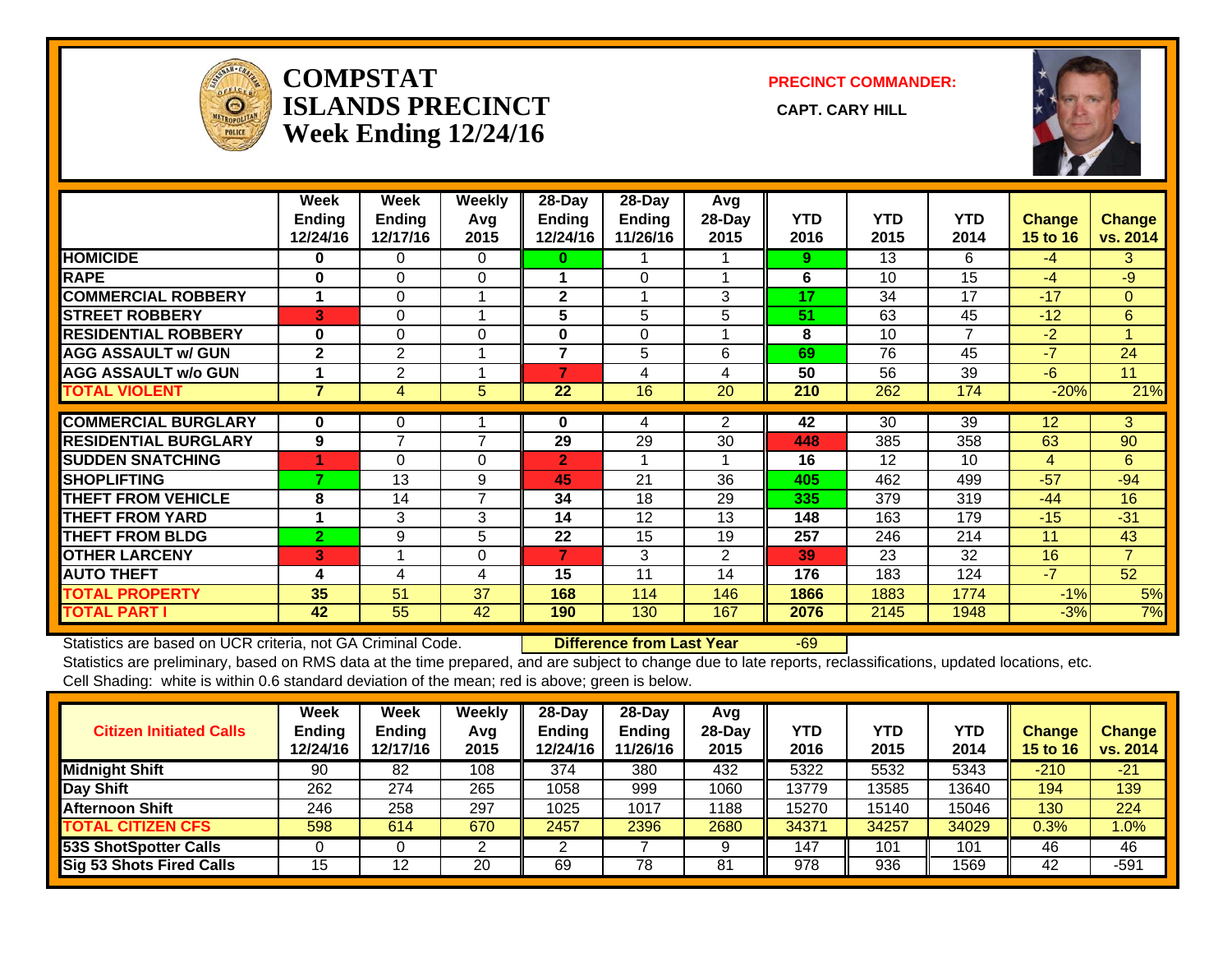

#### **COMPSTATISLANDS PRECINCT** CAPT. CARY HILL **Week Ending 12/24/16**

**PRECINCT COMMANDER:**



|                             | Week<br><b>Ending</b><br>12/24/16 | Week<br><b>Ending</b><br>12/17/16 | Weekly<br>Avg<br>2015 | $28-Day$<br><b>Ending</b><br>12/24/16 | $28$ -Dav<br><b>Ending</b><br>11/26/16 | Avg<br>28-Day<br>2015 | <b>YTD</b><br>2016 | <b>YTD</b><br>2015 | <b>YTD</b><br>2014 | <b>Change</b><br><b>15 to 16</b> | Change<br>vs. 2014 |
|-----------------------------|-----------------------------------|-----------------------------------|-----------------------|---------------------------------------|----------------------------------------|-----------------------|--------------------|--------------------|--------------------|----------------------------------|--------------------|
| <b>HOMICIDE</b>             | 0                                 | 0                                 | 0                     | 0                                     |                                        |                       | 9                  | 13                 | 6                  | $-4$                             | 3                  |
| <b>RAPE</b>                 | 0                                 | $\Omega$                          | 0                     |                                       | $\Omega$                               |                       | 6                  | 10                 | 15                 | $-4$                             | $-9$               |
| <b>COMMERCIAL ROBBERY</b>   | 1                                 | $\Omega$                          | 1                     | $\mathbf{2}$                          |                                        | 3                     | 17                 | 34                 | 17                 | $-17$                            | $\Omega$           |
| <b>STREET ROBBERY</b>       | 3                                 | $\Omega$                          | 4                     | 5                                     | 5                                      | 5                     | 51                 | 63                 | 45                 | $-12$                            | 6                  |
| <b>RESIDENTIAL ROBBERY</b>  | $\bf{0}$                          | $\Omega$                          | $\Omega$              | 0                                     | $\Omega$                               |                       | 8                  | 10                 | 7                  | $-2$                             |                    |
| <b>AGG ASSAULT w/ GUN</b>   | $\mathbf{2}$                      | $\overline{2}$                    |                       | 7                                     | 5                                      | 6                     | 69                 | 76                 | 45                 | $-7$                             | 24                 |
| <b>AGG ASSAULT w/o GUN</b>  |                                   | 2                                 |                       | 7                                     | 4                                      | 4                     | 50                 | 56                 | 39                 | $-6$                             | 11                 |
| <b>TOTAL VIOLENT</b>        | $\overline{7}$                    | 4                                 | 5                     | 22                                    | 16                                     | 20                    | 210                | 262                | 174                | $-20%$                           | 21%                |
|                             |                                   |                                   |                       |                                       |                                        |                       |                    |                    |                    |                                  |                    |
| <b>COMMERCIAL BURGLARY</b>  | 0                                 | 0                                 |                       | 0                                     | 4                                      | 2                     | 42                 | 30                 | 39                 | 12                               | 3                  |
| <b>RESIDENTIAL BURGLARY</b> | 9                                 | 7                                 | $\overline{7}$        | 29                                    | 29                                     | 30                    | 448                | 385                | 358                | 63                               | 90                 |
| <b>SUDDEN SNATCHING</b>     | 4                                 | $\Omega$                          | 0                     | $\overline{2}$                        |                                        |                       | 16                 | 12                 | 10 <sup>1</sup>    | 4                                | 6                  |
| <b>SHOPLIFTING</b>          |                                   | 13                                | 9                     | 45                                    | 21                                     | 36                    | 405                | 462                | 499                | $-57$                            | $-94$              |
| <b>THEFT FROM VEHICLE</b>   | 8                                 | 14                                | $\overline{7}$        | 34                                    | 18                                     | 29                    | 335                | 379                | 319                | $-44$                            | 16                 |
| <b>THEFT FROM YARD</b>      | 1                                 | 3                                 | 3                     | 14                                    | 12                                     | 13                    | 148                | 163                | 179                | $-15$                            | $-31$              |
| <b>THEFT FROM BLDG</b>      | $\overline{2}$                    | 9                                 | 5                     | 22                                    | 15                                     | 19                    | 257                | 246                | 214                | 11                               | 43                 |
| <b>OTHER LARCENY</b>        | 3                                 |                                   | 0                     | 7                                     | 3                                      | 2                     | 39                 | 23                 | 32                 | 16                               | $\overline{7}$     |
| <b>AUTO THEFT</b>           | 4                                 | 4                                 | 4                     | 15                                    | 11                                     | 14                    | 176                | 183                | 124                | $-7$                             | 52                 |
| <b>TOTAL PROPERTY</b>       | 35                                | 51                                | 37                    | 168                                   | 114                                    | 146                   | 1866               | 1883               | 1774               | $-1%$                            | 5%                 |
| <b>TOTAL PART I</b>         | 42                                | 55                                | 42                    | 190                                   | 130                                    | 167                   | 2076               | 2145               | 1948               | $-3%$                            | 7%                 |

Statistics are based on UCR criteria, not GA Criminal Code. **Difference from Last Year** -69

Statistics are preliminary, based on RMS data at the time prepared, and are subject to change due to late reports, reclassifications, updated locations, etc.

Cell Shading: white is within 0.6 standard deviation of the mean; red is above; green is below.

| <b>Citizen Initiated Calls</b> | Week<br><b>Ending</b><br>12/24/16 | Week<br><b>Endina</b><br>12/17/16 | Weekly<br>Avg<br>2015 | 28-Dav<br>Endina<br>12/24/16 | 28-Dav<br><b>Ending</b><br>11/26/16 | Avg<br>$28-Dav$<br>2015 | YTD<br>2016 | <b>YTD</b><br>2015 | <b>YTD</b><br>2014 | <b>Change</b><br><b>15 to 16</b> | <b>Change</b><br>vs. 2014 |
|--------------------------------|-----------------------------------|-----------------------------------|-----------------------|------------------------------|-------------------------------------|-------------------------|-------------|--------------------|--------------------|----------------------------------|---------------------------|
| <b>Midnight Shift</b>          | 90                                | 82                                | 108                   | 374                          | 380                                 | 432                     | 5322        | 5532               | 5343               | $-210$                           | $-21$                     |
| Day Shift                      | 262                               | 274                               | 265                   | 1058                         | 999                                 | 1060                    | 13779       | 3585               | 13640              | 194                              | 139                       |
| <b>Afternoon Shift</b>         | 246                               | 258                               | 297                   | 1025                         | 1017                                | 1188                    | 15270       | 15140              | 15046              | 130                              | 224                       |
| <b>TOTAL CITIZEN CFS</b>       | 598                               | 614                               | 670                   | 2457                         | 2396                                | 2680                    | 34371       | 34257              | 34029              | $0.3\%$                          | 1.0%                      |
| 53S ShotSpotter Calls          |                                   |                                   |                       |                              |                                     |                         | 147         | 101                | 101                | 46                               | 46                        |
| Sig 53 Shots Fired Calls       | 15                                | 19                                | 20                    | 69                           | 78                                  | 81                      | 978         | 936                | 1569               | 42                               | $-591$                    |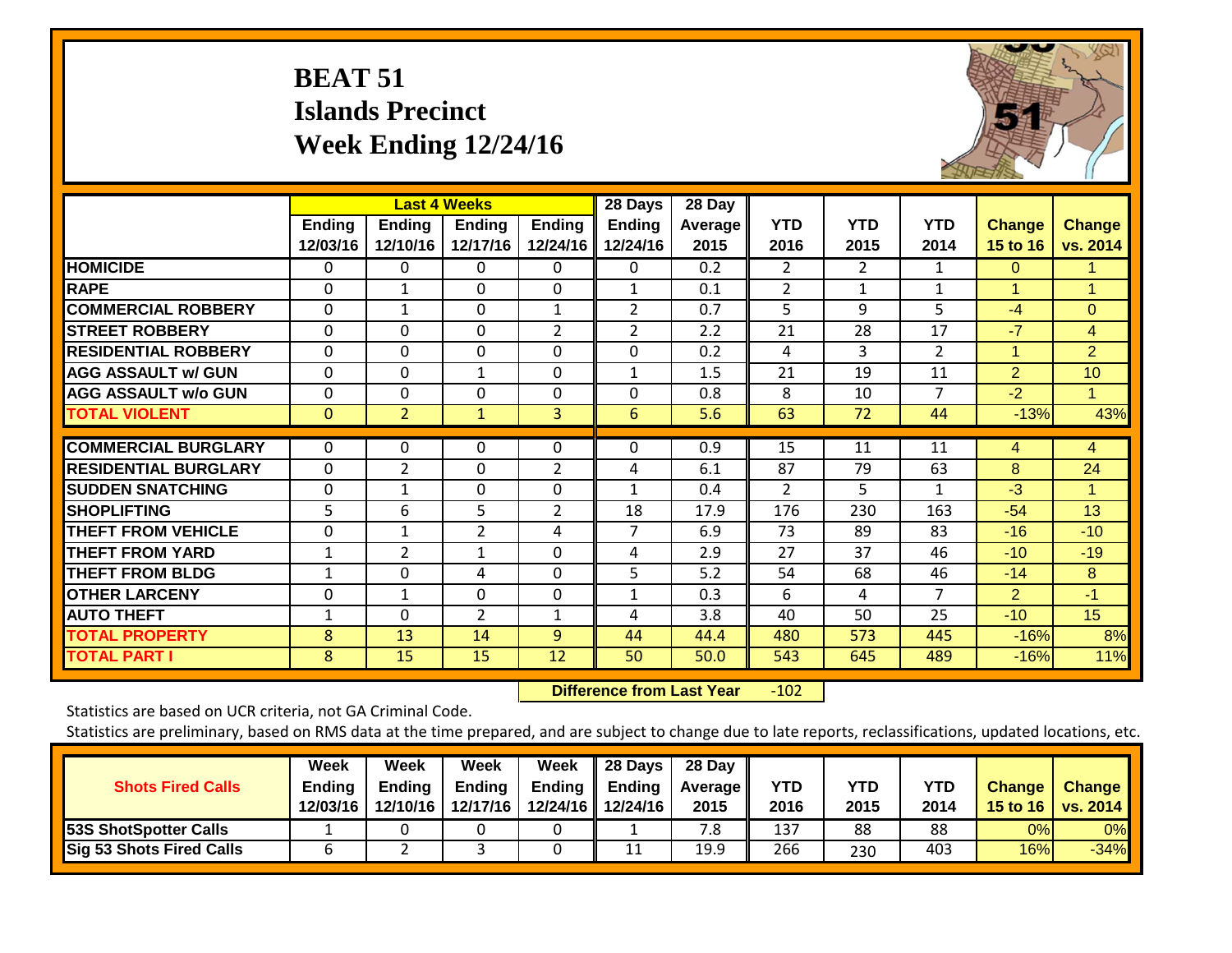## **BEAT 51 Islands Precinct Week Ending 12/24/16**



|                             |                           |                           | <b>Last 4 Weeks</b> |                           | 28 Days                   | 28 Day          |                    |                    |                    |                           |                           |
|-----------------------------|---------------------------|---------------------------|---------------------|---------------------------|---------------------------|-----------------|--------------------|--------------------|--------------------|---------------------------|---------------------------|
|                             | <b>Ending</b><br>12/03/16 | <b>Ending</b><br>12/10/16 | Ending<br>12/17/16  | <b>Ending</b><br>12/24/16 | <b>Ending</b><br>12/24/16 | Average<br>2015 | <b>YTD</b><br>2016 | <b>YTD</b><br>2015 | <b>YTD</b><br>2014 | <b>Change</b><br>15 to 16 | <b>Change</b><br>vs. 2014 |
| <b>HOMICIDE</b>             | 0                         | 0                         | 0                   | 0                         | 0                         | 0.2             | 2                  | $\overline{2}$     | 1                  | 0                         | 1.                        |
| <b>RAPE</b>                 | 0                         |                           | $\Omega$            | 0                         |                           | 0.1             | 2                  |                    | 1                  | 1                         |                           |
| <b>COMMERCIAL ROBBERY</b>   | $\Omega$                  | 1                         | $\Omega$            | $\mathbf{1}$              | 2                         | 0.7             | 5                  | 9                  | 5                  | $-4$                      | $\Omega$                  |
| <b>STREET ROBBERY</b>       | $\Omega$                  | $\Omega$                  | $\Omega$            | 2                         | 2                         | 2.2             | 21                 | 28                 | 17                 | $-7$                      | $\overline{4}$            |
| <b>RESIDENTIAL ROBBERY</b>  | $\Omega$                  | $\Omega$                  | $\Omega$            | $\Omega$                  | $\Omega$                  | 0.2             | 4                  | 3                  | $\overline{2}$     | $\overline{1}$            | $\overline{2}$            |
| <b>AGG ASSAULT w/ GUN</b>   | $\Omega$                  | $\Omega$                  | 1                   | $\Omega$                  | 1                         | 1.5             | 21                 | 19                 | 11                 | 2                         | 10                        |
| <b>AGG ASSAULT w/o GUN</b>  | $\Omega$                  | $\Omega$                  | $\Omega$            | 0                         | $\Omega$                  | 0.8             | 8                  | 10                 | 7                  | $-2$                      |                           |
| <b>TOTAL VIOLENT</b>        | $\mathbf{0}$              | $\overline{2}$            | $\mathbf{1}$        | 3                         | 6                         | 5.6             | 63                 | 72                 | 44                 | $-13%$                    | 43%                       |
| <b>COMMERCIAL BURGLARY</b>  | 0                         | $\Omega$                  | 0                   | 0                         | $\Omega$                  | 0.9             | 15                 | 11                 | 11                 | 4                         | 4                         |
| <b>RESIDENTIAL BURGLARY</b> | $\Omega$                  | 2                         | $\Omega$            | $\overline{2}$            | 4                         | 6.1             | 87                 | 79                 | 63                 | 8                         | 24                        |
| <b>SUDDEN SNATCHING</b>     | $\Omega$                  | $\mathbf{1}$              | $\mathbf{0}$        | $\Omega$                  | $\mathbf{1}$              | 0.4             | $\overline{2}$     | 5                  | $\mathbf{1}$       | $-3$                      |                           |
| <b>SHOPLIFTING</b>          | 5                         | 6                         | 5                   | 2                         | 18                        | 17.9            | 176                | 230                | 163                | $-54$                     | 13                        |
| <b>THEFT FROM VEHICLE</b>   | 0                         | 1                         | $\overline{2}$      | 4                         | 7                         | 6.9             | 73                 | 89                 | 83                 | $-16$                     | $-10$                     |
| <b>THEFT FROM YARD</b>      | 1                         | $\overline{2}$            | $\mathbf{1}$        | $\Omega$                  | 4                         | 2.9             | 27                 | 37                 | 46                 | $-10$                     | $-19$                     |
| <b>THEFT FROM BLDG</b>      | 1                         | $\Omega$                  | 4                   | $\Omega$                  | 5                         | 5.2             | 54                 | 68                 | 46                 | $-14$                     | 8                         |
| <b>OTHER LARCENY</b>        | 0                         | $\mathbf{1}$              | $\Omega$            | $\mathbf 0$               | $\mathbf{1}$              | 0.3             | 6                  | 4                  | 7                  | $\overline{2}$            | $-1$                      |
| <b>AUTO THEFT</b>           | 1                         | $\Omega$                  | $\overline{2}$      | $\mathbf{1}$              | 4                         | 3.8             | 40                 | 50                 | 25                 | $-10$                     | 15                        |
| <b>TOTAL PROPERTY</b>       | 8                         | 13                        | 14                  | 9                         | 44                        | 44.4            | 480                | 573                | 445                | $-16%$                    | 8%                        |
| <b>TOTAL PART I</b>         | 8                         | 15                        | 15                  | 12                        | 50                        | 50.0            | 543                | 645                | 489                | $-16%$                    | 11%                       |

 **Difference from Last Year**r -102

Statistics are based on UCR criteria, not GA Criminal Code.

| <b>Shots Fired Calls</b>     | Week<br><b>Ending</b><br>12/03/16 | Week<br><b>Ending</b><br>12/10/16 | Week<br><b>Ending</b><br>12/17/16 | Week<br><b>Ending</b> | 28 Days<br>Ending<br>12/24/16 12/24/16 | 28 Day<br><b>Average II</b><br>2015 | YTD<br>2016 | <b>YTD</b><br>2015 | <b>YTD</b><br>2014 | <b>Change</b> | <b>Change</b><br>15 to 16   vs. 2014 |
|------------------------------|-----------------------------------|-----------------------------------|-----------------------------------|-----------------------|----------------------------------------|-------------------------------------|-------------|--------------------|--------------------|---------------|--------------------------------------|
| <b>53S ShotSpotter Calls</b> |                                   |                                   |                                   |                       |                                        | 8.                                  | 137         | 88                 | 88                 | 0%            | 0%                                   |
| Sig 53 Shots Fired Calls     | ь                                 |                                   |                                   |                       | 11<br>ᆠᆂ                               | 19.9                                | 266         | 230                | 403                | 16%           | $-34%$                               |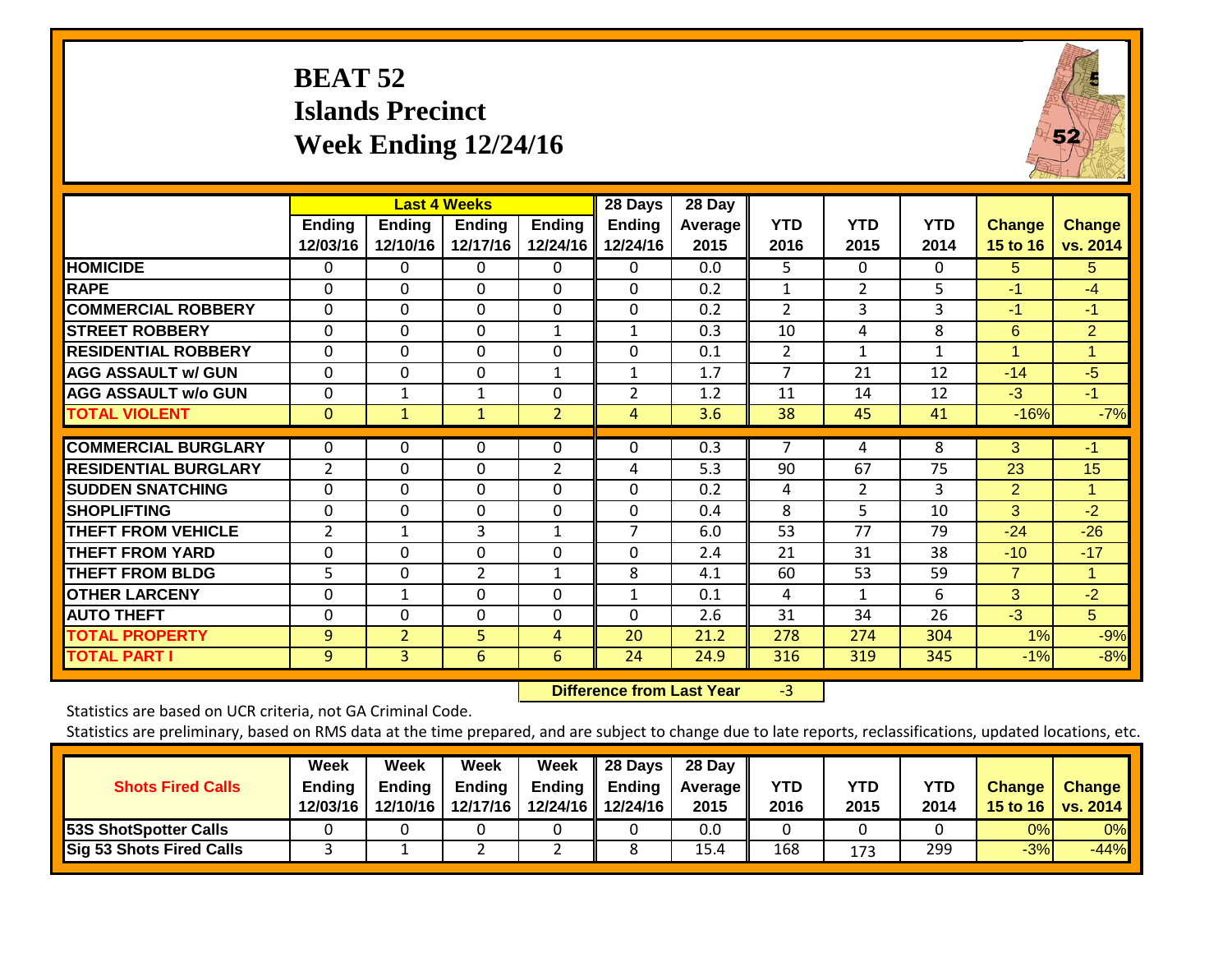## **BEAT 52 Islands Precinct Week Ending 12/24/16**



|                             |                           |                           | <b>Last 4 Weeks</b>       |                           | 28 Days                   | 28 Day            |                    |                    |                    |                           |                           |
|-----------------------------|---------------------------|---------------------------|---------------------------|---------------------------|---------------------------|-------------------|--------------------|--------------------|--------------------|---------------------------|---------------------------|
|                             | <b>Ending</b><br>12/03/16 | <b>Ending</b><br>12/10/16 | <b>Ending</b><br>12/17/16 | <b>Ending</b><br>12/24/16 | <b>Ending</b><br>12/24/16 | Average I<br>2015 | <b>YTD</b><br>2016 | <b>YTD</b><br>2015 | <b>YTD</b><br>2014 | <b>Change</b><br>15 to 16 | <b>Change</b><br>vs. 2014 |
| <b>HOMICIDE</b>             | 0                         | 0                         | 0                         | 0                         | 0                         | 0.0               | 5.                 | $\Omega$           | 0                  | 5.                        | 5                         |
| <b>RAPE</b>                 | 0                         | $\Omega$                  | $\Omega$                  | 0                         | $\Omega$                  | 0.2               | 1                  | 2                  | 5                  | $-1$                      | $-4$                      |
| <b>COMMERCIAL ROBBERY</b>   | $\Omega$                  | $\Omega$                  | $\Omega$                  | $\Omega$                  | $\mathbf 0$               | 0.2               | $\overline{2}$     | 3                  | 3                  | $-1$                      | $-1$                      |
| <b>STREET ROBBERY</b>       | 0                         | 0                         | $\Omega$                  | $\mathbf{1}$              | $\mathbf{1}$              | 0.3               | 10                 | 4                  | 8                  | 6                         | $\overline{2}$            |
| <b>RESIDENTIAL ROBBERY</b>  | 0                         | $\Omega$                  | $\Omega$                  | 0                         | 0                         | 0.1               | 2                  | $\mathbf{1}$       | 1                  | $\overline{1}$            | 1                         |
| <b>AGG ASSAULT w/ GUN</b>   | 0                         | $\Omega$                  | $\Omega$                  | 1                         | $\mathbf{1}$              | 1.7               | 7                  | 21                 | 12                 | $-14$                     | $-5$                      |
| <b>AGG ASSAULT w/o GUN</b>  | 0                         | 1                         | $\mathbf{1}$              | 0                         | 2                         | 1.2               | 11                 | 14                 | 12                 | $-3$                      | $-1$                      |
| <b>TOTAL VIOLENT</b>        | $\mathbf{0}$              | $\mathbf{1}$              | $\mathbf{1}$              | $\overline{2}$            | 4                         | 3.6               | 38                 | 45                 | 41                 | $-16%$                    | $-7%$                     |
| <b>COMMERCIAL BURGLARY</b>  | 0                         | 0                         | $\Omega$                  | 0                         | 0                         | 0.3               | 7                  | 4                  | 8                  | 3                         | $-1$                      |
| <b>RESIDENTIAL BURGLARY</b> | 2                         | $\Omega$                  | $\Omega$                  | $\overline{2}$            | 4                         | 5.3               | 90                 | 67                 | 75                 | 23                        | 15                        |
| <b>SUDDEN SNATCHING</b>     | 0                         | 0                         | $\Omega$                  | $\Omega$                  | 0                         | 0.2               |                    | 2                  | 3                  | 2                         |                           |
| <b>SHOPLIFTING</b>          |                           |                           | $\Omega$                  |                           | 0                         | 0.4               | 4<br>8             | 5                  | 10                 | 3                         | $-2$                      |
|                             | 0                         | 0                         |                           | 0                         | 7                         |                   |                    | 77                 |                    |                           |                           |
| <b>THEFT FROM VEHICLE</b>   | 2                         | $\mathbf{1}$              | 3                         | $\mathbf{1}$              |                           | 6.0               | 53                 |                    | 79                 | $-24$                     | $-26$                     |
| <b>THEFT FROM YARD</b>      | 0                         | $\Omega$                  | 0                         | 0                         | 0                         | 2.4               | 21                 | 31                 | 38                 | $-10$                     | $-17$                     |
| <b>THEFT FROM BLDG</b>      | 5                         | 0                         | 2                         | $\mathbf{1}$              | 8                         | 4.1               | 60                 | 53                 | 59                 | $\overline{7}$            | 1                         |
| <b>OTHER LARCENY</b>        | 0                         | 1                         | $\Omega$                  | $\Omega$                  | $\mathbf{1}$              | 0.1               | 4                  |                    | 6                  | 3                         | $-2$                      |
| <b>AUTO THEFT</b>           | 0                         | 0                         | $\Omega$                  | 0                         | 0                         | 2.6               | 31                 | 34                 | 26                 | $-3$                      | 5 <sup>5</sup>            |
| <b>TOTAL PROPERTY</b>       | 9                         | $\overline{2}$            | 5                         | 4                         | 20                        | 21.2              | 278                | 274                | 304                | 1%                        | $-9%$                     |
| <b>TOTAL PART I</b>         | 9                         | $\overline{3}$            | 6                         | 6                         | 24                        | 24.9              | 316                | 319                | 345                | $-1%$                     | $-8%$                     |

 **Difference from Last Year**r -3

Statistics are based on UCR criteria, not GA Criminal Code.

| <b>Shots Fired Calls</b>        | Week<br><b>Ending</b><br>12/03/16 | Week<br>Endina<br>12/10/16 | Week<br><b>Ending</b><br>12/17/16 | Week<br>Ending | 28 Days<br>Ending<br>12/24/16 12/24/16 | 28 Day<br><b>Average II</b><br>2015 | YTD<br>2016 | YTD<br>2015 | <b>YTD</b><br>2014 | <b>Change</b> | <b>Change</b><br>15 to 16   vs. 2014 |
|---------------------------------|-----------------------------------|----------------------------|-----------------------------------|----------------|----------------------------------------|-------------------------------------|-------------|-------------|--------------------|---------------|--------------------------------------|
| 53S ShotSpotter Calls           |                                   |                            |                                   |                |                                        | 0.0                                 |             |             |                    | 0%            | 0%                                   |
| <b>Sig 53 Shots Fired Calls</b> |                                   |                            |                                   |                |                                        | 15.4                                | 168         | 173         | 299                | $-3%$         | $-44%$                               |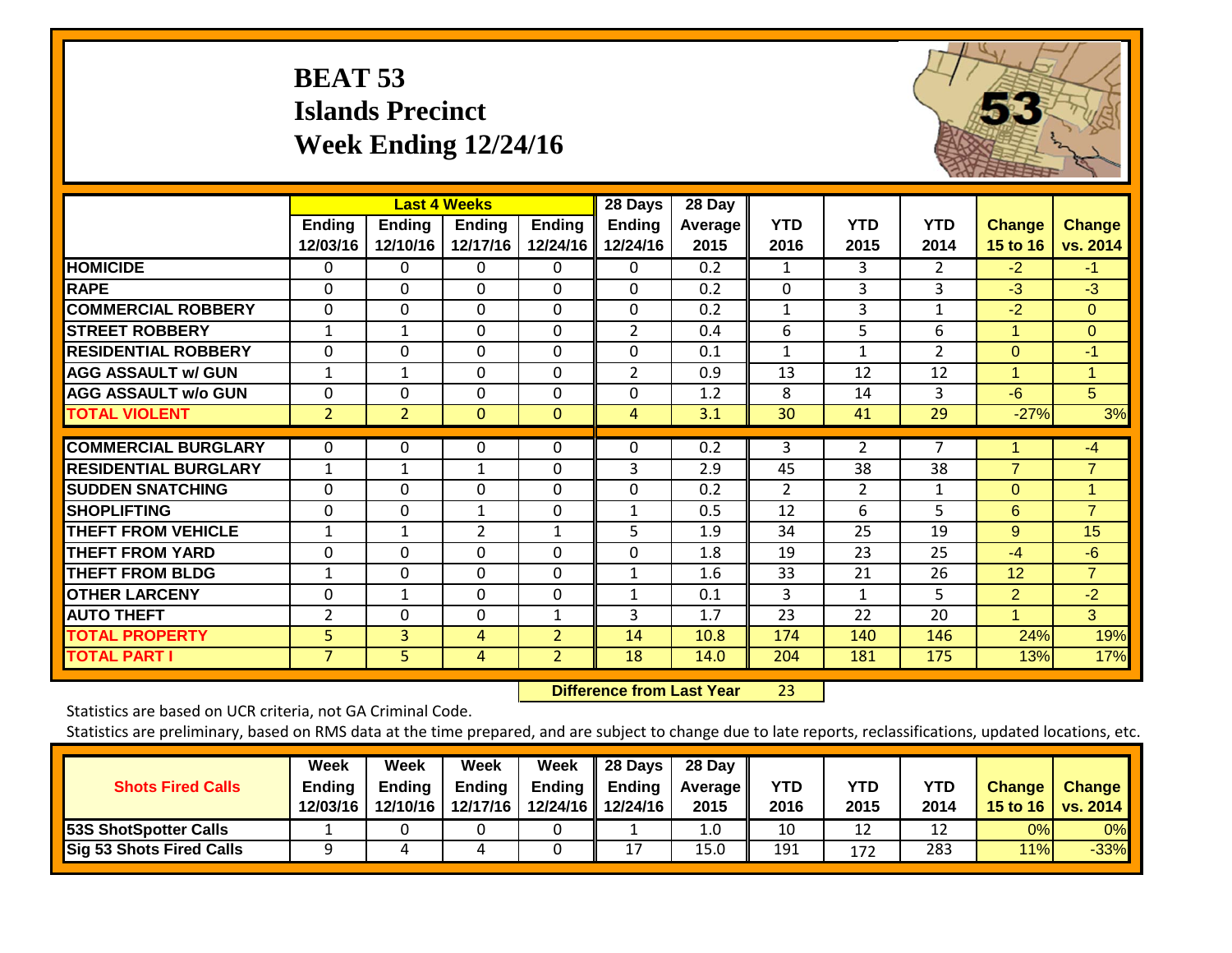## **BEAT 53 Islands Precinct Week Ending 12/24/16**



|                             |                           |                           | <b>Last 4 Weeks</b>       |                           | 28 Days                   | 28 Day                 |                    |                    |                    |                           |                    |
|-----------------------------|---------------------------|---------------------------|---------------------------|---------------------------|---------------------------|------------------------|--------------------|--------------------|--------------------|---------------------------|--------------------|
|                             | <b>Ending</b><br>12/03/16 | <b>Ending</b><br>12/10/16 | <b>Ending</b><br>12/17/16 | <b>Ending</b><br>12/24/16 | <b>Ending</b><br>12/24/16 | <b>Average</b><br>2015 | <b>YTD</b><br>2016 | <b>YTD</b><br>2015 | <b>YTD</b><br>2014 | <b>Change</b><br>15 to 16 | Change<br>vs. 2014 |
| <b>HOMICIDE</b>             | 0                         | 0                         | 0                         | 0                         | $\Omega$                  | 0.2                    | 1                  | 3                  | $\overline{2}$     | $-2$                      | $-1$               |
| <b>RAPE</b>                 | $\Omega$                  | $\Omega$                  | $\Omega$                  | $\Omega$                  | $\Omega$                  | 0.2                    | $\Omega$           | 3                  | 3                  | $-3$                      | $-3$               |
| <b>COMMERCIAL ROBBERY</b>   | $\Omega$                  | 0                         | $\Omega$                  | $\Omega$                  | 0                         | 0.2                    | $\mathbf{1}$       | 3                  | $\mathbf{1}$       | $-2$                      | $\Omega$           |
| <b>STREET ROBBERY</b>       | $\mathbf{1}$              | $\mathbf{1}$              | $\Omega$                  | 0                         | $\overline{2}$            | 0.4                    | 6                  | 5                  | 6                  | 1                         | $\Omega$           |
| <b>RESIDENTIAL ROBBERY</b>  | 0                         | $\Omega$                  | $\Omega$                  | $\Omega$                  | $\mathbf 0$               | 0.1                    | $\mathbf{1}$       | $\mathbf{1}$       | $\overline{2}$     | $\Omega$                  | $-1$               |
| <b>AGG ASSAULT w/ GUN</b>   | 1                         | 1                         | $\Omega$                  | $\Omega$                  | $\overline{2}$            | 0.9                    | 13                 | 12                 | 12                 | 1                         |                    |
| <b>AGG ASSAULT w/o GUN</b>  | 0                         | 0                         | $\Omega$                  | $\Omega$                  | 0                         | 1.2                    | 8                  | 14                 | 3                  | $-6$                      | 5                  |
| <b>TOTAL VIOLENT</b>        | $\overline{2}$            | 2                         | $\mathbf{0}$              | $\mathbf{0}$              | 4                         | 3.1                    | 30                 | 41                 | 29                 | $-27%$                    | 3%                 |
| <b>COMMERCIAL BURGLARY</b>  | 0                         | 0                         | 0                         | $\Omega$                  | $\Omega$                  | 0.2                    | 3                  | 2                  | 7                  | 1                         | $-4$               |
| <b>RESIDENTIAL BURGLARY</b> | $\mathbf{1}$              | $\mathbf{1}$              | 1                         | $\Omega$                  | 3                         | 2.9                    | 45                 | 38                 | 38                 | $\overline{7}$            | $\overline{7}$     |
| <b>ISUDDEN SNATCHING</b>    | 0                         | 0                         | $\Omega$                  | $\Omega$                  | 0                         | 0.2                    | 2                  | $\overline{2}$     | 1                  | $\Omega$                  | $\mathbf{1}$       |
| <b>SHOPLIFTING</b>          | 0                         | 0                         | 1                         | $\Omega$                  | 1                         | 0.5                    | 12                 | 6                  | 5                  | 6                         | $\overline{7}$     |
| <b>THEFT FROM VEHICLE</b>   | $\mathbf 1$               | $\mathbf{1}$              | $\overline{2}$            | 1                         | 5                         | 1.9                    | 34                 | 25                 | 19                 | 9                         | 15                 |
| <b>THEFT FROM YARD</b>      | 0                         | 0                         | $\Omega$                  | $\Omega$                  | 0                         | 1.8                    | 19                 | 23                 | 25                 | $-4$                      | $-6$               |
| <b>THEFT FROM BLDG</b>      | 1                         | $\Omega$                  | $\Omega$                  | $\Omega$                  | $\mathbf{1}$              | 1.6                    | 33                 | 21                 | 26                 | 12                        | $\overline{7}$     |
| <b>OTHER LARCENY</b>        | 0                         | 1                         | $\Omega$                  | $\Omega$                  | 1                         | 0.1                    | 3                  | $\mathbf{1}$       | 5                  | $\overline{2}$            | $-2$               |
| <b>AUTO THEFT</b>           | 2                         | 0                         | $\Omega$                  | $\mathbf{1}$              | 3                         | 1.7                    | 23                 | 22                 | 20                 | $\overline{1}$            | 3 <sup>1</sup>     |
| <b>TOTAL PROPERTY</b>       | 5                         | 3                         | 4                         | $\overline{2}$            | 14                        | 10.8                   | 174                | 140                | 146                | 24%                       | 19%                |
| <b>TOTAL PART I</b>         | $\overline{7}$            | 5                         | 4                         | $\overline{2}$            | 18                        | 14.0                   | 204                | 181                | 175                | 13%                       | 17%                |

 **Difference from Last Year**r 23

Statistics are based on UCR criteria, not GA Criminal Code.

| <b>Shots Fired Calls</b>        | Week<br><b>Ending</b><br>12/03/16 | Week<br><b>Ending</b><br>12/10/16 | Week<br><b>Ending</b><br>12/17/16 | <b>Week</b><br>Ending | 28 Days<br><b>Ending</b><br>12/24/16 12/24/16 | 28 Day<br><b>Average II</b><br>2015 | <b>YTD</b><br>2016 | YTD<br>2015 | <b>YTD</b><br>2014 | <b>Change</b> | <b>Change</b><br>15 to 16   vs. 2014 |
|---------------------------------|-----------------------------------|-----------------------------------|-----------------------------------|-----------------------|-----------------------------------------------|-------------------------------------|--------------------|-------------|--------------------|---------------|--------------------------------------|
| <b>53S ShotSpotter Calls</b>    |                                   |                                   |                                   |                       |                                               | 1.0                                 | 10                 | 12          | 12                 | 0%            | 0%                                   |
| <b>Sig 53 Shots Fired Calls</b> |                                   | 4                                 |                                   |                       | ∸ ≀                                           | 15.0                                | 191                | 172         | 283                | 11%           | $-33%$                               |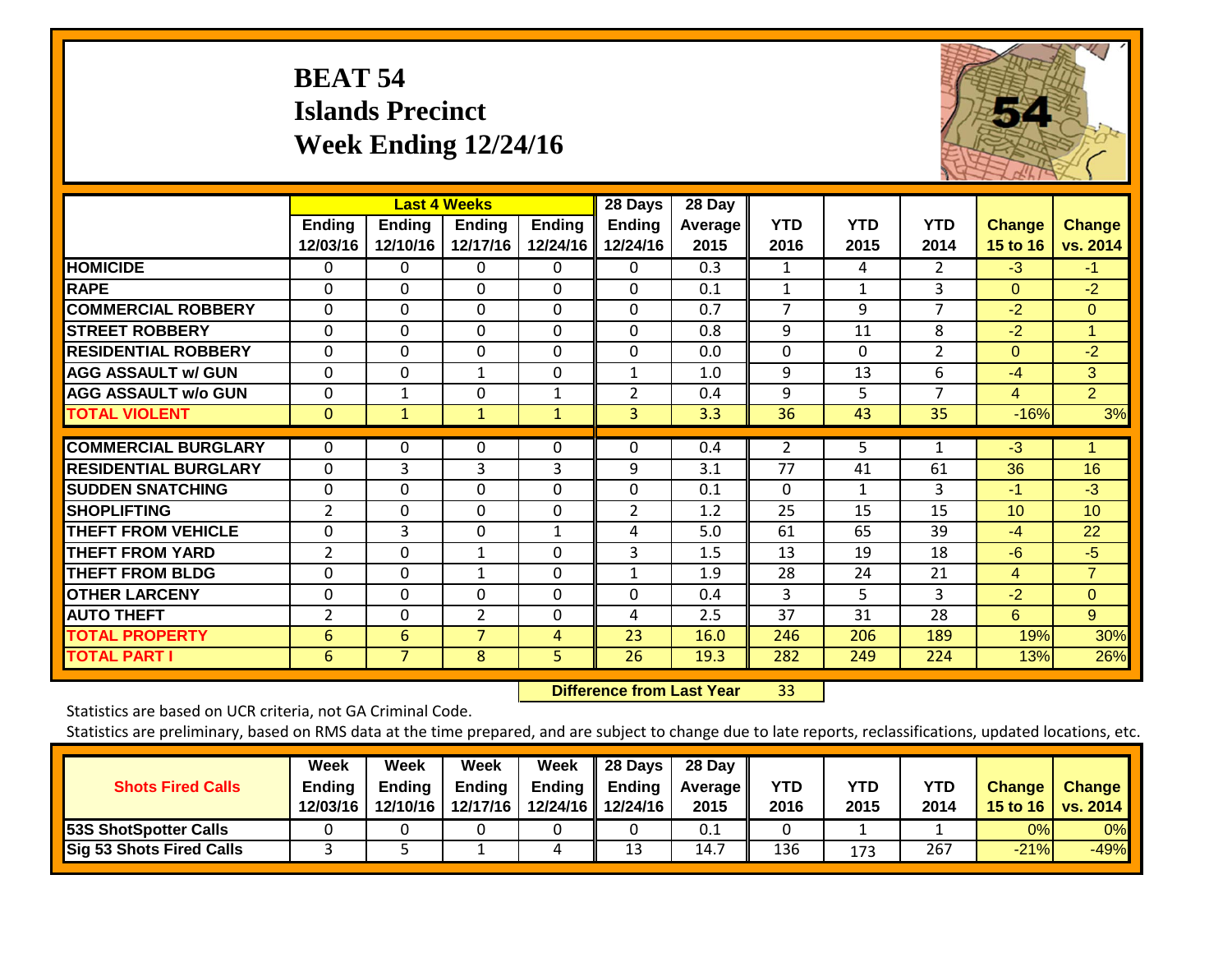## **BEAT 54 Islands Precinct Week Ending 12/24/16**



|                             | <b>Last 4 Weeks</b> |                           |                           |                    | 28 Days                   | 28 Day                 |                    |                    |                    |                           |                           |
|-----------------------------|---------------------|---------------------------|---------------------------|--------------------|---------------------------|------------------------|--------------------|--------------------|--------------------|---------------------------|---------------------------|
|                             | Ending<br>12/03/16  | <b>Ending</b><br>12/10/16 | <b>Ending</b><br>12/17/16 | Ending<br>12/24/16 | <b>Ending</b><br>12/24/16 | <b>Average</b><br>2015 | <b>YTD</b><br>2016 | <b>YTD</b><br>2015 | <b>YTD</b><br>2014 | <b>Change</b><br>15 to 16 | <b>Change</b><br>vs. 2014 |
| <b>HOMICIDE</b>             | 0                   | 0                         | 0                         | 0                  | 0                         | 0.3                    | 1                  | 4                  | 2                  | $-3$                      | $-1$                      |
| <b>RAPE</b>                 | $\Omega$            | $\Omega$                  | $\Omega$                  | 0                  | $\Omega$                  | 0.1                    | 1                  | 1                  | 3                  | $\Omega$                  | $-2$                      |
| <b>COMMERCIAL ROBBERY</b>   | $\Omega$            | $\Omega$                  | $\mathbf{0}$              | $\Omega$           | $\Omega$                  | 0.7                    | 7                  | 9                  | $\overline{7}$     | $-2$                      | $\Omega$                  |
| <b>STREET ROBBERY</b>       | $\Omega$            | $\Omega$                  | $\Omega$                  | $\Omega$           | $\Omega$                  | 0.8                    | 9                  | 11                 | 8                  | $-2$                      | 1                         |
| <b>RESIDENTIAL ROBBERY</b>  | $\mathbf 0$         | $\Omega$                  | $\mathbf 0$               | $\Omega$           | $\Omega$                  | 0.0                    | $\Omega$           | $\Omega$           | 2                  | $\Omega$                  | $-2$                      |
| <b>AGG ASSAULT w/ GUN</b>   | $\Omega$            | $\Omega$                  | 1                         | $\Omega$           | $\mathbf{1}$              | 1.0                    | 9                  | 13                 | 6                  | $-4$                      | 3                         |
| <b>AGG ASSAULT w/o GUN</b>  | $\Omega$            | 1                         | $\Omega$                  | $\mathbf{1}$       | $\overline{2}$            | 0.4                    | 9                  | 5                  | 7                  | 4                         | $\overline{2}$            |
| <b>TOTAL VIOLENT</b>        | $\mathbf{0}$        | 1                         | $\mathbf{1}$              | $\mathbf{1}$       | 3 <sup>1</sup>            | 3.3                    | 36                 | 43                 | 35                 | $-16%$                    | 3%                        |
| <b>COMMERCIAL BURGLARY</b>  | $\Omega$            | 0                         | 0                         | $\Omega$           | $\Omega$                  | 0.4                    | $\overline{2}$     | 5                  | 1                  | $-3$                      |                           |
| <b>RESIDENTIAL BURGLARY</b> | $\Omega$            | 3                         | 3                         | 3                  | 9                         | 3.1                    | 77                 | 41                 | 61                 | 36                        | 16                        |
| <b>SUDDEN SNATCHING</b>     | $\Omega$            | $\mathbf 0$               | $\Omega$                  | 0                  | $\Omega$                  | 0.1                    | $\Omega$           | $\mathbf{1}$       | 3                  | $-1$                      | $-3$                      |
| <b>SHOPLIFTING</b>          | $\overline{2}$      | $\Omega$                  | $\Omega$                  | $\Omega$           | 2                         | 1.2                    | 25                 | 15                 | 15                 | 10 <sup>°</sup>           | 10                        |
| <b>THEFT FROM VEHICLE</b>   | $\Omega$            | 3                         | $\Omega$                  | 1                  | 4                         | 5.0                    | 61                 | 65                 | 39                 | $-4$                      | 22                        |
| <b>THEFT FROM YARD</b>      | $\overline{2}$      | 0                         | $\mathbf{1}$              | 0                  | 3                         | 1.5                    | 13                 | 19                 | 18                 | $-6$                      | $-5$                      |
| <b>THEFT FROM BLDG</b>      | $\mathbf 0$         | $\Omega$                  | $\mathbf{1}$              | $\Omega$           | 1                         | 1.9                    | 28                 | 24                 | 21                 | 4                         | $\overline{7}$            |
| <b>OTHER LARCENY</b>        | $\Omega$            | $\Omega$                  | $\Omega$                  | $\Omega$           | $\Omega$                  | 0.4                    | 3                  | 5                  | 3                  | $-2$                      | $\Omega$                  |
| <b>AUTO THEFT</b>           | $\overline{2}$      | 0                         | 2                         | 0                  | 4                         | 2.5                    | 37                 | 31                 | 28                 | 6                         | 9                         |
| <b>TOTAL PROPERTY</b>       | 6                   | 6                         | 7                         | 4                  | 23                        | 16.0                   | 246                | 206                | 189                | 19%                       | 30%                       |
| <b>TOTAL PART I</b>         | 6                   | $\overline{7}$            | 8                         | 5                  | 26                        | 19.3                   | 282                | 249                | 224                | 13%                       | 26%                       |

 **Difference from Last Year**r 33

Statistics are based on UCR criteria, not GA Criminal Code.

| <b>Shots Fired Calls</b>        | Week<br>Ending<br>12/03/16 | Week<br><b>Ending</b><br>12/10/16 | Week<br><b>Ending</b><br>12/17/16 | Week<br><b>Ending</b> | 28 Days<br><b>Ending</b><br>12/24/16   12/24/16 | 28 Day<br>Average II<br>2015 | <b>YTD</b><br>2016 | <b>YTD</b><br>2015 | <b>YTD</b><br>2014 | <b>Change</b> | <b>Change</b><br>15 to 16   vs. 2014 |
|---------------------------------|----------------------------|-----------------------------------|-----------------------------------|-----------------------|-------------------------------------------------|------------------------------|--------------------|--------------------|--------------------|---------------|--------------------------------------|
| <b>53S ShotSpotter Calls</b>    |                            |                                   |                                   |                       |                                                 | 0.1                          |                    |                    |                    | 0%            | 0%                                   |
| <b>Sig 53 Shots Fired Calls</b> |                            |                                   |                                   | 4                     | 13                                              | 14.7                         | 136                | 173                | 267                | $-21%$        | $-49%$                               |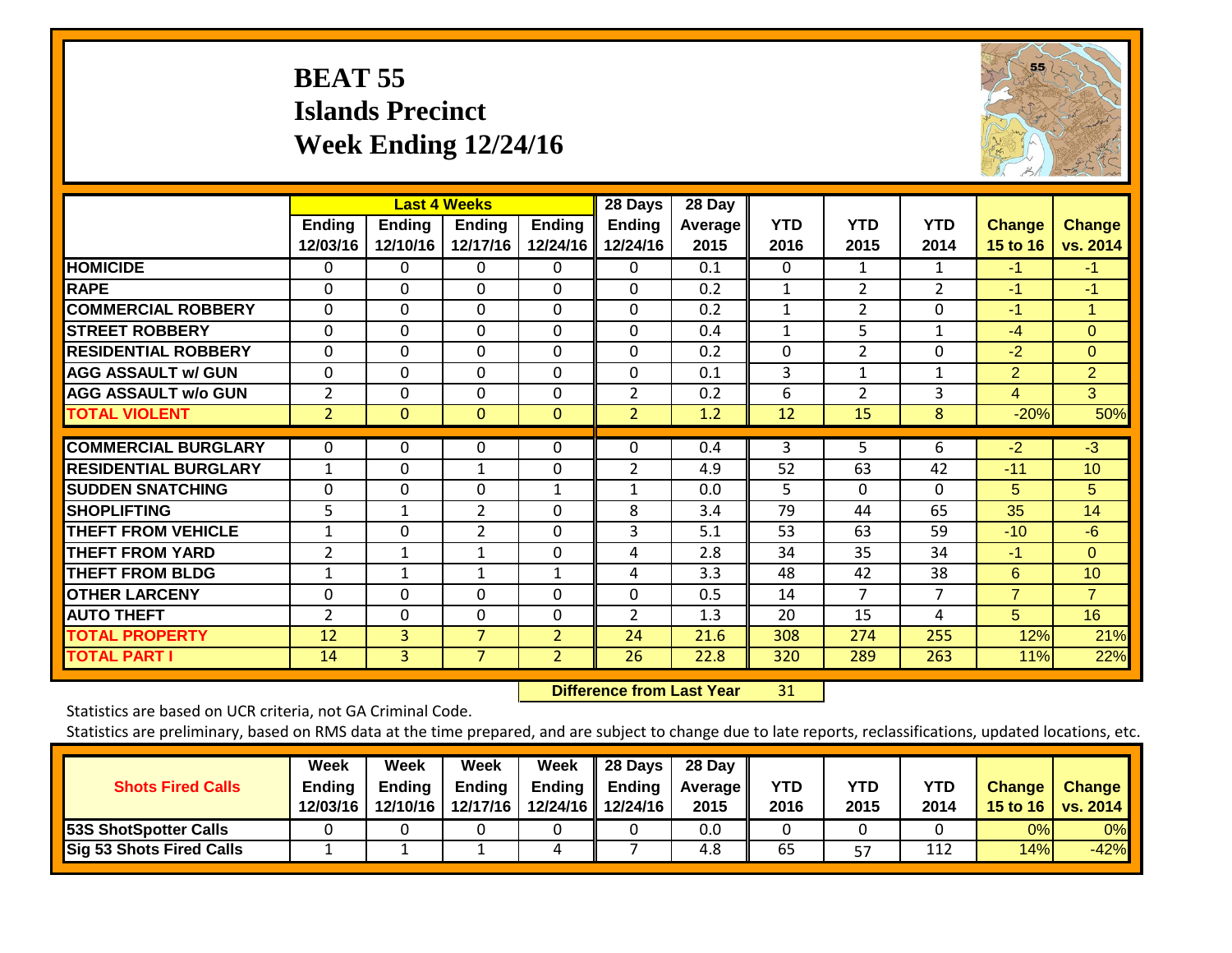## **BEAT 55 Islands Precinct Week Ending 12/24/16**



|                             | <b>Last 4 Weeks</b>       |                           |                           |                           | 28 Days                   | 28 Day                 |                    |                    |                    |                                  |                           |
|-----------------------------|---------------------------|---------------------------|---------------------------|---------------------------|---------------------------|------------------------|--------------------|--------------------|--------------------|----------------------------------|---------------------------|
|                             | <b>Ending</b><br>12/03/16 | <b>Ending</b><br>12/10/16 | <b>Ending</b><br>12/17/16 | <b>Ending</b><br>12/24/16 | <b>Ending</b><br>12/24/16 | <b>Average</b><br>2015 | <b>YTD</b><br>2016 | <b>YTD</b><br>2015 | <b>YTD</b><br>2014 | <b>Change</b><br><b>15 to 16</b> | <b>Change</b><br>vs. 2014 |
| <b>HOMICIDE</b>             | 0                         | 0                         | 0                         | 0                         | 0                         | 0.1                    | $\Omega$           | 1                  | 1                  | $-1$                             | $-1$                      |
| <b>RAPE</b>                 | 0                         | 0                         | $\Omega$                  | 0                         | 0                         | 0.2                    | 1                  | $\overline{2}$     | $\overline{2}$     | $-1$                             | $-1$                      |
| <b>ICOMMERCIAL ROBBERY</b>  | $\Omega$                  | $\Omega$                  | $\Omega$                  | $\Omega$                  | $\Omega$                  | 0.2                    | $\mathbf{1}$       | $\overline{2}$     | $\Omega$           | $-1$                             | 1                         |
| <b>STREET ROBBERY</b>       | 0                         | 0                         | $\mathbf{0}$              | $\Omega$                  | 0                         | 0.4                    | $\mathbf{1}$       | 5                  | $\mathbf{1}$       | $-4$                             | $\Omega$                  |
| <b>RESIDENTIAL ROBBERY</b>  | 0                         | 0                         | $\Omega$                  | 0                         | 0                         | 0.2                    | $\Omega$           | $\overline{2}$     | $\Omega$           | $-2$                             | $\Omega$                  |
| <b>AGG ASSAULT w/ GUN</b>   | 0                         | 0                         | $\Omega$                  | $\Omega$                  | 0                         | 0.1                    | 3                  | 1                  | $\mathbf 1$        | 2                                | $\overline{2}$            |
| <b>AGG ASSAULT w/o GUN</b>  | $\overline{2}$            | $\Omega$                  | $\Omega$                  | $\Omega$                  | $\overline{2}$            | 0.2                    | 6                  | $\overline{2}$     | 3                  | 4                                | 3                         |
| <b>TOTAL VIOLENT</b>        | $\overline{2}$            | 0                         | $\mathbf{0}$              | $\mathbf{0}$              | $\overline{2}$            | 1.2                    | 12                 | 15                 | 8                  | $-20%$                           | 50%                       |
| <b>COMMERCIAL BURGLARY</b>  | 0                         | 0                         | 0                         | 0                         | 0                         | 0.4                    | 3                  | 5                  | 6                  | $-2$                             | $\overline{\cdot}$        |
| <b>RESIDENTIAL BURGLARY</b> | $\mathbf{1}$              | $\Omega$                  | 1                         | $\Omega$                  | $\overline{2}$            | 4.9                    | 52                 | 63                 | 42                 | $-11$                            | 10                        |
| <b>ISUDDEN SNATCHING</b>    | 0                         | $\Omega$                  | $\Omega$                  | $\mathbf{1}$              | $\mathbf{1}$              | 0.0                    | 5                  | $\Omega$           | $\Omega$           | 5                                | 5                         |
| <b>SHOPLIFTING</b>          | 5                         | 1                         | 2                         | 0                         | 8                         | 3.4                    | 79                 | 44                 | 65                 | 35                               | 14                        |
| <b>THEFT FROM VEHICLE</b>   | 1                         | $\Omega$                  | $\overline{2}$            | 0                         | 3                         | 5.1                    | 53                 | 63                 | 59                 | $-10$                            | $-6$                      |
| <b>THEFT FROM YARD</b>      | $\overline{2}$            | 1                         | 1                         | $\Omega$                  | 4                         | 2.8                    | 34                 | 35                 | 34                 | $-1$                             | $\Omega$                  |
| <b>THEFT FROM BLDG</b>      | $\mathbf 1$               | $\mathbf{1}$              | 1                         | $\mathbf{1}$              | 4                         | 3.3                    | 48                 | 42                 | 38                 | 6                                | 10                        |
| <b>OTHER LARCENY</b>        | 0                         | 0                         | $\Omega$                  | 0                         | 0                         | 0.5                    | 14                 | 7                  | 7                  | $\overline{7}$                   | $\overline{7}$            |
| <b>AUTO THEFT</b>           | $\overline{2}$            | $\Omega$                  | $\Omega$                  | $\Omega$                  | $\overline{2}$            | 1.3                    | 20                 | 15                 | 4                  | 5                                | 16                        |
| <b>TOTAL PROPERTY</b>       | 12                        | 3                         | 7                         | $\overline{2}$            | 24                        | 21.6                   | 308                | 274                | 255                | 12%                              | 21%                       |
| <b>TOTAL PART I</b>         | 14                        | $\overline{3}$            | $\overline{7}$            | $\overline{2}$            | 26                        | 22.8                   | 320                | 289                | 263                | 11%                              | 22%                       |

 **Difference from Last Year**r 31

Statistics are based on UCR criteria, not GA Criminal Code.

| <b>Shots Fired Calls</b>        | Week<br><b>Ending</b><br>12/03/16 | Week<br><b>Ending</b><br>12/10/16 | Week<br><b>Ending</b><br>12/17/16 | Week<br><b>Ending</b> | 28 Days<br>Ending<br>12/24/16 12/24/16 | 28 Day<br><b>Average II</b><br>2015 | YTD<br>2016 | <b>YTD</b><br>2015 | <b>YTD</b><br>2014 | <b>Change</b> | <b>Change</b><br>15 to 16   vs. 2014 |
|---------------------------------|-----------------------------------|-----------------------------------|-----------------------------------|-----------------------|----------------------------------------|-------------------------------------|-------------|--------------------|--------------------|---------------|--------------------------------------|
| <b>53S ShotSpotter Calls</b>    |                                   |                                   |                                   |                       |                                        | 0.0                                 |             |                    |                    | 0%            | 0%                                   |
| <b>Sig 53 Shots Fired Calls</b> |                                   |                                   |                                   | 4                     |                                        | 4.8                                 | 65          | 57                 | 112                | 14%           | $-42%$                               |